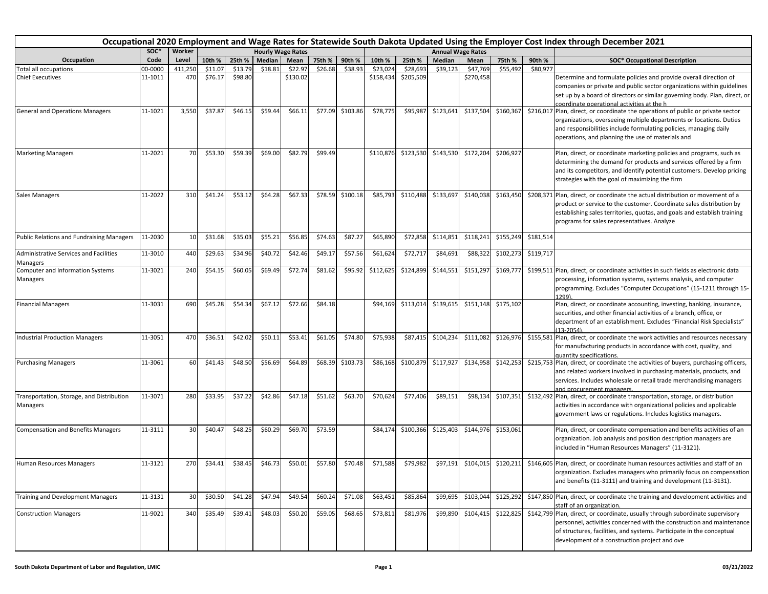|                                                       | Occupational 2020 Employment and Wage Rates for Statewide South Dakota Updated Using the Employer Cost Index through December 2021<br>SOC*<br>Worker<br><b>Hourly Wage Rates</b> |         |         |         |         |          |         |          |           |           |           |                          |           |           |                                                                                                                                                                                                                                                                                   |
|-------------------------------------------------------|----------------------------------------------------------------------------------------------------------------------------------------------------------------------------------|---------|---------|---------|---------|----------|---------|----------|-----------|-----------|-----------|--------------------------|-----------|-----------|-----------------------------------------------------------------------------------------------------------------------------------------------------------------------------------------------------------------------------------------------------------------------------------|
|                                                       |                                                                                                                                                                                  |         |         |         |         |          |         |          |           |           |           | <b>Annual Wage Rates</b> |           |           |                                                                                                                                                                                                                                                                                   |
| Occupation                                            | Code                                                                                                                                                                             | Level   | 10th %  | 25th %  | Median  | Mean     | 75th %  | 90th %   | 10th %    | 25th %    | Median    | Mean                     | 75th %    | 90th %    | <b>SOC* Occupational Description</b>                                                                                                                                                                                                                                              |
| <b>Total all occupations</b>                          | 00-0000                                                                                                                                                                          | 411,250 | \$11.07 | \$13.79 | \$18.81 | \$22.97  | \$26.68 | \$38.93  | \$23,024  | \$28,693  | \$39,123  | \$47,769                 | \$55,492  | \$80,977  |                                                                                                                                                                                                                                                                                   |
| <b>Chief Executives</b>                               | 11-1011                                                                                                                                                                          | 470     | \$76.17 | \$98.80 |         | \$130.02 |         |          | \$158,434 | \$205,509 |           | \$270,458                |           |           | Determine and formulate policies and provide overall direction of<br>companies or private and public sector organizations within guidelines<br>set up by a board of directors or similar governing body. Plan, direct, or<br>coordinate operational activities at the h           |
| <b>General and Operations Managers</b>                | 11-1021                                                                                                                                                                          | 3,550   | \$37.87 | \$46.15 | \$59.44 | \$66.11  | \$77.09 | \$103.86 | \$78,775  | \$95,987  | \$123,641 | \$137,504                | \$160,367 | \$216,017 | Plan, direct, or coordinate the operations of public or private sector<br>organizations, overseeing multiple departments or locations. Duties<br>and responsibilities include formulating policies, managing daily<br>operations, and planning the use of materials and           |
| <b>Marketing Managers</b>                             | 11-2021                                                                                                                                                                          | 70      | \$53.30 | \$59.39 | \$69.00 | \$82.79  | \$99.49 |          | \$110,876 | \$123,530 | \$143,530 | \$172,204                | \$206,927 |           | Plan, direct, or coordinate marketing policies and programs, such as<br>determining the demand for products and services offered by a firm<br>and its competitors, and identify potential customers. Develop pricing<br>strategies with the goal of maximizing the firm           |
| <b>Sales Managers</b>                                 | 11-2022                                                                                                                                                                          | 310     | \$41.24 | \$53.12 | \$64.28 | \$67.33  | \$78.59 | \$100.18 | \$85,793  | \$110,488 | \$133,697 | \$140,038                | \$163,450 |           | \$208,371 Plan, direct, or coordinate the actual distribution or movement of a<br>product or service to the customer. Coordinate sales distribution by<br>establishing sales territories, quotas, and goals and establish training<br>programs for sales representatives. Analyze |
| Public Relations and Fundraising Managers             | 11-2030                                                                                                                                                                          | 10      | \$31.68 | \$35.03 | \$55.21 | \$56.85  | \$74.63 | \$87.27  | \$65,890  | \$72,858  | \$114,851 | \$118,241                | \$155,249 | \$181,514 |                                                                                                                                                                                                                                                                                   |
| Administrative Services and Facilities<br>Managers    | 11-3010                                                                                                                                                                          | 440     | \$29.63 | \$34.96 | \$40.72 | \$42.46  | \$49.17 | \$57.56  | \$61,624  | \$72,717  | \$84,691  | \$88,322                 | \$102,273 | \$119,717 |                                                                                                                                                                                                                                                                                   |
| Computer and Information Systems                      | 11-3021                                                                                                                                                                          | 240     | \$54.15 | \$60.05 | \$69.49 | \$72.74  | \$81.62 | \$95.92  | \$112,625 | \$124,899 | \$144,551 | \$151,297                | \$169,77  |           | \$199,511 Plan, direct, or coordinate activities in such fields as electronic data                                                                                                                                                                                                |
| Managers                                              |                                                                                                                                                                                  |         |         |         |         |          |         |          |           |           |           |                          |           |           | processing, information systems, systems analysis, and computer<br>programming. Excludes "Computer Occupations" (15-1211 through 15-<br>1299)                                                                                                                                     |
| <b>Financial Managers</b>                             | 11-3031                                                                                                                                                                          | 690     | \$45.28 | \$54.34 | \$67.12 | \$72.66  | \$84.18 |          | \$94,169  | \$113,014 | \$139,615 | \$151,148                | \$175,102 |           | Plan, direct, or coordinate accounting, investing, banking, insurance,<br>securities, and other financial activities of a branch, office, or<br>department of an establishment. Excludes "Financial Risk Specialists"<br>$(13 - 2054)$                                            |
| <b>Industrial Production Managers</b>                 | 11-3051                                                                                                                                                                          | 470     | \$36.51 | \$42.02 | \$50.11 | \$53.41  | \$61.05 | \$74.80  | \$75,938  | \$87,415  | \$104,234 | \$111,082                | \$126,976 |           | \$155,581 Plan, direct, or coordinate the work activities and resources necessary<br>for manufacturing products in accordance with cost, quality, and<br>quantity specifications.                                                                                                 |
| <b>Purchasing Managers</b>                            | 11-3061                                                                                                                                                                          | 60      | \$41.43 | \$48.50 | \$56.69 | \$64.89  | \$68.39 | \$103.73 | \$86,168  | \$100,879 | \$117,927 | \$134,958                | \$142,253 |           | \$215,753 Plan, direct, or coordinate the activities of buyers, purchasing officers,<br>and related workers involved in purchasing materials, products, and<br>services. Includes wholesale or retail trade merchandising managers<br>and procurement managers.                   |
| Transportation, Storage, and Distribution<br>Managers | 11-3071                                                                                                                                                                          | 280     | \$33.95 | \$37.22 | \$42.86 | \$47.18  | \$51.62 | \$63.70  | \$70,624  | \$77,406  | \$89,151  | \$98,134                 | \$107,351 |           | \$132,492 Plan, direct, or coordinate transportation, storage, or distribution<br>activities in accordance with organizational policies and applicable<br>government laws or regulations. Includes logistics managers.                                                            |
| <b>Compensation and Benefits Managers</b>             | 11-3111                                                                                                                                                                          | 30      | \$40.47 | \$48.25 | \$60.29 | \$69.70  | \$73.59 |          | \$84,174  | \$100,366 | \$125,403 | \$144,976                | \$153,061 |           | Plan, direct, or coordinate compensation and benefits activities of an<br>organization. Job analysis and position description managers are<br>included in "Human Resources Managers" (11-3121).                                                                                   |
| Human Resources Managers                              | 11-3121                                                                                                                                                                          | 270     | \$34.41 | \$38.45 | \$46.73 | \$50.01  | \$57.80 | \$70.48  | \$71,588  | \$79,982  | \$97,191  | \$104,015                | \$120,211 |           | \$146,605 Plan, direct, or coordinate human resources activities and staff of an<br>organization. Excludes managers who primarily focus on compensation<br>and benefits (11-3111) and training and development (11-3131).                                                         |
| Training and Development Managers                     | 11-3131                                                                                                                                                                          | 30      | \$30.50 | \$41.28 | \$47.94 | \$49.54  | \$60.24 | \$71.08  | \$63,451  | \$85,864  | \$99,695  | \$103,044                | \$125,292 |           | \$147,850 Plan, direct, or coordinate the training and development activities and<br>staff of an organization.                                                                                                                                                                    |
| <b>Construction Managers</b>                          | 11-9021                                                                                                                                                                          | 340     | \$35.49 | \$39.41 | \$48.03 | \$50.20  | \$59.05 | \$68.65  | \$73,811  | \$81,976  | \$99,890  | \$104,415                | \$122,825 |           | \$142,799 Plan, direct, or coordinate, usually through subordinate supervisory<br>personnel, activities concerned with the construction and maintenance<br>of structures, facilities, and systems. Participate in the conceptual<br>development of a construction project and ove |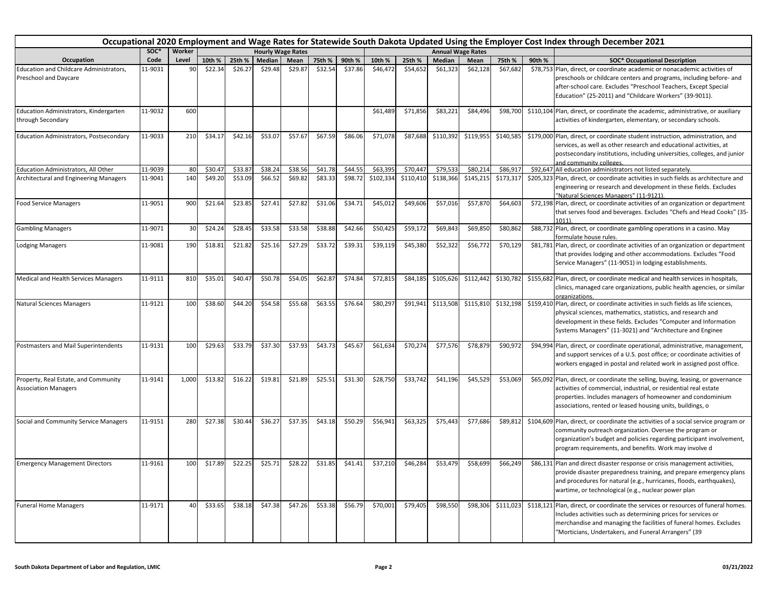|                                                                     |         |        |         |         |                          |         |         |         |           |           |           |                          |           |        | Occupational 2020 Employment and Wage Rates for Statewide South Dakota Updated Using the Employer Cost Index through December 2021                                                                                                                                                |
|---------------------------------------------------------------------|---------|--------|---------|---------|--------------------------|---------|---------|---------|-----------|-----------|-----------|--------------------------|-----------|--------|-----------------------------------------------------------------------------------------------------------------------------------------------------------------------------------------------------------------------------------------------------------------------------------|
|                                                                     | soc*    | Worker |         |         | <b>Hourly Wage Rates</b> |         |         |         |           |           |           | <b>Annual Wage Rates</b> |           |        |                                                                                                                                                                                                                                                                                   |
| Occupation                                                          | Code    | Level  | 10th %  | 25th %  | Median                   | Mean    | 75th %  | 90th %  | 10th %    | 25th %    | Median    | Mean                     | 75th %    | 90th % | <b>SOC* Occupational Description</b>                                                                                                                                                                                                                                              |
| Education and Childcare Administrators,<br>Preschool and Daycare    | 11-9031 | 90     | \$22.34 | \$26.27 | \$29.48                  | \$29.87 | \$32.54 | \$37.86 | \$46,472  | \$54,652  | \$61,323  | \$62,128                 | \$67,682  |        | \$78,753 Plan, direct, or coordinate academic or nonacademic activities of<br>preschools or childcare centers and programs, including before- and<br>after-school care. Excludes "Preschool Teachers, Except Special<br>Education" (25-2011) and "Childcare Workers" (39-9011).   |
| Education Administrators, Kindergarten<br>through Secondary         | 11-9032 | 600    |         |         |                          |         |         |         | \$61,489  | \$71,856  | \$83,221  | \$84,496                 | \$98,700  |        | \$110,104 Plan, direct, or coordinate the academic, administrative, or auxiliary<br>activities of kindergarten, elementary, or secondary schools.                                                                                                                                 |
| <b>Education Administrators, Postsecondary</b>                      | 11-9033 | 210    | \$34.17 | \$42.16 | \$53.07                  | \$57.67 | \$67.59 | \$86.06 | \$71,078  | \$87,688  | \$110,392 | \$119,955                | \$140,585 |        | \$179,000 Plan, direct, or coordinate student instruction, administration, and<br>services, as well as other research and educational activities, at<br>postsecondary institutions, including universities, colleges, and junior<br>and community colleges.                       |
| Education Administrators, All Other                                 | 11-9039 | 80     | \$30.47 | \$33.87 | \$38.24                  | \$38.56 | \$41.78 | \$44.5  | \$63,395  | \$70,447  | \$79,533  | \$80,214                 | \$86,91   |        | \$92,647 All education administrators not listed separately.                                                                                                                                                                                                                      |
| Architectural and Engineering Managers                              | 11-9041 | 140    | \$49.20 | \$53.09 | \$66.52                  | \$69.82 | \$83.33 | \$98.72 | \$102,334 | \$110,410 | \$138,366 | \$145,215                | \$173,317 |        | \$205,323 Plan, direct, or coordinate activities in such fields as architecture and<br>engineering or research and development in these fields. Excludes<br>"Natural Sciences Managers" (11-9121).                                                                                |
| <b>Food Service Managers</b>                                        | 11-9051 | 900    | \$21.64 | \$23.85 | \$27.41                  | \$27.82 | \$31.06 | \$34.71 | \$45,012  | \$49,606  | \$57,016  | \$57,870                 | \$64,603  |        | \$72,198 Plan, direct, or coordinate activities of an organization or department<br>that serves food and beverages. Excludes "Chefs and Head Cooks" (35-<br>$1011$ ).                                                                                                             |
| <b>Gambling Managers</b>                                            | 11-9071 | 30     | \$24.24 | \$28.45 | \$33.58                  | \$33.58 | \$38.88 | \$42.66 | \$50,425  | \$59,172  | \$69,843  | \$69,850                 | \$80,862  |        | \$88,732 Plan, direct, or coordinate gambling operations in a casino. May<br>formulate house rules.                                                                                                                                                                               |
| <b>Lodging Managers</b>                                             | 11-9081 | 190    | \$18.81 | \$21.82 | \$25.16                  | \$27.29 | \$33.72 | \$39.31 | \$39,119  | \$45,380  | \$52,322  | \$56,772                 | \$70,129  |        | \$81,781 Plan, direct, or coordinate activities of an organization or department<br>that provides lodging and other accommodations. Excludes "Food<br>Service Managers" (11-9051) in lodging establishments.                                                                      |
| Medical and Health Services Managers                                | 11-9111 | 810    | \$35.01 | \$40.47 | \$50.78                  | \$54.05 | \$62.87 | \$74.84 | \$72,815  | \$84,185  | \$105,626 | \$112,442                | \$130,782 |        | \$155,682 Plan, direct, or coordinate medical and health services in hospitals,<br>clinics, managed care organizations, public health agencies, or similar<br>organizations.                                                                                                      |
| <b>Natural Sciences Managers</b>                                    | 11-9121 | 100    | \$38.60 | \$44.20 | \$54.58                  | \$55.68 | \$63.55 | \$76.64 | \$80,297  | \$91,941  | \$113,508 | \$115,810                | \$132,198 |        | \$159,410 Plan, direct, or coordinate activities in such fields as life sciences,<br>physical sciences, mathematics, statistics, and research and<br>development in these fields. Excludes "Computer and Information<br>Systems Managers" (11-3021) and "Architecture and Enginee |
| Postmasters and Mail Superintendents                                | 11-9131 | 100    | \$29.63 | \$33.79 | \$37.30                  | \$37.93 | \$43.73 | \$45.67 | \$61,634  | \$70,274  | \$77,576  | \$78,879                 | \$90,972  |        | \$94,994 Plan, direct, or coordinate operational, administrative, management,<br>and support services of a U.S. post office; or coordinate activities of<br>workers engaged in postal and related work in assigned post office.                                                   |
| Property, Real Estate, and Community<br><b>Association Managers</b> | 11-9141 | 1,000  | \$13.82 | \$16.22 | \$19.81                  | \$21.89 | \$25.51 | \$31.30 | \$28,750  | \$33,742  | \$41,196  | \$45,529                 | \$53,069  |        | \$65,092 Plan, direct, or coordinate the selling, buying, leasing, or governance<br>activities of commercial, industrial, or residential real estate<br>properties. Includes managers of homeowner and condominium<br>associations, rented or leased housing units, buildings, o  |
| Social and Community Service Managers                               | 11-9151 | 280    | \$27.38 | \$30.44 | \$36.27                  | \$37.35 | \$43.18 | \$50.29 | \$56,941  | \$63,325  | \$75,443  | \$77,686                 | \$89,812  |        | \$104,609 Plan, direct, or coordinate the activities of a social service program or<br>community outreach organization. Oversee the program or<br>organization's budget and policies regarding participant involvement,<br>program requirements, and benefits. Work may involve d |
| <b>Emergency Management Directors</b>                               | 11-9161 | 100    | \$17.89 | \$22.25 | \$25.71                  | \$28.22 | \$31.85 | \$41.41 | \$37,210  | \$46,284  | \$53,479  | \$58,699                 | \$66,249  |        | \$86,131 Plan and direct disaster response or crisis management activities,<br>provide disaster preparedness training, and prepare emergency plans<br>and procedures for natural (e.g., hurricanes, floods, earthquakes),<br>wartime, or technological (e.g., nuclear power plan  |
| <b>Funeral Home Managers</b>                                        | 11-9171 | 40     | \$33.65 | \$38.18 | \$47.38                  | \$47.26 | \$53.38 | \$56.79 | \$70,001  | \$79,405  | \$98,550  | \$98,306                 | \$111,023 |        | \$118,121 Plan, direct, or coordinate the services or resources of funeral homes.<br>Includes activities such as determining prices for services or<br>merchandise and managing the facilities of funeral homes. Excludes<br>"Morticians, Undertakers, and Funeral Arrangers" (39 |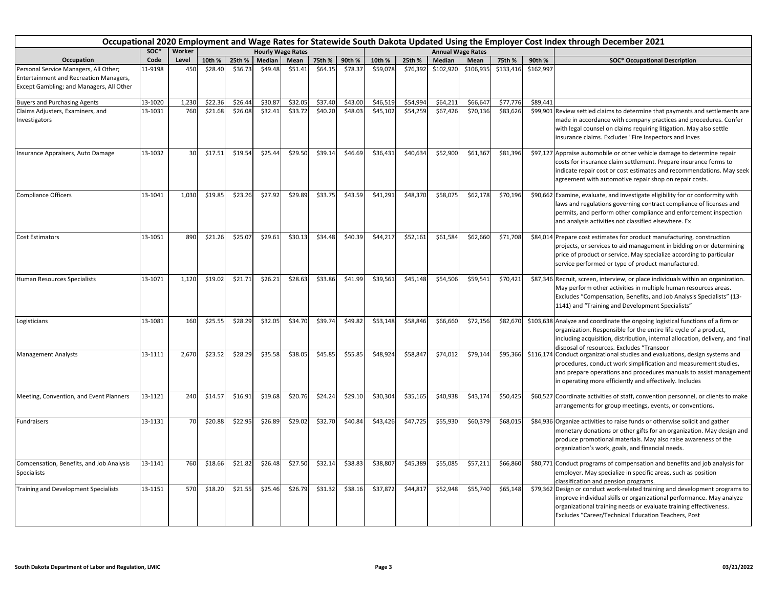|                                                                                                                             | Occupational 2020 Employment and Wage Rates for Statewide South Dakota Updated Using the Employer Cost Index through December 2021<br>SOC*<br>Worker<br><b>Hourly Wage Rates</b><br><b>Annual Wage Rates</b> |       |         |         |         |         |         |         |          |          |           |           |           |           |                                                                                                                                                                                                                                                                                   |
|-----------------------------------------------------------------------------------------------------------------------------|--------------------------------------------------------------------------------------------------------------------------------------------------------------------------------------------------------------|-------|---------|---------|---------|---------|---------|---------|----------|----------|-----------|-----------|-----------|-----------|-----------------------------------------------------------------------------------------------------------------------------------------------------------------------------------------------------------------------------------------------------------------------------------|
|                                                                                                                             |                                                                                                                                                                                                              |       |         |         |         |         |         |         |          |          |           |           |           |           |                                                                                                                                                                                                                                                                                   |
| Occupation                                                                                                                  | Code                                                                                                                                                                                                         | Level | 10th %  | 25th %  | Median  | Mean    | 75th %  | 90th %  | 10th %   | 25th %   | Median    | Mean      | 75th %    | 90th %    | <b>SOC* Occupational Description</b>                                                                                                                                                                                                                                              |
| Personal Service Managers, All Other;<br>Entertainment and Recreation Managers,<br>Except Gambling; and Managers, All Other | 11-9198                                                                                                                                                                                                      | 450   | \$28.40 | \$36.73 | \$49.48 | \$51.41 | \$64.15 | \$78.37 | \$59,078 | \$76,392 | \$102,920 | \$106,935 | \$133,416 | \$162,997 |                                                                                                                                                                                                                                                                                   |
| <b>Buyers and Purchasing Agents</b>                                                                                         | 13-1020                                                                                                                                                                                                      | 1,230 | \$22.36 | \$26.44 | \$30.87 | \$32.05 | \$37.40 | \$43.00 | \$46,519 | \$54,994 | \$64,211  | \$66,647  | \$77,776  | \$89,441  |                                                                                                                                                                                                                                                                                   |
| Claims Adjusters, Examiners, and<br>Investigators                                                                           | 13-1031                                                                                                                                                                                                      | 760   | \$21.68 | \$26.08 | \$32.41 | \$33.72 | \$40.20 | \$48.03 | \$45,102 | \$54,259 | \$67,426  | \$70,136  | \$83,626  |           | \$99,901 Review settled claims to determine that payments and settlements are<br>made in accordance with company practices and procedures. Confer<br>with legal counsel on claims requiring litigation. May also settle<br>insurance claims. Excludes "Fire Inspectors and Inves  |
| Insurance Appraisers, Auto Damage                                                                                           | 13-1032                                                                                                                                                                                                      | 30    | \$17.51 | \$19.54 | \$25.44 | \$29.50 | \$39.14 | \$46.69 | \$36,431 | \$40,634 | \$52,900  | \$61,367  | \$81,396  |           | \$97,127 Appraise automobile or other vehicle damage to determine repair<br>costs for insurance claim settlement. Prepare insurance forms to<br>indicate repair cost or cost estimates and recommendations. May seek<br>agreement with automotive repair shop on repair costs.    |
| <b>Compliance Officers</b>                                                                                                  | 13-1041                                                                                                                                                                                                      | 1,030 | \$19.85 | \$23.26 | \$27.92 | \$29.89 | \$33.75 | \$43.59 | \$41,291 | \$48,370 | \$58,075  | \$62,178  | \$70,196  |           | \$90,662 Examine, evaluate, and investigate eligibility for or conformity with<br>laws and regulations governing contract compliance of licenses and<br>permits, and perform other compliance and enforcement inspection<br>and analysis activities not classified elsewhere. Ex  |
| <b>Cost Estimators</b>                                                                                                      | 13-1051                                                                                                                                                                                                      | 890   | \$21.26 | \$25.07 | \$29.61 | \$30.13 | \$34.48 | \$40.39 | \$44,217 | \$52,161 | \$61,584  | \$62,660  | \$71,708  |           | \$84,014 Prepare cost estimates for product manufacturing, construction<br>projects, or services to aid management in bidding on or determining<br>price of product or service. May specialize according to particular<br>service performed or type of product manufactured.      |
| Human Resources Specialists                                                                                                 | 13-1071                                                                                                                                                                                                      | 1,120 | \$19.02 | \$21.71 | \$26.21 | \$28.63 | \$33.86 | \$41.99 | \$39,561 | \$45,148 | \$54,506  | \$59,541  | \$70,421  |           | \$87,346 Recruit, screen, interview, or place individuals within an organization.<br>May perform other activities in multiple human resources areas.<br>Excludes "Compensation, Benefits, and Job Analysis Specialists" (13-<br>1141) and "Training and Development Specialists"  |
| Logisticians                                                                                                                | 13-1081                                                                                                                                                                                                      | 160   | \$25.55 | \$28.29 | \$32.05 | \$34.70 | \$39.74 | \$49.82 | \$53,148 | \$58,846 | \$66,660  | \$72,156  | \$82,670  |           | \$103,638 Analyze and coordinate the ongoing logistical functions of a firm or<br>organization. Responsible for the entire life cycle of a product,<br>including acquisition, distribution, internal allocation, delivery, and final<br>disposal of resources. Excludes "Transpor |
| <b>Management Analysts</b>                                                                                                  | 13-1111                                                                                                                                                                                                      | 2,670 | \$23.52 | \$28.29 | \$35.58 | \$38.05 | \$45.85 | \$55.85 | \$48,924 | \$58,847 | \$74,012  | \$79,144  | \$95,366  |           | \$116,174 Conduct organizational studies and evaluations, design systems and<br>procedures, conduct work simplification and measurement studies,<br>and prepare operations and procedures manuals to assist management<br>in operating more efficiently and effectively. Includes |
| Meeting, Convention, and Event Planners                                                                                     | 13-1121                                                                                                                                                                                                      | 240   | \$14.5  | \$16.91 | \$19.68 | \$20.76 | \$24.24 | \$29.10 | \$30,304 | \$35,165 | \$40,938  | \$43,174  | \$50,425  |           | \$60,527 Coordinate activities of staff, convention personnel, or clients to make<br>arrangements for group meetings, events, or conventions.                                                                                                                                     |
| Fundraisers                                                                                                                 | 13-1131                                                                                                                                                                                                      | 70    | \$20.88 | \$22.95 | \$26.89 | \$29.02 | \$32.70 | \$40.84 | \$43,426 | \$47,725 | \$55,930  | \$60,379  | \$68,015  |           | \$84,936 Organize activities to raise funds or otherwise solicit and gather<br>monetary donations or other gifts for an organization. May design and<br>produce promotional materials. May also raise awareness of the<br>organization's work, goals, and financial needs.        |
| Compensation, Benefits, and Job Analysis<br>Specialists                                                                     | 13-1141                                                                                                                                                                                                      | 760   | \$18.66 | \$21.82 | \$26.48 | \$27.50 | \$32.14 | \$38.83 | \$38,807 | \$45,389 | \$55,085  | \$57,211  | \$66,860  |           | \$80,771 Conduct programs of compensation and benefits and job analysis for<br>employer. May specialize in specific areas, such as position<br>classification and pension programs.                                                                                               |
| Training and Development Specialists                                                                                        | 13-1151                                                                                                                                                                                                      | 570   | \$18.20 | \$21.55 | \$25.46 | \$26.79 | \$31.32 | \$38.16 | \$37,872 | \$44,817 | \$52,948  | \$55,740  | \$65,148  |           | \$79,362 Design or conduct work-related training and development programs to<br>improve individual skills or organizational performance. May analyze<br>organizational training needs or evaluate training effectiveness.<br>Excludes "Career/Technical Education Teachers, Post  |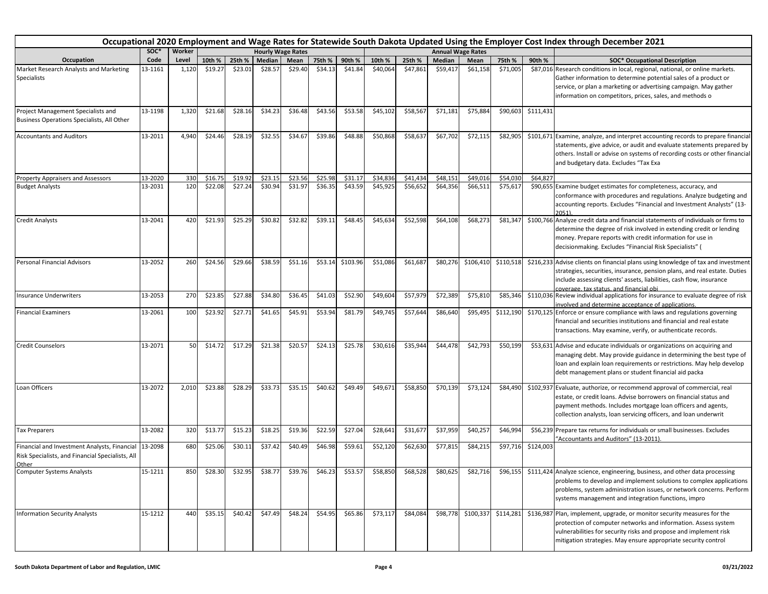|                                                                                                                   | Occupational 2020 Employment and Wage Rates for Statewide South Dakota Updated Using the Employer Cost Index through December 2021 |        |         |                 |                          |         |         |                  |          |          |                   |                          |           |           |                                                                                                                                                                                                                                                                                            |
|-------------------------------------------------------------------------------------------------------------------|------------------------------------------------------------------------------------------------------------------------------------|--------|---------|-----------------|--------------------------|---------|---------|------------------|----------|----------|-------------------|--------------------------|-----------|-----------|--------------------------------------------------------------------------------------------------------------------------------------------------------------------------------------------------------------------------------------------------------------------------------------------|
|                                                                                                                   | SOC*                                                                                                                               | Worker |         |                 | <b>Hourly Wage Rates</b> |         |         |                  |          |          |                   | <b>Annual Wage Rates</b> |           |           |                                                                                                                                                                                                                                                                                            |
| Occupation                                                                                                        | Code                                                                                                                               | Level  | 10th %  | 25th %          | Median                   | Mean    | 75th %  | 90th %           | 10th %   | 25th %   | Median            | Mean                     | 75th %    | 90th %    | <b>SOC* Occupational Description</b>                                                                                                                                                                                                                                                       |
| Market Research Analysts and Marketing<br><b>Specialists</b>                                                      | 13-1161                                                                                                                            | 1,120  | \$19.27 | \$23.01         | \$28.57                  | \$29.40 | \$34.13 | \$41.84          | \$40,064 | \$47,861 | \$59,417          | \$61,158                 | \$71,005  |           | \$87,016 Research conditions in local, regional, national, or online markets.<br>Gather information to determine potential sales of a product or<br>service, or plan a marketing or advertising campaign. May gather<br>information on competitors, prices, sales, and methods o           |
| Project Management Specialists and<br>Business Operations Specialists, All Other                                  | 13-1198                                                                                                                            | 1,320  | \$21.68 | \$28.16         | \$34.23                  | \$36.48 | \$43.56 | \$53.58          | \$45,102 | \$58,567 | \$71,181          | \$75,884                 | \$90,603  | \$111,431 |                                                                                                                                                                                                                                                                                            |
| <b>Accountants and Auditors</b>                                                                                   | 13-2011                                                                                                                            | 4,940  | \$24.46 | \$28.19         | \$32.55                  | \$34.67 | \$39.86 | \$48.88          | \$50,868 | \$58,637 | \$67,702          | \$72,115                 | \$82,905  |           | \$101,671 Examine, analyze, and interpret accounting records to prepare financial<br>statements, give advice, or audit and evaluate statements prepared by<br>others. Install or advise on systems of recording costs or other financial<br>and budgetary data. Excludes "Tax Exa          |
| <b>Property Appraisers and Assessors</b>                                                                          | 13-2020                                                                                                                            | 330    | \$16.75 | \$19.92         | \$23.15                  | \$23.56 | \$25.98 | \$31.17          | \$34,836 | \$41,434 | \$48,151          | \$49,016                 | \$54,030  | \$64,827  |                                                                                                                                                                                                                                                                                            |
| <b>Budget Analysts</b>                                                                                            | 13-2031                                                                                                                            | 120    | \$22.08 | \$27.24         | \$30.94                  | \$31.97 | \$36.35 | \$43.59          | \$45,925 | \$56,652 | \$64,356          | \$66,511                 | \$75,617  |           | \$90,655 Examine budget estimates for completeness, accuracy, and<br>conformance with procedures and regulations. Analyze budgeting and<br>accounting reports. Excludes "Financial and Investment Analysts" (13-<br>2051)                                                                  |
| <b>Credit Analysts</b>                                                                                            | 13-2041                                                                                                                            | 420    | \$21.93 | \$25.29         | \$30.82                  | \$32.82 | \$39.11 | \$48.45          | \$45,634 | \$52,598 | \$64,108          | \$68,273                 | \$81,347  |           | \$100,766 Analyze credit data and financial statements of individuals or firms to<br>determine the degree of risk involved in extending credit or lending<br>money. Prepare reports with credit information for use in<br>decisionmaking. Excludes "Financial Risk Specialists" (          |
| Personal Financial Advisors                                                                                       | 13-2052                                                                                                                            | 260    | \$24.56 | \$29.66         | \$38.59                  | \$51.16 |         | \$53.14 \$103.96 | \$51,086 | \$61,687 | \$80,276          | \$106,410                | \$110,518 |           | \$216,233 Advise clients on financial plans using knowledge of tax and investment<br>strategies, securities, insurance, pension plans, and real estate. Duties<br>include assessing clients' assets, liabilities, cash flow, insurance<br>coverage. tax status. and financial obi          |
| <b>Insurance Underwriters</b>                                                                                     | 13-2053                                                                                                                            | 270    | \$23.85 | \$27.88         | \$34.80                  | \$36.45 | \$41.03 | \$52.90          | \$49,604 | \$57,979 | \$72,389          | \$75,810                 | \$85,346  |           | \$110,036 Review individual applications for insurance to evaluate degree of risk<br>involved and determine acceptance of applications.                                                                                                                                                    |
| <b>Financial Examiners</b>                                                                                        | 13-2061                                                                                                                            | 100    | \$23.92 | \$27.71         | \$41.65                  | \$45.91 | \$53.94 | \$81.79          | \$49,745 | \$57,644 | \$86,640          | \$95,495                 | \$112,190 |           | \$170,125 Enforce or ensure compliance with laws and regulations governing<br>financial and securities institutions and financial and real estate<br>transactions. May examine, verify, or authenticate records.                                                                           |
| <b>Credit Counselors</b>                                                                                          | 13-2071                                                                                                                            | 50     | \$14.72 | \$17.29         | \$21.38                  | \$20.57 | \$24.13 | \$25.78          | \$30,616 | \$35,944 | \$44,478          | \$42,793                 | \$50,199  |           | \$53,631 Advise and educate individuals or organizations on acquiring and<br>managing debt. May provide guidance in determining the best type of<br>loan and explain loan requirements or restrictions. May help develop<br>debt management plans or student financial aid packa           |
| Loan Officers                                                                                                     | 13-2072                                                                                                                            | 2,010  | \$23.88 | \$28.29         | \$33.73                  | \$35.15 | \$40.62 | \$49.49          | \$49,671 | \$58,850 | \$70,139          | \$73,124                 | \$84,490  |           | \$102,937 Evaluate, authorize, or recommend approval of commercial, real<br>estate, or credit loans. Advise borrowers on financial status and<br>payment methods. Includes mortgage loan officers and agents,<br>collection analysts, loan servicing officers, and loan underwrit          |
| <b>Tax Preparers</b>                                                                                              | 13-2082                                                                                                                            | 320    | \$13.77 | \$15.23         | \$18.25                  | \$19.36 | \$22.59 | \$27.04          | \$28,641 | \$31,677 | \$37,959          | \$40,257                 | \$46,994  |           | \$56,239 Prepare tax returns for individuals or small businesses. Excludes<br>"Accountants and Auditors" (13-2011).                                                                                                                                                                        |
| Financial and Investment Analysts, Financial 13-2098<br>Risk Specialists, and Financial Specialists, All<br>Other |                                                                                                                                    | 680    | \$25.06 | \$30.11         | \$37.42                  | \$40.49 | \$46.98 | \$59.61          | \$52,120 | \$62,630 | \$77,815          | \$84,215                 | \$97,716  | \$124,003 |                                                                                                                                                                                                                                                                                            |
| Computer Systems Analysts                                                                                         | 15-1211                                                                                                                            | 850    |         | \$28.30 \$32.95 | \$38.77                  | \$39.76 | \$46.23 | \$53.57          | \$58,850 |          | \$68,528 \$80,625 | \$82,716                 |           |           | \$96,155 \$111,424 Analyze science, engineering, business, and other data processing<br>problems to develop and implement solutions to complex applications<br>problems, system administration issues, or network concerns. Perform<br>systems management and integration functions, impro |
| <b>Information Security Analysts</b>                                                                              | 15-1212                                                                                                                            | 440    | \$35.15 | \$40.42         | \$47.49                  | \$48.24 | \$54.95 | \$65.86          | \$73,117 | \$84,084 |                   | \$98,778 \$100,337       | \$114,281 |           | \$136,987 Plan, implement, upgrade, or monitor security measures for the<br>protection of computer networks and information. Assess system<br>vulnerabilities for security risks and propose and implement risk<br>mitigation strategies. May ensure appropriate security control          |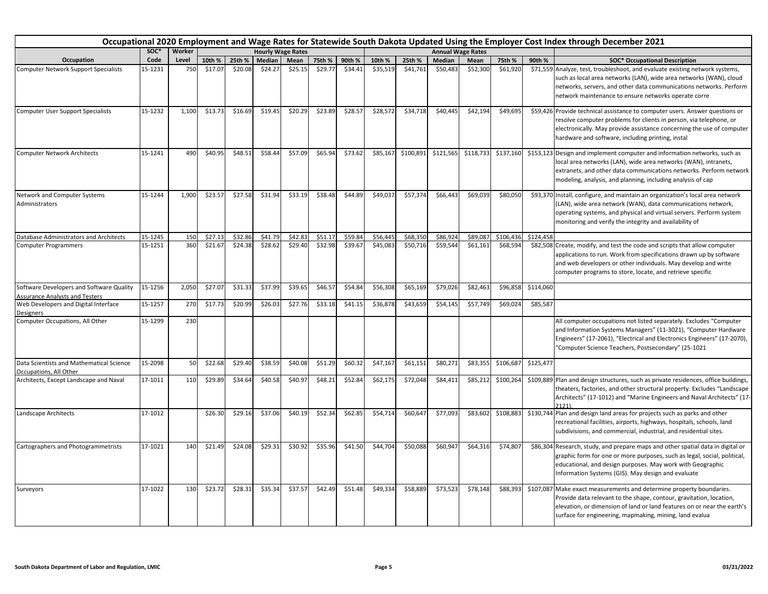|                                                                                   | Occupational 2020 Employment and Wage Rates for Statewide South Dakota Updated Using the Employer Cost Index through December 2021<br>soc*<br>Worker<br><b>Hourly Wage Rates</b><br><b>Annual Wage Rates</b> |       |         |         |         |         |         |         |          |           |           |           |           |           |                                                                                                                                                                                                                                                                                   |
|-----------------------------------------------------------------------------------|--------------------------------------------------------------------------------------------------------------------------------------------------------------------------------------------------------------|-------|---------|---------|---------|---------|---------|---------|----------|-----------|-----------|-----------|-----------|-----------|-----------------------------------------------------------------------------------------------------------------------------------------------------------------------------------------------------------------------------------------------------------------------------------|
|                                                                                   |                                                                                                                                                                                                              |       |         |         |         |         |         |         |          |           |           |           |           |           |                                                                                                                                                                                                                                                                                   |
| Occupation                                                                        | Code                                                                                                                                                                                                         | Level | 10th %  | 25th %  | Median  | Mean    | 75th %  | 90th %  | 10th %   | 25th %    | Median    | Mean      | 75th %    | 90th %    | <b>SOC* Occupational Description</b>                                                                                                                                                                                                                                              |
| <b>Computer Network Support Specialists</b>                                       | 15-1231                                                                                                                                                                                                      | 750   | \$17.07 | \$20.08 | \$24.27 | \$25.15 | \$29.77 | \$34.41 | \$35,519 | \$41,761  | \$50,483  | \$52,300  | \$61,920  |           | \$71,559 Analyze, test, troubleshoot, and evaluate existing network systems,<br>such as local area networks (LAN), wide area networks (WAN), cloud<br>networks, servers, and other data communications networks. Perform<br>network maintenance to ensure networks operate corre  |
| <b>Computer User Support Specialists</b>                                          | 15-1232                                                                                                                                                                                                      | 1,100 | \$13.73 | \$16.69 | \$19.45 | \$20.29 | \$23.89 | \$28.57 | \$28,572 | \$34,718  | \$40,445  | \$42,194  | \$49,695  |           | \$59,426 Provide technical assistance to computer users. Answer questions or<br>resolve computer problems for clients in person, via telephone, or<br>electronically. May provide assistance concerning the use of computer<br>hardware and software, including printing, instal  |
| <b>Computer Network Architects</b>                                                | 15-1241                                                                                                                                                                                                      | 490   | \$40.95 | \$48.51 | \$58.44 | \$57.09 | \$65.94 | \$73.62 | \$85,167 | \$100,891 | \$121,565 | \$118,733 | \$137,160 |           | \$153,123 Design and implement computer and information networks, such as<br>local area networks (LAN), wide area networks (WAN), intranets,<br>extranets, and other data communications networks. Perform network<br>modeling, analysis, and planning, including analysis of cap |
| Network and Computer Systems<br>Administrators                                    | 15-1244                                                                                                                                                                                                      | 1,900 | \$23.57 | \$27.58 | \$31.94 | \$33.19 | \$38.48 | \$44.89 | \$49,037 | \$57,374  | \$66,443  | \$69,039  | \$80,050  |           | \$93,370 Install, configure, and maintain an organization's local area network<br>(LAN), wide area network (WAN), data communications network,<br>operating systems, and physical and virtual servers. Perform system<br>monitoring and verify the integrity and availability of  |
| Database Administrators and Architects                                            | 15-1245                                                                                                                                                                                                      | 150   | \$27.13 | \$32.86 | \$41.79 | \$42.83 | \$51.17 | \$59.84 | \$56,445 | \$68,350  | \$86,924  | \$89,087  | \$106,436 | \$124,458 |                                                                                                                                                                                                                                                                                   |
| <b>Computer Programmers</b>                                                       | 15-1251                                                                                                                                                                                                      | 360   | \$21.67 | \$24.38 | \$28.62 | \$29.40 | \$32.98 | \$39.67 | \$45,083 | \$50,716  | \$59,544  | \$61,161  | \$68,594  |           | \$82,508 Create, modify, and test the code and scripts that allow computer<br>applications to run. Work from specifications drawn up by software<br>and web developers or other individuals. May develop and write<br>computer programs to store, locate, and retrieve specific   |
| Software Developers and Software Quality<br><b>Assurance Analysts and Testers</b> | 15-1256                                                                                                                                                                                                      | 2,050 | \$27.07 | \$31.33 | \$37.99 | \$39.65 | \$46.57 | \$54.84 | \$56,308 | \$65,169  | \$79,026  | \$82,463  | \$96,858  | \$114,060 |                                                                                                                                                                                                                                                                                   |
| Web Developers and Digital Interface<br><b>Designers</b>                          | 15-1257                                                                                                                                                                                                      | 270   | \$17.73 | \$20.99 | \$26.03 | \$27.76 | \$33.18 | \$41.15 | \$36,878 | \$43,659  | \$54,145  | \$57,749  | \$69,024  | \$85,587  |                                                                                                                                                                                                                                                                                   |
| Computer Occupations, All Other                                                   | 15-1299                                                                                                                                                                                                      | 230   |         |         |         |         |         |         |          |           |           |           |           |           | All computer occupations not listed separately. Excludes "Computer<br>and Information Systems Managers" (11-3021), "Computer Hardware<br>Engineers" (17-2061), "Electrical and Electronics Engineers" (17-2070),<br>"Computer Science Teachers, Postsecondary" (25-1021           |
| Data Scientists and Mathematical Science<br>Occupations, All Other                | 15-2098                                                                                                                                                                                                      | 50    | \$22.68 | \$29.40 | \$38.59 | \$40.08 | \$51.29 | \$60.32 | \$47,167 | \$61,151  | \$80,271  | \$83,355  | \$106,687 | \$125,477 |                                                                                                                                                                                                                                                                                   |
| Architects, Except Landscape and Naval                                            | 17-1011                                                                                                                                                                                                      | 110   | \$29.89 | \$34.64 | \$40.58 | \$40.97 | \$48.21 | \$52.84 | \$62,175 | \$72,048  | \$84,411  | \$85,212  | \$100,264 |           | \$109,889 Plan and design structures, such as private residences, office buildings,<br>theaters, factories, and other structural property. Excludes "Landscape<br>Architects" (17-1012) and "Marine Engineers and Naval Architects" (17<br>2121                                   |
| Landscape Architects                                                              | 17-1012                                                                                                                                                                                                      |       | \$26.30 | \$29.16 | \$37.06 | \$40.19 | \$52.34 | \$62.85 | \$54,714 | \$60,647  | \$77,093  | \$83,602  | \$108,883 |           | \$130,744 Plan and design land areas for projects such as parks and other<br>recreational facilities, airports, highways, hospitals, schools, land<br>subdivisions, and commercial, industrial, and residential sites.                                                            |
| Cartographers and Photogrammetrists                                               | 17-1021                                                                                                                                                                                                      | 140   | \$21.49 | \$24.08 | \$29.31 | \$30.92 | \$35.96 | \$41.50 | \$44,704 | \$50,088  | \$60,947  | \$64,316  | \$74,807  |           | \$86,304 Research, study, and prepare maps and other spatial data in digital or<br>graphic form for one or more purposes, such as legal, social, political,<br>educational, and design purposes. May work with Geographic<br>Information Systems (GIS). May design and evaluate   |
| Surveyors                                                                         | 17-1022                                                                                                                                                                                                      | 130   | \$23.72 | \$28.31 | \$35.34 | \$37.57 | \$42.49 | \$51.48 | \$49,334 | \$58,889  | \$73,523  | \$78,148  | \$88,393  |           | \$107,087 Make exact measurements and determine property boundaries.<br>Provide data relevant to the shape, contour, gravitation, location,<br>elevation, or dimension of land or land features on or near the earth's<br>surface for engineering, mapmaking, mining, land evalua |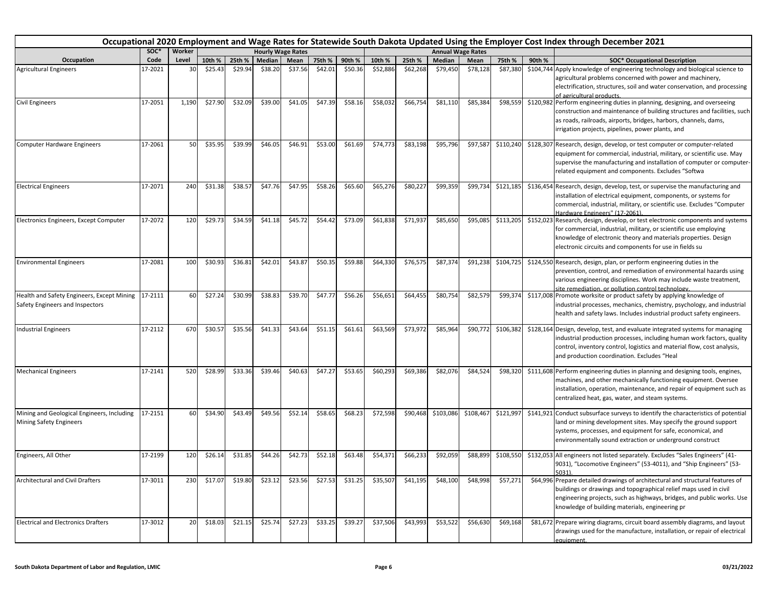|                                                                                       | Occupational 2020 Employment and Wage Rates for Statewide South Dakota Updated Using the Employer Cost Index through December 2021<br>SOC*<br>Worker<br><b>Hourly Wage Rates</b><br><b>Annual Wage Rates</b> |       |         |         |         |         |         |         |          |          |               |           |           |        |                                                                                                                                                                                                                                                                                    |
|---------------------------------------------------------------------------------------|--------------------------------------------------------------------------------------------------------------------------------------------------------------------------------------------------------------|-------|---------|---------|---------|---------|---------|---------|----------|----------|---------------|-----------|-----------|--------|------------------------------------------------------------------------------------------------------------------------------------------------------------------------------------------------------------------------------------------------------------------------------------|
|                                                                                       |                                                                                                                                                                                                              |       |         |         |         |         |         |         |          |          |               |           |           |        |                                                                                                                                                                                                                                                                                    |
| Occupation                                                                            | Code                                                                                                                                                                                                         | Level | 10th %  | 25th %  | Median  | Mean    | 75th %  | 90th %  | 10th %   | 25th %   | <b>Median</b> | Mean      | 75th %    | 90th % | <b>SOC* Occupational Description</b>                                                                                                                                                                                                                                               |
| <b>Agricultural Engineers</b>                                                         | 17-2021                                                                                                                                                                                                      | 30    | \$25.43 | \$29.94 | \$38.20 | \$37.56 | \$42.01 | \$50.36 | \$52,886 | \$62,268 | \$79,450      | \$78,128  | \$87,380  |        | \$104,744 Apply knowledge of engineering technology and biological science to<br>agricultural problems concerned with power and machinery,<br>electrification, structures, soil and water conservation, and processing<br>of agricultural products.                                |
| <b>Civil Engineers</b>                                                                | 17-2051                                                                                                                                                                                                      | 1,190 | \$27.90 | \$32.09 | \$39.00 | \$41.05 | \$47.39 | \$58.16 | \$58,032 | \$66,754 | \$81,110      | \$85,384  | \$98,559  |        | \$120,982 Perform engineering duties in planning, designing, and overseeing<br>construction and maintenance of building structures and facilities, such<br>as roads, railroads, airports, bridges, harbors, channels, dams,<br>irrigation projects, pipelines, power plants, and   |
| Computer Hardware Engineers                                                           | 17-2061                                                                                                                                                                                                      | 50    | \$35.95 | \$39.99 | \$46.05 | \$46.91 | \$53.00 | \$61.69 | \$74,773 | \$83,198 | \$95,796      | \$97,587  | \$110,240 |        | \$128,307 Research, design, develop, or test computer or computer-related<br>equipment for commercial, industrial, military, or scientific use. May<br>supervise the manufacturing and installation of computer or computer-<br>related equipment and components. Excludes "Softwa |
| <b>Electrical Engineers</b>                                                           | 17-2071                                                                                                                                                                                                      | 240   | \$31.38 | \$38.57 | \$47.76 | \$47.95 | \$58.26 | \$65.60 | \$65,276 | \$80,227 | \$99,359      | \$99,734  | \$121,185 |        | \$136,454 Research, design, develop, test, or supervise the manufacturing and<br>installation of electrical equipment, components, or systems for<br>commercial, industrial, military, or scientific use. Excludes "Computer<br>Hardware Engineers" (17-2061).                     |
| Electronics Engineers, Except Computer                                                | 17-2072                                                                                                                                                                                                      | 120   | \$29.73 | \$34.59 | \$41.18 | \$45.72 | \$54.42 | \$73.09 | \$61,838 | \$71,937 | \$85,650      | \$95,085  | \$113,205 |        | \$152,023 Research, design, develop, or test electronic components and systems<br>for commercial, industrial, military, or scientific use employing<br>knowledge of electronic theory and materials properties. Design<br>electronic circuits and components for use in fields su  |
| <b>Environmental Engineers</b>                                                        | 17-2081                                                                                                                                                                                                      | 100   | \$30.93 | \$36.81 | \$42.01 | \$43.87 | \$50.35 | \$59.88 | \$64,330 | \$76,575 | \$87,374      | \$91,238  | \$104,725 |        | \$124,550 Research, design, plan, or perform engineering duties in the<br>prevention, control, and remediation of environmental hazards using<br>various engineering disciplines. Work may include waste treatment,<br>site remediation, or pollution control technology.          |
| Health and Safety Engineers, Except Mining 17-2111<br>Safety Engineers and Inspectors |                                                                                                                                                                                                              | 60    | \$27.24 | \$30.99 | \$38.83 | \$39.70 | \$47.77 | \$56.26 | \$56,651 | \$64,455 | \$80,754      | \$82,579  | \$99,374  |        | \$117,008 Promote worksite or product safety by applying knowledge of<br>industrial processes, mechanics, chemistry, psychology, and industrial<br>health and safety laws. Includes industrial product safety engineers.                                                           |
| Industrial Engineers                                                                  | 17-2112                                                                                                                                                                                                      | 670   | \$30.57 | \$35.56 | \$41.33 | \$43.64 | \$51.15 | \$61.61 | \$63,569 | \$73,972 | \$85,964      | \$90,772  | \$106,382 |        | \$128,164 Design, develop, test, and evaluate integrated systems for managing<br>industrial production processes, including human work factors, quality<br>control, inventory control, logistics and material flow, cost analysis,<br>and production coordination. Excludes "Heal  |
| <b>Mechanical Engineers</b>                                                           | 17-2141                                                                                                                                                                                                      | 520   | \$28.99 | \$33.36 | \$39.46 | \$40.63 | \$47.27 | \$53.65 | \$60,293 | \$69,386 | \$82,076      | \$84,524  | \$98,320  |        | \$111,608 Perform engineering duties in planning and designing tools, engines,<br>machines, and other mechanically functioning equipment. Oversee<br>installation, operation, maintenance, and repair of equipment such as<br>centralized heat, gas, water, and steam systems.     |
| Mining and Geological Engineers, Including<br><b>Mining Safety Engineers</b>          | 17-2151                                                                                                                                                                                                      | 60    | \$34.90 | \$43.49 | \$49.56 | \$52.14 | \$58.65 | \$68.23 | \$72,598 | \$90,468 | \$103,086     | \$108,467 | \$121,997 |        | \$141,921 Conduct subsurface surveys to identify the characteristics of potential<br>land or mining development sites. May specify the ground support<br>systems, processes, and equipment for safe, economical, and<br>environmentally sound extraction or underground construct  |
| Engineers, All Other                                                                  | 17-2199                                                                                                                                                                                                      | 120   | \$26.14 | \$31.85 | \$44.26 | \$42.73 | \$52.18 | \$63.48 | \$54,371 | \$66,233 | \$92,059      | \$88,899  | \$108,550 |        | \$132,053 All engineers not listed separately. Excludes "Sales Engineers" (41-<br>9031), "Locomotive Engineers" (53-4011), and "Ship Engineers" (53-<br>5031).                                                                                                                     |
| <b>Architectural and Civil Drafters</b>                                               | 17-3011                                                                                                                                                                                                      | 230   | \$17.07 | \$19.80 | \$23.12 | \$23.56 | \$27.53 | \$31.25 | \$35,507 | \$41,195 | \$48,100      | \$48,998  | \$57,271  |        | \$64,996 Prepare detailed drawings of architectural and structural features of<br>buildings or drawings and topographical relief maps used in civil<br>engineering projects, such as highways, bridges, and public works. Use<br>knowledge of building materials, engineering pr   |
| <b>Electrical and Electronics Drafters</b>                                            | 17-3012                                                                                                                                                                                                      | 20    | \$18.03 | \$21.15 | \$25.74 | \$27.23 | \$33.25 | \$39.27 | \$37,506 | \$43,993 | \$53,522      | \$56,630  | \$69,168  |        | \$81,672 Prepare wiring diagrams, circuit board assembly diagrams, and layout<br>drawings used for the manufacture, installation, or repair of electrical<br>equipment.                                                                                                            |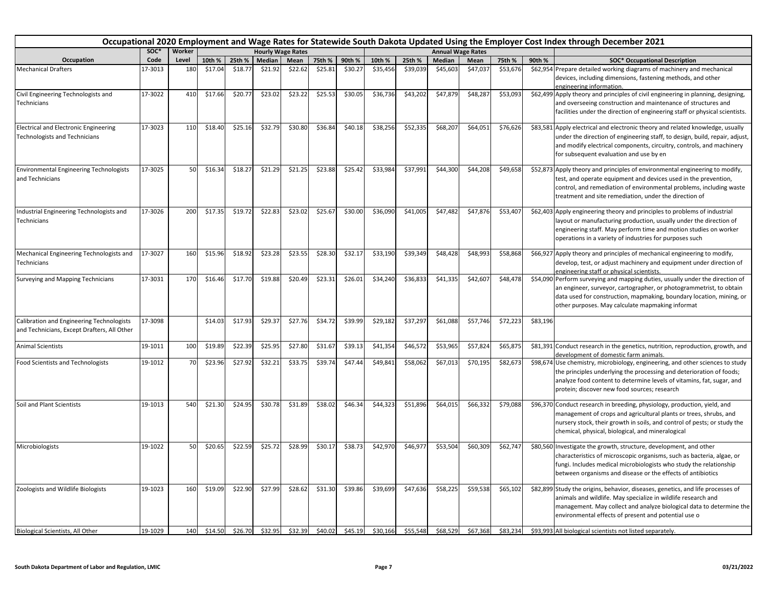|                                                                                          |         |        |         |         |         |                          |         |         |          |          |          |                          |          |          | Occupational 2020 Employment and Wage Rates for Statewide South Dakota Updated Using the Employer Cost Index through December 2021                                                                                                                                               |
|------------------------------------------------------------------------------------------|---------|--------|---------|---------|---------|--------------------------|---------|---------|----------|----------|----------|--------------------------|----------|----------|----------------------------------------------------------------------------------------------------------------------------------------------------------------------------------------------------------------------------------------------------------------------------------|
|                                                                                          | soc*    | Worker |         |         |         | <b>Hourly Wage Rates</b> |         |         |          |          |          | <b>Annual Wage Rates</b> |          |          |                                                                                                                                                                                                                                                                                  |
| Occupation                                                                               | Code    | Level  | 10th %  | 25th %  | Median  | Mean                     | 75th %  | 90th %  | 10th %   | 25th %   | Median   | Mean                     | 75th %   | 90th %   | <b>SOC* Occupational Description</b>                                                                                                                                                                                                                                             |
| <b>Mechanical Drafters</b>                                                               | 17-3013 | 180    | \$17.04 | \$18.7  | \$21.92 | \$22.62                  | \$25.81 | \$30.27 | \$35,456 | \$39,039 | \$45,603 | \$47,03                  | \$53,676 |          | \$62,954 Prepare detailed working diagrams of machinery and mechanical<br>devices, including dimensions, fastening methods, and other<br>engineering information.                                                                                                                |
| Civil Engineering Technologists and<br>Technicians                                       | 17-3022 | 410    | \$17.66 | \$20.77 | \$23.02 | \$23.22                  | \$25.53 | \$30.05 | \$36,736 | \$43,202 | \$47,879 | \$48,287                 | \$53,093 |          | \$62,499 Apply theory and principles of civil engineering in planning, designing,<br>and overseeing construction and maintenance of structures and<br>facilities under the direction of engineering staff or physical scientists.                                                |
| <b>Electrical and Electronic Engineering</b><br><b>Technologists and Technicians</b>     | 17-3023 | 110    | \$18.40 | \$25.16 | \$32.79 | \$30.80                  | \$36.84 | \$40.18 | \$38,256 | \$52,335 | \$68,207 | \$64,051                 | \$76,626 |          | \$83,581 Apply electrical and electronic theory and related knowledge, usually<br>under the direction of engineering staff, to design, build, repair, adjust,<br>and modify electrical components, circuitry, controls, and machinery<br>for subsequent evaluation and use by en |
| <b>Environmental Engineering Technologists</b><br>and Technicians                        | 17-3025 | 50     | \$16.34 | \$18.27 | \$21.29 | \$21.25                  | \$23.88 | \$25.42 | \$33,984 | \$37,991 | \$44,300 | \$44,208                 | \$49,658 |          | \$52,873 Apply theory and principles of environmental engineering to modify,<br>test, and operate equipment and devices used in the prevention,<br>control, and remediation of environmental problems, including waste<br>treatment and site remediation, under the direction of |
| Industrial Engineering Technologists and<br>Technicians                                  | 17-3026 | 200    | \$17.35 | \$19.72 | \$22.83 | \$23.02                  | \$25.67 | \$30.00 | \$36,090 | \$41,005 | \$47,482 | \$47,876                 | \$53,407 |          | \$62,403 Apply engineering theory and principles to problems of industrial<br>layout or manufacturing production, usually under the direction of<br>engineering staff. May perform time and motion studies on worker<br>operations in a variety of industries for purposes such  |
| Mechanical Engineering Technologists and<br>Technicians                                  | 17-3027 | 160    | \$15.96 | \$18.92 | \$23.28 | \$23.55                  | \$28.30 | \$32.17 | \$33,190 | \$39,349 | \$48,428 | \$48,993                 | \$58,868 |          | \$66,927 Apply theory and principles of mechanical engineering to modify,<br>develop, test, or adjust machinery and equipment under direction of<br>engineering staff or physical scientists.                                                                                    |
| Surveying and Mapping Technicians                                                        | 17-3031 | 170    | \$16.46 | \$17.70 | \$19.88 | \$20.49                  | \$23.31 | \$26.01 | \$34,240 | \$36,833 | \$41,335 | \$42,607                 | \$48,478 |          | \$54,090 Perform surveying and mapping duties, usually under the direction of<br>an engineer, surveyor, cartographer, or photogrammetrist, to obtain<br>data used for construction, mapmaking, boundary location, mining, or<br>other purposes. May calculate mapmaking informat |
| Calibration and Engineering Technologists<br>and Technicians, Except Drafters, All Other | 17-3098 |        | \$14.03 | \$17.93 | \$29.37 | \$27.76                  | \$34.72 | \$39.99 | \$29,182 | \$37,297 | \$61,088 | \$57,746                 | \$72,223 | \$83,196 |                                                                                                                                                                                                                                                                                  |
| <b>Animal Scientists</b>                                                                 | 19-1011 | 100    | \$19.89 | \$22.39 | \$25.95 | \$27.80                  | \$31.67 | \$39.13 | \$41,354 | \$46,572 | \$53,965 | \$57,82                  | \$65,875 |          | \$81,391 Conduct research in the genetics, nutrition, reproduction, growth, and<br>levelopment of domestic farm animals.                                                                                                                                                         |
| <b>Food Scientists and Technologists</b>                                                 | 19-1012 | 70     | \$23.96 | \$27.92 | \$32.21 | \$33.75                  | \$39.74 | \$47.44 | \$49,841 | \$58,062 | \$67,013 | \$70,195                 | \$82,673 |          | \$98,674 Use chemistry, microbiology, engineering, and other sciences to study<br>the principles underlying the processing and deterioration of foods;<br>analyze food content to determine levels of vitamins, fat, sugar, and<br>protein; discover new food sources; research  |
| Soil and Plant Scientists                                                                | 19-1013 | 540    | \$21.30 | \$24.95 | \$30.78 | \$31.89                  | \$38.02 | \$46.34 | \$44,323 | \$51,896 | \$64,015 | \$66,332                 | \$79,088 |          | \$96,370 Conduct research in breeding, physiology, production, yield, and<br>management of crops and agricultural plants or trees, shrubs, and<br>nursery stock, their growth in soils, and control of pests; or study the<br>chemical, physical, biological, and mineralogical  |
| Microbiologists                                                                          | 19-1022 | 50     | \$20.65 | \$22.59 | \$25.72 | \$28.99                  | \$30.17 | \$38.73 | \$42,970 | \$46,977 | \$53,504 | \$60,309                 | \$62,747 |          | \$80,560 Investigate the growth, structure, development, and other<br>characteristics of microscopic organisms, such as bacteria, algae, or<br>fungi. Includes medical microbiologists who study the relationship<br>between organisms and disease or the effects of antibiotics |
| Zoologists and Wildlife Biologists                                                       | 19-1023 | 160    | \$19.09 | \$22.90 | \$27.99 | \$28.62                  | \$31.30 | \$39.86 | \$39,699 | \$47,636 | \$58,225 | \$59,53                  | \$65,102 |          | \$82,899 Study the origins, behavior, diseases, genetics, and life processes of<br>animals and wildlife. May specialize in wildlife research and<br>management. May collect and analyze biological data to determine the<br>environmental effects of present and potential use o |
| Biological Scientists, All Other                                                         | 19-1029 | 140    | \$14.50 | \$26.70 | \$32.95 | \$32.39                  | \$40.02 | \$45.19 | \$30.166 | \$55,548 | \$68,529 | \$67,368                 | \$83,234 |          | \$93,993 All biological scientists not listed separately.                                                                                                                                                                                                                        |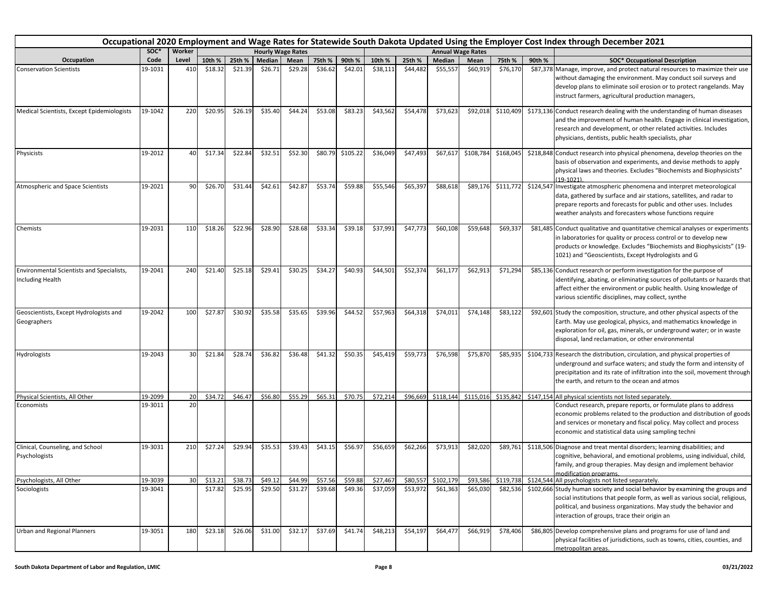|                                                                      | Occupational 2020 Employment and Wage Rates for Statewide South Dakota Updated Using the Employer Cost Index through December 2021<br><b>Hourly Wage Rates</b> |        |         |         |         |         |         |          |          |          |           |                          |           |        |                                                                                                                                                                                                                                                                                   |
|----------------------------------------------------------------------|----------------------------------------------------------------------------------------------------------------------------------------------------------------|--------|---------|---------|---------|---------|---------|----------|----------|----------|-----------|--------------------------|-----------|--------|-----------------------------------------------------------------------------------------------------------------------------------------------------------------------------------------------------------------------------------------------------------------------------------|
|                                                                      | SOC*                                                                                                                                                           | Worker |         |         |         |         |         |          |          |          |           | <b>Annual Wage Rates</b> |           |        |                                                                                                                                                                                                                                                                                   |
| Occupation                                                           | Code                                                                                                                                                           | Level  | 10th %  | 25th %  | Median  | Mean    | 75th %  | 90th %   | 10th %   | 25th %   | Median    | Mean                     | 75th %    | 90th % | <b>SOC* Occupational Description</b>                                                                                                                                                                                                                                              |
| <b>Conservation Scientists</b>                                       | 19-1031                                                                                                                                                        | 410    | \$18.32 | \$21.39 | \$26.71 | \$29.28 | \$36.62 | \$42.01  | \$38,111 | \$44,482 | \$55,55   | \$60,919                 | \$76,170  |        | \$87,378 Manage, improve, and protect natural resources to maximize their use<br>without damaging the environment. May conduct soil surveys and<br>develop plans to eliminate soil erosion or to protect rangelands. May<br>instruct farmers, agricultural production managers,   |
| Medical Scientists, Except Epidemiologists                           | 19-1042                                                                                                                                                        | 220    | \$20.95 | \$26.19 | \$35.40 | \$44.24 | \$53.08 | \$83.23  | \$43,562 | \$54,478 | \$73,623  | \$92,018                 | \$110,409 |        | \$173,136 Conduct research dealing with the understanding of human diseases<br>and the improvement of human health. Engage in clinical investigation,<br>research and development, or other related activities. Includes<br>physicians, dentists, public health specialists, phar |
| Physicists                                                           | 19-2012                                                                                                                                                        | 40     | \$17.34 | \$22.84 | \$32.51 | \$52.30 | \$80.79 | \$105.22 | \$36,049 | \$47,493 | \$67,61   | \$108,784                | \$168,045 |        | \$218,848 Conduct research into physical phenomena, develop theories on the<br>basis of observation and experiments, and devise methods to apply<br>physical laws and theories. Excludes "Biochemists and Biophysicists"<br>$(19-1021).$                                          |
| Atmospheric and Space Scientists                                     | 19-2021                                                                                                                                                        | 90     | \$26.70 | \$31.44 | \$42.61 | \$42.87 | \$53.74 | \$59.88  | \$55,546 | \$65,397 | \$88,618  | \$89,176                 | \$111,772 |        | \$124,547 Investigate atmospheric phenomena and interpret meteorological<br>data, gathered by surface and air stations, satellites, and radar to<br>prepare reports and forecasts for public and other uses. Includes<br>weather analysts and forecasters whose functions require |
| Chemists                                                             | 19-2031                                                                                                                                                        | 110    | \$18.26 | \$22.96 | \$28.90 | \$28.68 | \$33.34 | \$39.18  | \$37,991 | \$47,773 | \$60,108  | \$59,648                 | \$69,337  |        | \$81,485 Conduct qualitative and quantitative chemical analyses or experiments<br>in laboratories for quality or process control or to develop new<br>products or knowledge. Excludes "Biochemists and Biophysicists" (19-<br>1021) and "Geoscientists, Except Hydrologists and G |
| <b>Environmental Scientists and Specialists,</b><br>Including Health | 19-2041                                                                                                                                                        | 240    | \$21.40 | \$25.18 | \$29.41 | \$30.25 | \$34.27 | \$40.93  | \$44,501 | \$52,374 | \$61,17   | \$62,913                 | \$71,294  |        | \$85,136 Conduct research or perform investigation for the purpose of<br>identifying, abating, or eliminating sources of pollutants or hazards that<br>affect either the environment or public health. Using knowledge of<br>various scientific disciplines, may collect, synthe  |
| Geoscientists, Except Hydrologists and<br>Geographers                | 19-2042                                                                                                                                                        | 100    | \$27.87 | \$30.92 | \$35.58 | \$35.65 | \$39.96 | \$44.52  | \$57,963 | \$64,318 | \$74,011  | \$74,148                 | \$83,122  |        | \$92,601 Study the composition, structure, and other physical aspects of the<br>Earth. May use geological, physics, and mathematics knowledge in<br>exploration for oil, gas, minerals, or underground water; or in waste<br>disposal, land reclamation, or other environmental   |
| Hydrologists                                                         | 19-2043                                                                                                                                                        | 30     | \$21.84 | \$28.74 | \$36.82 | \$36.48 | \$41.32 | \$50.35  | \$45,419 | \$59,773 | \$76,598  | \$75,870                 | \$85,935  |        | \$104,733 Research the distribution, circulation, and physical properties of<br>underground and surface waters; and study the form and intensity of<br>precipitation and its rate of infiltration into the soil, movement through<br>the earth, and return to the ocean and atmos |
| Physical Scientists, All Other                                       | 19-2099                                                                                                                                                        | 20     | \$34.72 | \$46.47 | \$56.80 | \$55.29 | \$65.31 | \$70.75  | \$72,214 | \$96,669 | \$118,144 | \$115,016                | \$135,842 |        | \$147,154 All physical scientists not listed separately.                                                                                                                                                                                                                          |
| Economists                                                           | 19-3011                                                                                                                                                        | 20     |         |         |         |         |         |          |          |          |           |                          |           |        | Conduct research, prepare reports, or formulate plans to address<br>economic problems related to the production and distribution of goods<br>and services or monetary and fiscal policy. May collect and process<br>economic and statistical data using sampling techni           |
| Clinical, Counseling, and School<br>Psychologists                    | 19-3031                                                                                                                                                        | 210    | \$27.24 | \$29.94 | \$35.53 | \$39.43 | \$43.15 | \$56.97  | \$56,659 | \$62,266 | \$73,913  | \$82,020                 | \$89,761  |        | \$118,506 Diagnose and treat mental disorders; learning disabilities; and<br>cognitive, behavioral, and emotional problems, using individual, child,<br>family, and group therapies. May design and implement behavior<br>modification programs.                                  |
| Psychologists, All Other                                             | 19-3039                                                                                                                                                        | 30     | \$13.21 | \$38.73 | \$49.12 | \$44.99 | \$57.56 | \$59.88  | \$27,467 | \$80,557 | \$102,179 | \$93,586                 | \$119,738 |        | \$124,544 All psychologists not listed separately.                                                                                                                                                                                                                                |
| Sociologists                                                         | 19-3041                                                                                                                                                        |        | \$17.82 | \$25.95 | \$29.50 | \$31.27 | \$39.68 | \$49.36  | \$37,059 | \$53,972 | \$61,363  | \$65,030                 | \$82,536  |        | \$102,666 Study human society and social behavior by examining the groups and<br>social institutions that people form, as well as various social, religious,<br>political, and business organizations. May study the behavior and<br>interaction of groups, trace their origin an |
| Urban and Regional Planners                                          | 19-3051                                                                                                                                                        | 180    | \$23.18 | \$26.06 | \$31.00 | \$32.17 | \$37.69 | \$41.74  | \$48,213 | \$54,197 | \$64,477  | \$66,919                 | \$78,406  |        | \$86,805 Develop comprehensive plans and programs for use of land and<br>physical facilities of jurisdictions, such as towns, cities, counties, and<br>metropolitan areas.                                                                                                        |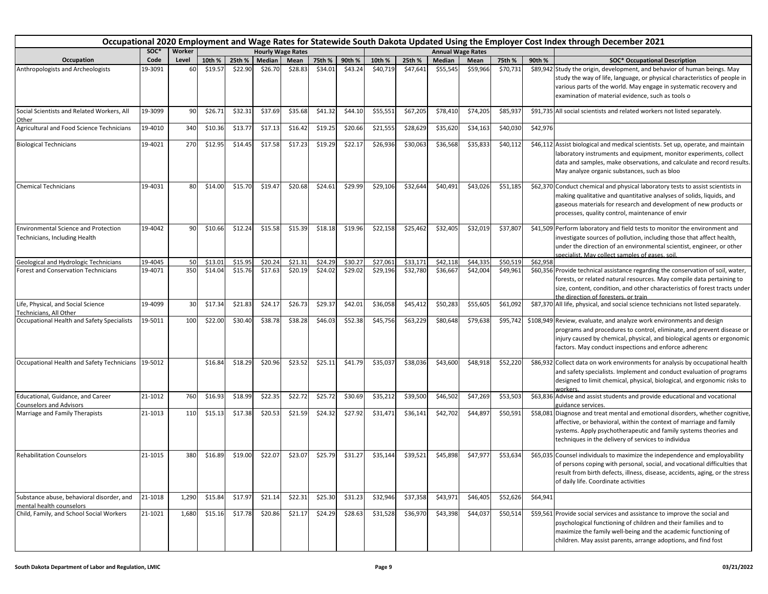|                                                                              | Occupational 2020 Employment and Wage Rates for Statewide South Dakota Updated Using the Employer Cost Index through December 2021 |        |         |         |         |                          |         |         |          |          |          |                          |          |          |                                                                                                                                                                                                                                                                                   |
|------------------------------------------------------------------------------|------------------------------------------------------------------------------------------------------------------------------------|--------|---------|---------|---------|--------------------------|---------|---------|----------|----------|----------|--------------------------|----------|----------|-----------------------------------------------------------------------------------------------------------------------------------------------------------------------------------------------------------------------------------------------------------------------------------|
|                                                                              | SOC*                                                                                                                               | Worker |         |         |         | <b>Hourly Wage Rates</b> |         |         |          |          |          | <b>Annual Wage Rates</b> |          |          |                                                                                                                                                                                                                                                                                   |
| Occupation                                                                   | Code                                                                                                                               | Level  | 10th %  | 25th %  | Median  | Mean                     | 75th %  | 90th %  | 10th %   | 25th %   | Median   | Mean                     | 75th %   | 90th %   | <b>SOC* Occupational Description</b>                                                                                                                                                                                                                                              |
| Anthropologists and Archeologists                                            | 19-3091                                                                                                                            | 60     | \$19.57 | \$22.90 | \$26.70 | \$28.83                  | \$34.01 | \$43.24 | \$40,719 | \$47,641 | \$55,545 | \$59,966                 | \$70,731 |          | \$89,942 Study the origin, development, and behavior of human beings. May<br>study the way of life, language, or physical characteristics of people in<br>various parts of the world. May engage in systematic recovery and<br>examination of material evidence, such as tools o  |
| Social Scientists and Related Workers, All<br>Other                          | 19-3099                                                                                                                            | 90     | \$26.71 | \$32.31 | \$37.69 | \$35.68                  | \$41.32 | \$44.10 | \$55,551 | \$67,205 | \$78,410 | \$74,205                 | \$85,937 |          | \$91,735 All social scientists and related workers not listed separately.                                                                                                                                                                                                         |
| Agricultural and Food Science Technicians                                    | 19-4010                                                                                                                            | 340    | \$10.36 | \$13.77 | \$17.13 | \$16.42                  | \$19.25 | \$20.66 | \$21,555 | \$28,629 | \$35,620 | \$34,163                 | \$40,030 | \$42,976 |                                                                                                                                                                                                                                                                                   |
| <b>Biological Technicians</b>                                                | 19-4021                                                                                                                            | 270    | \$12.95 | \$14.45 | \$17.58 | \$17.23                  | \$19.29 | \$22.17 | \$26,936 | \$30,063 | \$36,568 | \$35,833                 | \$40,112 |          | \$46,112 Assist biological and medical scientists. Set up, operate, and maintain<br>laboratory instruments and equipment, monitor experiments, collect<br>data and samples, make observations, and calculate and record results.<br>May analyze organic substances, such as bloo  |
| <b>Chemical Technicians</b>                                                  | 19-4031                                                                                                                            | 80     | \$14.00 | \$15.70 | \$19.47 | \$20.68                  | \$24.61 | \$29.99 | \$29,106 | \$32,644 | \$40,491 | \$43,026                 | \$51,185 |          | \$62,370 Conduct chemical and physical laboratory tests to assist scientists in<br>making qualitative and quantitative analyses of solids, liquids, and<br>gaseous materials for research and development of new products or<br>processes, quality control, maintenance of envir  |
| <b>Environmental Science and Protection</b><br>Technicians, Including Health | 19-4042                                                                                                                            | 90     | \$10.66 | \$12.24 | \$15.58 | \$15.39                  | \$18.18 | \$19.96 | \$22,158 | \$25,462 | \$32,405 | \$32,019                 | \$37,807 |          | \$41,509 Perform laboratory and field tests to monitor the environment and<br>investigate sources of pollution, including those that affect health,<br>under the direction of an environmental scientist, engineer, or other<br>specialist. May collect samples of gases, soil.   |
| Geological and Hydrologic Technicians                                        | 19-4045                                                                                                                            | 50     | \$13.01 | \$15.95 | \$20.24 | \$21.31                  | \$24.29 | \$30.27 | \$27,061 | \$33,171 | \$42,118 | \$44,335                 | \$50,519 | \$62,958 |                                                                                                                                                                                                                                                                                   |
| <b>Forest and Conservation Technicians</b>                                   | 19-4071                                                                                                                            | 350    | \$14.04 | \$15.76 | \$17.63 | \$20.19                  | \$24.02 | \$29.02 | \$29,196 | \$32,780 | \$36,667 | \$42,004                 | \$49,961 |          | \$60,356 Provide technical assistance regarding the conservation of soil, water,<br>forests, or related natural resources. May compile data pertaining to<br>size, content, condition, and other characteristics of forest tracts under<br>the direction of foresters, or train   |
| Life, Physical, and Social Science<br>Technicians. All Other                 | 19-4099                                                                                                                            | 30     | \$17.34 | \$21.83 | \$24.17 | \$26.73                  | \$29.37 | \$42.01 | \$36,058 | \$45,412 | \$50,28  | \$55,605                 | \$61,092 |          | \$87,370 All life, physical, and social science technicians not listed separately.                                                                                                                                                                                                |
| Occupational Health and Safety Specialists                                   | 19-5011                                                                                                                            | 100    | \$22.00 | \$30.40 | \$38.78 | \$38.28                  | \$46.03 | \$52.38 | \$45,756 | \$63,229 | \$80,648 | \$79,638                 | \$95,742 |          | \$108,949 Review, evaluate, and analyze work environments and design<br>programs and procedures to control, eliminate, and prevent disease or<br>injury caused by chemical, physical, and biological agents or ergonomic<br>factors. May conduct inspections and enforce adherenc |
| Occupational Health and Safety Technicians 19-5012                           |                                                                                                                                    |        | \$16.84 | \$18.29 | \$20.96 | \$23.52                  | \$25.11 | \$41.79 | \$35,037 | \$38,036 | \$43,600 | \$48,918                 | \$52,220 |          | \$86,932 Collect data on work environments for analysis by occupational health<br>and safety specialists. Implement and conduct evaluation of programs<br>designed to limit chemical, physical, biological, and ergonomic risks to<br>vorkers.                                    |
| Educational, Guidance, and Career<br><b>Counselors and Advisors</b>          | 21-1012                                                                                                                            | 760    | \$16.93 | \$18.99 | \$22.35 | \$22.72                  | \$25.72 | \$30.69 | \$35,212 | \$39,500 | \$46,502 | \$47,269                 | \$53,503 |          | \$63,836 Advise and assist students and provide educational and vocational<br>guidance services.                                                                                                                                                                                  |
| Marriage and Family Therapists                                               | 21-1013                                                                                                                            | 110    | \$15.13 | \$17.38 | \$20.53 | \$21.59                  | \$24.32 | \$27.92 | \$31,471 | \$36,141 | \$42,702 | \$44,897                 | \$50,591 |          | \$58,081 Diagnose and treat mental and emotional disorders, whether cognitive,<br>affective, or behavioral, within the context of marriage and family<br>systems. Apply psychotherapeutic and family systems theories and<br>techniques in the delivery of services to individua  |
| <b>Rehabilitation Counselors</b>                                             | 21-1015                                                                                                                            | 380    | \$16.89 | \$19.00 | \$22.07 | \$23.07                  | \$25.79 | \$31.27 | \$35,144 | \$39,521 | \$45,898 | \$47,977                 | \$53,634 |          | \$65,035 Counsel individuals to maximize the independence and employability<br>of persons coping with personal, social, and vocational difficulties that<br>result from birth defects, illness, disease, accidents, aging, or the stress<br>of daily life. Coordinate activities  |
| Substance abuse, behavioral disorder, and<br>mental health counselors        | 21-1018                                                                                                                            | 1,290  | \$15.84 | \$17.97 | \$21.14 | \$22.31                  | \$25.30 | \$31.23 | \$32,946 | \$37,358 | \$43,971 | \$46,405                 | \$52,626 | \$64,941 |                                                                                                                                                                                                                                                                                   |
| Child, Family, and School Social Workers                                     | 21-1021                                                                                                                            | 1,680  | \$15.16 | \$17.78 | \$20.86 | \$21.17                  | \$24.29 | \$28.63 | \$31,528 | \$36,970 | \$43,398 | \$44,037                 | \$50,514 |          | \$59,561 Provide social services and assistance to improve the social and<br>psychological functioning of children and their families and to<br>maximize the family well-being and the academic functioning of<br>children. May assist parents, arrange adoptions, and find fost  |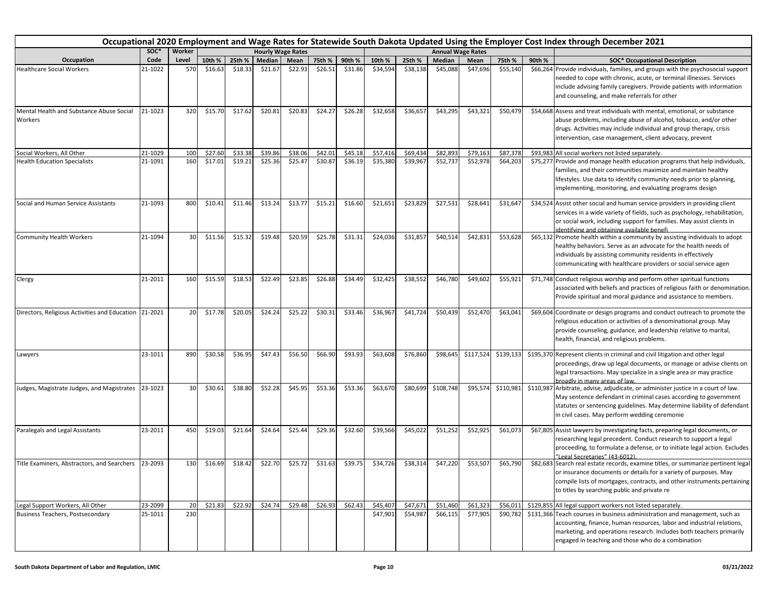|                                                       | Occupational 2020 Employment and Wage Rates for Statewide South Dakota Updated Using the Employer Cost Index through December 2021<br><b>Hourly Wage Rates</b> |        |         |         |         |         |         |         |          |          |           |                          |           |        |                                                                                                                                                                                                                                                                                   |
|-------------------------------------------------------|----------------------------------------------------------------------------------------------------------------------------------------------------------------|--------|---------|---------|---------|---------|---------|---------|----------|----------|-----------|--------------------------|-----------|--------|-----------------------------------------------------------------------------------------------------------------------------------------------------------------------------------------------------------------------------------------------------------------------------------|
|                                                       | SOC*                                                                                                                                                           | Worker |         |         |         |         |         |         |          |          |           | <b>Annual Wage Rates</b> |           |        |                                                                                                                                                                                                                                                                                   |
| Occupation                                            | Code                                                                                                                                                           | Level  | 10th %  | 25th %  | Median  | Mean    | 75th %  | 90th %  | 10th %   | 25th %   | Median    | Mean                     | 75th %    | 90th % | <b>SOC* Occupational Description</b>                                                                                                                                                                                                                                              |
| <b>Healthcare Social Workers</b>                      | 21-1022                                                                                                                                                        | 570    | \$16.63 | \$18.33 | \$21.67 | \$22.93 | \$26.51 | \$31.86 | \$34,594 | \$38,138 | \$45,088  | \$47,696                 | \$55,140  |        | \$66,264 Provide individuals, families, and groups with the psychosocial support<br>needed to cope with chronic, acute, or terminal illnesses. Services<br>include advising family caregivers. Provide patients with information<br>and counseling, and make referrals for other  |
| Mental Health and Substance Abuse Social<br>Workers   | 21-1023                                                                                                                                                        | 320    | \$15.70 | \$17.62 | \$20.81 | \$20.83 | \$24.27 | \$26.28 | \$32,658 | \$36,657 | \$43,295  | \$43,321                 | \$50,479  |        | \$54,668 Assess and treat individuals with mental, emotional, or substance<br>abuse problems, including abuse of alcohol, tobacco, and/or other<br>drugs. Activities may include individual and group therapy, crisis<br>intervention, case management, client advocacy, prevent  |
| Social Workers, All Other                             | 21-1029                                                                                                                                                        | 100    | \$27.60 | \$33.38 | \$39.86 | \$38.06 | \$42.01 | \$45.18 | \$57,416 | \$69,434 | \$82,893  | \$79,163                 | \$87,378  |        | \$93,983 All social workers not listed separately.                                                                                                                                                                                                                                |
| <b>Health Education Specialists</b>                   | 21-1091                                                                                                                                                        | 160    | \$17.01 | \$19.21 | \$25.36 | \$25.47 | \$30.87 | \$36.19 | \$35,380 | \$39,967 | \$52,73   | \$52,978                 | \$64,203  |        | \$75,277 Provide and manage health education programs that help individuals,<br>families, and their communities maximize and maintain healthy<br>lifestyles. Use data to identify community needs prior to planning,<br>implementing, monitoring, and evaluating programs design  |
| Social and Human Service Assistants                   | 21-1093                                                                                                                                                        | 800    | \$10.41 | \$11.46 | \$13.24 | \$13.77 | \$15.21 | \$16.60 | \$21,651 | \$23,829 | \$27,531  | \$28,641                 | \$31,647  |        | \$34,524 Assist other social and human service providers in providing client<br>services in a wide variety of fields, such as psychology, rehabilitation,<br>or social work, including support for families. May assist clients in<br>identifying and obtaining available benefi  |
| <b>Community Health Workers</b>                       | 21-1094                                                                                                                                                        | 30     | \$11.56 | \$15.32 | \$19.48 | \$20.59 | \$25.78 | \$31.31 | \$24,036 | \$31,857 | \$40,514  | \$42,831                 | \$53,628  |        | \$65,132 Promote health within a community by assisting individuals to adopt<br>healthy behaviors. Serve as an advocate for the health needs of<br>individuals by assisting community residents in effectively<br>communicating with healthcare providers or social service agen  |
| Clergy                                                | 21-2011                                                                                                                                                        | 160    | \$15.59 | \$18.53 | \$22.49 | \$23.85 | \$26.88 | \$34.49 | \$32,425 | \$38,552 | \$46,780  | \$49,602                 | \$55,921  |        | \$71,748 Conduct religious worship and perform other spiritual functions<br>associated with beliefs and practices of religious faith or denomination.<br>Provide spiritual and moral guidance and assistance to members.                                                          |
| Directors, Religious Activities and Education 21-2021 |                                                                                                                                                                | 20     | \$17.78 | \$20.05 | \$24.24 | \$25.22 | \$30.31 | \$33.46 | \$36,967 | \$41,724 | \$50,439  | \$52,470                 | \$63,041  |        | \$69,604 Coordinate or design programs and conduct outreach to promote the<br>religious education or activities of a denominational group. May<br>provide counseling, guidance, and leadership relative to marital,<br>health, financial, and religious problems.                 |
| Lawyers                                               | 23-1011                                                                                                                                                        | 890    | \$30.58 | \$36.95 | \$47.43 | \$56.50 | \$66.90 | \$93.93 | \$63,608 | \$76,860 | \$98,645  | \$117,524                | \$139,133 |        | \$195,370 Represent clients in criminal and civil litigation and other legal<br>proceedings, draw up legal documents, or manage or advise clients on<br>legal transactions. May specialize in a single area or may practice<br>proadly in many areas of law.                      |
| Judges, Magistrate Judges, and Magistrates            | 23-1023                                                                                                                                                        | 30     | \$30.61 | \$38.80 | \$52.28 | \$45.95 | \$53.36 | \$53.36 | \$63,670 | \$80,699 | \$108,748 | \$95,574                 | \$110,981 |        | \$110,987 Arbitrate, advise, adjudicate, or administer justice in a court of law.<br>May sentence defendant in criminal cases according to government<br>statutes or sentencing guidelines. May determine liability of defendant<br>in civil cases. May perform wedding ceremonie |
| Paralegals and Legal Assistants                       | 23-2011                                                                                                                                                        | 450    | \$19.03 | \$21.64 | \$24.64 | \$25.44 | \$29.36 | \$32.60 | \$39,566 | \$45,022 | \$51,252  | \$52,925                 | \$61,073  |        | \$67,805 Assist lawyers by investigating facts, preparing legal documents, or<br>researching legal precedent. Conduct research to support a legal<br>proceeding, to formulate a defense, or to initiate legal action. Excludes<br>"Legal Secretaries" (43-6012).                  |
| Title Examiners, Abstractors, and Searchers           | 23-2093                                                                                                                                                        | 130    | \$16.69 | \$18.42 | \$22.70 | \$25.72 | \$31.63 | \$39.75 | \$34,726 | \$38,314 | \$47,220  | \$53,507                 | \$65,790  |        | \$82,683 Search real estate records, examine titles, or summarize pertinent legal<br>or insurance documents or details for a variety of purposes. May<br>compile lists of mortgages, contracts, and other instruments pertaining<br>to titles by searching public and private re  |
| Legal Support Workers, All Other                      | 23-2099                                                                                                                                                        | 20     | \$21.83 | \$22.92 | \$24.74 | \$29.48 | \$26.93 | \$62.43 | \$45,407 | \$47,671 | \$51,460  | \$61,323                 | \$56,011  |        | \$129,855 All legal support workers not listed separately.                                                                                                                                                                                                                        |
| <b>Business Teachers, Postsecondary</b>               | 25-1011                                                                                                                                                        | 230    |         |         |         |         |         |         | \$47,901 | \$54,987 | \$66,115  | \$77,905                 | \$90,782  |        | \$131,366 Teach courses in business administration and management, such as<br>accounting, finance, human resources, labor and industrial relations,<br>marketing, and operations research. Includes both teachers primarily<br>engaged in teaching and those who do a combination |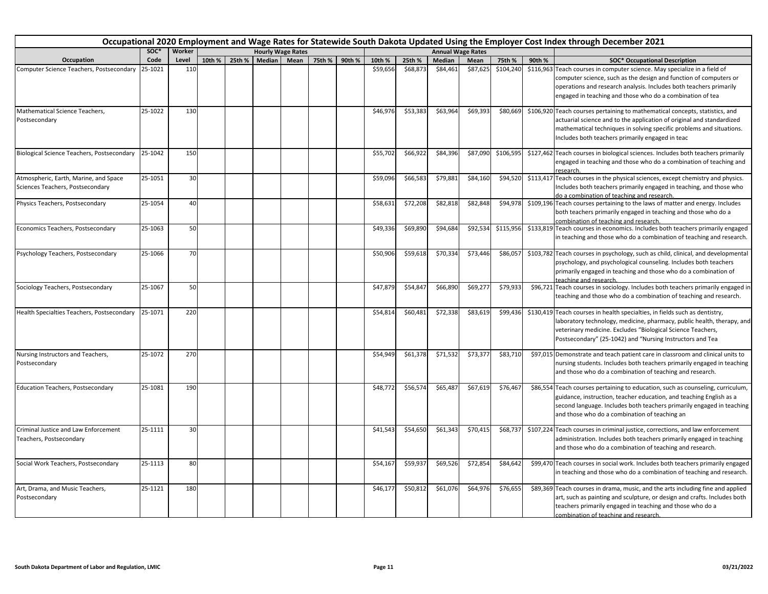|                                                                           | Occupational 2020 Employment and Wage Rates for Statewide South Dakota Updated Using the Employer Cost Index through December 2021 |        |        |        |                          |             |        |        |          |          |          |                          |           |        |                                                                                                                                                                                                                                                                                   |
|---------------------------------------------------------------------------|------------------------------------------------------------------------------------------------------------------------------------|--------|--------|--------|--------------------------|-------------|--------|--------|----------|----------|----------|--------------------------|-----------|--------|-----------------------------------------------------------------------------------------------------------------------------------------------------------------------------------------------------------------------------------------------------------------------------------|
|                                                                           | SOC*                                                                                                                               | Worker |        |        | <b>Hourly Wage Rates</b> |             |        |        |          |          |          | <b>Annual Wage Rates</b> |           |        |                                                                                                                                                                                                                                                                                   |
| Occupation                                                                | Code                                                                                                                               | Level  | 10th % | 25th % |                          | Median Mean | 75th % | 90th % | 10th %   | 25th %   | Median   | Mean                     | 75th %    | 90th % | <b>SOC* Occupational Description</b>                                                                                                                                                                                                                                              |
| Computer Science Teachers, Postsecondary                                  | 25-1021                                                                                                                            | 110    |        |        |                          |             |        |        | \$59,656 | \$68,873 | \$84,461 | \$87,625                 | \$104,240 |        | \$116,963 Teach courses in computer science. May specialize in a field of<br>computer science, such as the design and function of computers or<br>operations and research analysis. Includes both teachers primarily<br>engaged in teaching and those who do a combination of tea |
| Mathematical Science Teachers,<br>Postsecondary                           | 25-1022                                                                                                                            | 130    |        |        |                          |             |        |        | \$46,976 | \$53,383 | \$63,964 | \$69,393                 | \$80,669  |        | \$106,920 Teach courses pertaining to mathematical concepts, statistics, and<br>actuarial science and to the application of original and standardized<br>mathematical techniques in solving specific problems and situations.<br>Includes both teachers primarily engaged in teac |
| <b>Biological Science Teachers, Postsecondary</b>                         | 25-1042                                                                                                                            | 150    |        |        |                          |             |        |        | \$55,702 | \$66,922 | \$84,396 | \$87,090                 | \$106,595 |        | \$127,462 Teach courses in biological sciences. Includes both teachers primarily<br>engaged in teaching and those who do a combination of teaching and<br>research.                                                                                                               |
| Atmospheric, Earth, Marine, and Space<br>Sciences Teachers, Postsecondary | 25-1051                                                                                                                            | 30     |        |        |                          |             |        |        | \$59,096 | \$66,583 | \$79,881 | \$84,160                 | \$94,520  |        | \$113,417 Teach courses in the physical sciences, except chemistry and physics.<br>Includes both teachers primarily engaged in teaching, and those who<br>do a combination of teaching and research.                                                                              |
| Physics Teachers, Postsecondary                                           | 25-1054                                                                                                                            | 40     |        |        |                          |             |        |        | \$58,631 | \$72,208 | \$82,818 | \$82,848                 | \$94,978  |        | \$109,196 Teach courses pertaining to the laws of matter and energy. Includes<br>both teachers primarily engaged in teaching and those who do a<br>combination of teaching and research.                                                                                          |
| Economics Teachers, Postsecondary                                         | 25-1063                                                                                                                            | 50     |        |        |                          |             |        |        | \$49,336 | \$69,890 | \$94,684 | \$92,534                 | \$115,956 |        | \$133,819 Teach courses in economics. Includes both teachers primarily engaged<br>in teaching and those who do a combination of teaching and research.                                                                                                                            |
| Psychology Teachers, Postsecondary                                        | 25-1066                                                                                                                            | 70     |        |        |                          |             |        |        | \$50,906 | \$59,618 | \$70,334 | \$73,446                 | \$86,057  |        | \$103,782 Teach courses in psychology, such as child, clinical, and developmental<br>psychology, and psychological counseling. Includes both teachers<br>primarily engaged in teaching and those who do a combination of<br>teaching and research.                                |
| Sociology Teachers, Postsecondary                                         | 25-1067                                                                                                                            | 50     |        |        |                          |             |        |        | \$47,879 | \$54,847 | \$66,890 | \$69,277                 | \$79,933  |        | \$96,721 Teach courses in sociology. Includes both teachers primarily engaged in<br>teaching and those who do a combination of teaching and research.                                                                                                                             |
| Health Specialties Teachers, Postsecondary                                | 25-1071                                                                                                                            | 220    |        |        |                          |             |        |        | \$54,814 | \$60,481 | \$72,338 | \$83,619                 | \$99,436  |        | \$130,419 Teach courses in health specialties, in fields such as dentistry,<br>laboratory technology, medicine, pharmacy, public health, therapy, and<br>veterinary medicine. Excludes "Biological Science Teachers,<br>Postsecondary" (25-1042) and "Nursing Instructors and Tea |
| Nursing Instructors and Teachers,<br>Postsecondary                        | 25-1072                                                                                                                            | 270    |        |        |                          |             |        |        | \$54,949 | \$61,378 | \$71,532 | \$73,377                 | \$83,710  |        | \$97,015 Demonstrate and teach patient care in classroom and clinical units to<br>nursing students. Includes both teachers primarily engaged in teaching<br>and those who do a combination of teaching and research.                                                              |
| <b>Education Teachers, Postsecondary</b>                                  | 25-1081                                                                                                                            | 190    |        |        |                          |             |        |        | \$48,772 | \$56,574 | \$65,487 | \$67,619                 | \$76,467  |        | \$86,554 Teach courses pertaining to education, such as counseling, curriculum,<br>guidance, instruction, teacher education, and teaching English as a<br>second language. Includes both teachers primarily engaged in teaching<br>and those who do a combination of teaching an  |
| Criminal Justice and Law Enforcement<br>Teachers, Postsecondary           | 25-1111                                                                                                                            | 30     |        |        |                          |             |        |        | \$41,543 | \$54,650 | \$61,343 | \$70,415                 | \$68,737  |        | \$107,224 Teach courses in criminal justice, corrections, and law enforcement<br>administration. Includes both teachers primarily engaged in teaching<br>and those who do a combination of teaching and research.                                                                 |
| Social Work Teachers, Postsecondary                                       | 25-1113                                                                                                                            | 80     |        |        |                          |             |        |        | \$54,167 | \$59,937 | \$69,526 | \$72,854                 | \$84,642  |        | \$99,470 Teach courses in social work. Includes both teachers primarily engaged<br>in teaching and those who do a combination of teaching and research.                                                                                                                           |
| Art, Drama, and Music Teachers,<br>Postsecondary                          | 25-1121                                                                                                                            | 180    |        |        |                          |             |        |        | \$46,177 | \$50,812 | \$61,076 | \$64,976                 | \$76,655  |        | \$89,369 Teach courses in drama, music, and the arts including fine and applied<br>art, such as painting and sculpture, or design and crafts. Includes both<br>teachers primarily engaged in teaching and those who do a<br>combination of teaching and research.                 |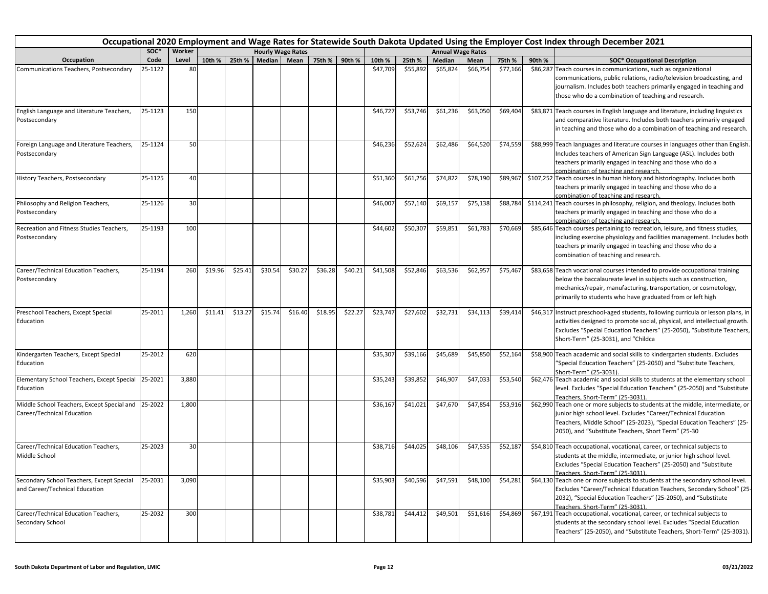|                                                                                  | Occupational 2020 Employment and Wage Rates for Statewide South Dakota Updated Using the Employer Cost Index through December 2021<br>Worker<br>SOC*<br><b>Hourly Wage Rates</b><br><b>Annual Wage Rates</b> |       |         |         |         |         |         |         |          |          |          |          |          |        |                                                                                                                                                                                                                                                                                   |
|----------------------------------------------------------------------------------|--------------------------------------------------------------------------------------------------------------------------------------------------------------------------------------------------------------|-------|---------|---------|---------|---------|---------|---------|----------|----------|----------|----------|----------|--------|-----------------------------------------------------------------------------------------------------------------------------------------------------------------------------------------------------------------------------------------------------------------------------------|
|                                                                                  |                                                                                                                                                                                                              |       |         |         |         |         |         |         |          |          |          |          |          |        |                                                                                                                                                                                                                                                                                   |
| Occupation                                                                       | Code                                                                                                                                                                                                         | Level | 10th %  | 25th %  | Median  | Mean    | 75th %  | 90th %  | 10th %   | 25th %   | Median   | Mean     | 75th %   | 90th % | <b>SOC* Occupational Description</b>                                                                                                                                                                                                                                              |
| Communications Teachers, Postsecondary                                           | 25-1122                                                                                                                                                                                                      | 80    |         |         |         |         |         |         | \$47,709 | \$55,892 | \$65,824 | \$66,754 | \$77,166 |        | \$86,287 Teach courses in communications, such as organizational<br>communications, public relations, radio/television broadcasting, and<br>journalism. Includes both teachers primarily engaged in teaching and<br>those who do a combination of teaching and research.          |
| English Language and Literature Teachers,<br>Postsecondary                       | 25-1123                                                                                                                                                                                                      | 150   |         |         |         |         |         |         | \$46,727 | \$53,746 | \$61,236 | \$63,050 | \$69,404 |        | \$83,871 Teach courses in English language and literature, including linguistics<br>and comparative literature. Includes both teachers primarily engaged<br>in teaching and those who do a combination of teaching and research.                                                  |
| Foreign Language and Literature Teachers,<br>Postsecondary                       | 25-1124                                                                                                                                                                                                      | 50    |         |         |         |         |         |         | \$46,236 | \$52,624 | \$62,486 | \$64,520 | \$74,559 |        | \$88,999 Teach languages and literature courses in languages other than English.<br>Includes teachers of American Sign Language (ASL). Includes both<br>teachers primarily engaged in teaching and those who do a<br>combination of teaching and research.                        |
| History Teachers, Postsecondary                                                  | 25-1125                                                                                                                                                                                                      | 40    |         |         |         |         |         |         | \$51,360 | \$61,256 | \$74,822 | \$78,190 | \$89,967 |        | \$107,252 Teach courses in human history and historiography. Includes both<br>teachers primarily engaged in teaching and those who do a<br>combination of teaching and research.                                                                                                  |
| Philosophy and Religion Teachers,<br>Postsecondary                               | 25-1126                                                                                                                                                                                                      | 30    |         |         |         |         |         |         | \$46,007 | \$57,140 | \$69,15  | \$75,138 | \$88,784 |        | \$114,241 Teach courses in philosophy, religion, and theology. Includes both<br>teachers primarily engaged in teaching and those who do a<br>combination of teaching and research.                                                                                                |
| Recreation and Fitness Studies Teachers,<br>Postsecondary                        | 25-1193                                                                                                                                                                                                      | 100   |         |         |         |         |         |         | \$44,602 | \$50,307 | \$59,851 | \$61,783 | \$70,669 |        | \$85,646 Teach courses pertaining to recreation, leisure, and fitness studies,<br>including exercise physiology and facilities management. Includes both<br>teachers primarily engaged in teaching and those who do a<br>combination of teaching and research.                    |
| Career/Technical Education Teachers,<br>Postsecondary                            | 25-1194                                                                                                                                                                                                      | 260   | \$19.96 | \$25.41 | \$30.54 | \$30.27 | \$36.28 | \$40.21 | \$41,508 | \$52,846 | \$63,536 | \$62,957 | \$75,467 |        | \$83,658 Teach vocational courses intended to provide occupational training<br>below the baccalaureate level in subjects such as construction,<br>mechanics/repair, manufacturing, transportation, or cosmetology,<br>primarily to students who have graduated from or left high  |
| Preschool Teachers, Except Special<br>Education                                  | 25-2011                                                                                                                                                                                                      | 1,260 | \$11.41 | \$13.27 | \$15.74 | \$16.40 | \$18.95 | \$22.27 | \$23,747 | \$27,602 | \$32,731 | \$34,113 | \$39,414 |        | \$46,317 Instruct preschool-aged students, following curricula or lesson plans, in<br>activities designed to promote social, physical, and intellectual growth.<br>Excludes "Special Education Teachers" (25-2050), "Substitute Teachers,<br>Short-Term" (25-3031), and "Childca  |
| Kindergarten Teachers, Except Special<br>Education                               | 25-2012                                                                                                                                                                                                      | 620   |         |         |         |         |         |         | \$35,307 | \$39,166 | \$45,689 | \$45,850 | \$52,164 |        | \$58,900 Teach academic and social skills to kindergarten students. Excludes<br>"Special Education Teachers" (25-2050) and "Substitute Teachers,<br>Short-Term" (25-3031).                                                                                                        |
| Elementary School Teachers, Except Special 25-2021<br>Education                  |                                                                                                                                                                                                              | 3,880 |         |         |         |         |         |         | \$35,243 | \$39,852 | \$46,907 | \$47,033 | \$53,540 |        | \$62,476 Teach academic and social skills to students at the elementary school<br>level. Excludes "Special Education Teachers" (25-2050) and "Substitute<br>Teachers, Short-Term" (25-3031).                                                                                      |
| Middle School Teachers, Except Special and 25-2022<br>Career/Technical Education |                                                                                                                                                                                                              | 1,800 |         |         |         |         |         |         | \$36,167 | \$41,021 | \$47,670 | \$47,854 | \$53,916 |        | \$62,990 Teach one or more subjects to students at the middle, intermediate, or<br>junior high school level. Excludes "Career/Technical Education<br>Teachers, Middle School" (25-2023), "Special Education Teachers" (25-<br>2050), and "Substitute Teachers, Short Term" (25-30 |
| Career/Technical Education Teachers,<br>Middle School                            | 25-2023                                                                                                                                                                                                      | 30    |         |         |         |         |         |         | \$38,716 | \$44,025 | \$48,106 | \$47,535 | \$52,187 |        | \$54,810 Teach occupational, vocational, career, or technical subjects to<br>students at the middle, intermediate, or junior high school level.<br>Excludes "Special Education Teachers" (25-2050) and "Substitute<br>Teachers. Short-Term" (25-3031).                            |
| Secondary School Teachers, Except Special<br>and Career/Technical Education      | 25-2031                                                                                                                                                                                                      | 3,090 |         |         |         |         |         |         | \$35,903 | \$40,596 | \$47,591 | \$48,100 | \$54,281 |        | \$64,130 Teach one or more subjects to students at the secondary school level.<br>Excludes "Career/Technical Education Teachers, Secondary School" (25-<br>2032), "Special Education Teachers" (25-2050), and "Substitute<br>Teachers. Short-Term" (25-3031).                     |
| Career/Technical Education Teachers,<br>Secondary School                         | 25-2032                                                                                                                                                                                                      | 300   |         |         |         |         |         |         | \$38,781 | \$44,412 | \$49,501 | \$51,616 | \$54,869 |        | \$67,191 Teach occupational, vocational, career, or technical subjects to<br>students at the secondary school level. Excludes "Special Education<br>Teachers" (25-2050), and "Substitute Teachers, Short-Term" (25-3031).                                                         |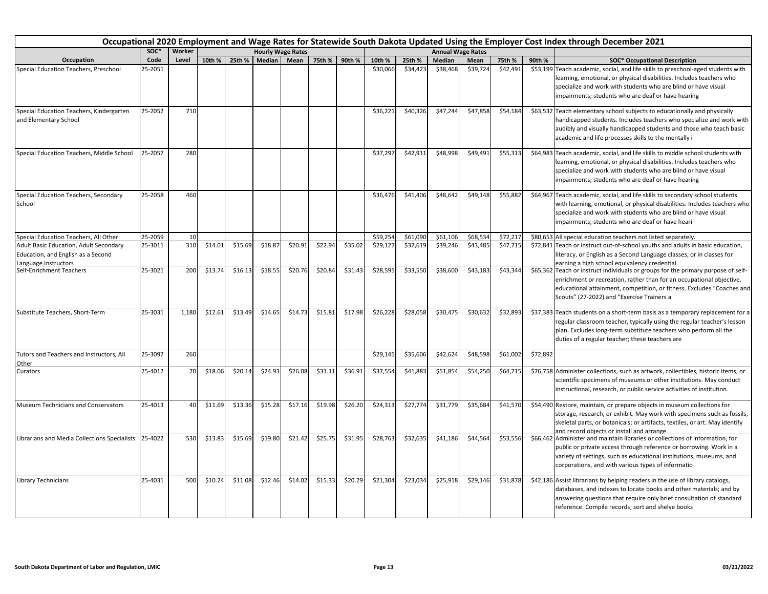|                                                                                                      |         |        |         |         |                          |         |         |               |          |          |                          |          |          |          | Occupational 2020 Employment and Wage Rates for Statewide South Dakota Updated Using the Employer Cost Index through December 2021                                                                                                                                                |
|------------------------------------------------------------------------------------------------------|---------|--------|---------|---------|--------------------------|---------|---------|---------------|----------|----------|--------------------------|----------|----------|----------|-----------------------------------------------------------------------------------------------------------------------------------------------------------------------------------------------------------------------------------------------------------------------------------|
|                                                                                                      | SOC*    | Worker |         |         | <b>Hourly Wage Rates</b> |         |         |               |          |          | <b>Annual Wage Rates</b> |          |          |          |                                                                                                                                                                                                                                                                                   |
| Occupation                                                                                           | Code    | Level  | 10th %  | 25th %  | Median Mean              |         |         | 75th % 90th % | 10th %   | 25th %   | Median                   | Mean     | 75th %   | 90th %   | <b>SOC* Occupational Description</b>                                                                                                                                                                                                                                              |
| Special Education Teachers, Preschool                                                                | 25-2051 |        |         |         |                          |         |         |               | \$30,066 | \$34,423 | \$38,468                 | \$39,724 | \$42,491 |          | \$53,199 Teach academic, social, and life skills to preschool-aged students with<br>learning, emotional, or physical disabilities. Includes teachers who<br>specialize and work with students who are blind or have visual<br>impairments; students who are deaf or have hearing  |
| Special Education Teachers, Kindergarten<br>and Elementary School                                    | 25-2052 | 710    |         |         |                          |         |         |               | \$36,221 | \$40,326 | \$47,244                 | \$47,858 | \$54,184 |          | \$63,532 Teach elementary school subjects to educationally and physically<br>handicapped students. Includes teachers who specialize and work with<br>audibly and visually handicapped students and those who teach basic<br>academic and life processes skills to the mentally i  |
| Special Education Teachers, Middle School                                                            | 25-2057 | 280    |         |         |                          |         |         |               | \$37,297 | \$42,911 | \$48,998                 | \$49,491 | \$55,313 |          | \$64,983 Teach academic, social, and life skills to middle school students with<br>learning, emotional, or physical disabilities. Includes teachers who<br>specialize and work with students who are blind or have visual<br>impairments; students who are deaf or have hearing   |
| Special Education Teachers, Secondary<br>School                                                      | 25-2058 | 460    |         |         |                          |         |         |               | \$36,476 | \$41,406 | \$48,642                 | \$49,148 | \$55,882 |          | \$64,967 Teach academic, social, and life skills to secondary school students<br>with learning, emotional, or physical disabilities. Includes teachers who<br>specialize and work with students who are blind or have visual<br>impairments; students who are deaf or have heari  |
| Special Education Teachers, All Other                                                                | 25-2059 | 10     |         |         |                          |         |         |               | \$59,254 | \$61,090 | \$61,106                 | \$68,534 | \$72,217 |          | \$80,653 All special education teachers not listed separately.                                                                                                                                                                                                                    |
| Adult Basic Education, Adult Secondary<br>Education, and English as a Second<br>Language Instructors | 25-3011 | 310    | \$14.01 | \$15.69 | \$18.87                  | \$20.91 | \$22.94 | \$35.02       | \$29,127 | \$32,619 | \$39,246                 | \$43,485 | \$47,715 |          | \$72,841 Teach or instruct out-of-school youths and adults in basic education,<br>literacy, or English as a Second Language classes, or in classes for<br>earning a high school equivalency credential.                                                                           |
| Self-Enrichment Teachers                                                                             | 25-3021 | 200    | \$13.74 | \$16.13 | \$18.55                  | \$20.76 | \$20.84 | \$31.43       | \$28,595 | \$33,550 | \$38,600                 | \$43,183 | \$43,344 |          | \$65,362 Teach or instruct individuals or groups for the primary purpose of self-<br>enrichment or recreation, rather than for an occupational objective,<br>educational attainment, competition, or fitness. Excludes "Coaches and<br>Scouts" (27-2022) and "Exercise Trainers a |
| Substitute Teachers, Short-Term                                                                      | 25-3031 | 1,180  | \$12.61 | \$13.49 | \$14.65                  | \$14.73 | \$15.81 | \$17.98       | \$26,228 | \$28,058 | \$30,475                 | \$30,632 | \$32,893 |          | \$37,383 Teach students on a short-term basis as a temporary replacement for a<br>regular classroom teacher, typically using the regular teacher's lesson<br>plan. Excludes long-term substitute teachers who perform all the<br>duties of a regular teacher; these teachers are  |
| Tutors and Teachers and Instructors, All<br>Other                                                    | 25-3097 | 260    |         |         |                          |         |         |               | \$29,145 | \$35,606 | \$42,624                 | \$48,598 | \$61,002 | \$72,892 |                                                                                                                                                                                                                                                                                   |
| Curators                                                                                             | 25-4012 | 70     | \$18.06 | \$20.14 | \$24.93                  | \$26.08 | \$31.11 | \$36.91       | \$37,554 | \$41,883 | \$51,854                 | \$54,250 | \$64,715 |          | \$76,758 Administer collections, such as artwork, collectibles, historic items, or<br>scientific specimens of museums or other institutions. May conduct<br>instructional, research, or public service activities of institution.                                                 |
| Museum Technicians and Conservators                                                                  | 25-4013 | 40     | \$11.69 | \$13.36 | \$15.28                  | \$17.16 | \$19.98 | \$26.20       | \$24,313 | \$27,774 | \$31,779                 | \$35,684 | \$41,570 |          | \$54,490 Restore, maintain, or prepare objects in museum collections for<br>storage, research, or exhibit. May work with specimens such as fossils,<br>skeletal parts, or botanicals; or artifacts, textiles, or art. May identify<br>and record objects or install and arrange   |
| Librarians and Media Collections Specialists                                                         | 25-4022 | 530    | \$13.83 | \$15.69 | \$19.80                  | \$21.42 | \$25.75 | \$31.95       | \$28,763 | \$32,635 | \$41,186                 | \$44,564 | \$53,556 |          | \$66,462 Administer and maintain libraries or collections of information, for<br>public or private access through reference or borrowing. Work in a<br>variety of settings, such as educational institutions, museums, and<br>corporations, and with various types of informatio  |
| Library Technicians                                                                                  | 25-4031 | 500    | \$10.24 | \$11.08 | \$12.46                  | \$14.02 | \$15.33 | \$20.29       | \$21,304 | \$23,034 | \$25,918                 | \$29,146 | \$31,878 |          | \$42,186 Assist librarians by helping readers in the use of library catalogs,<br>databases, and indexes to locate books and other materials; and by<br>answering questions that require only brief consultation of standard<br>reference. Compile records; sort and shelve books  |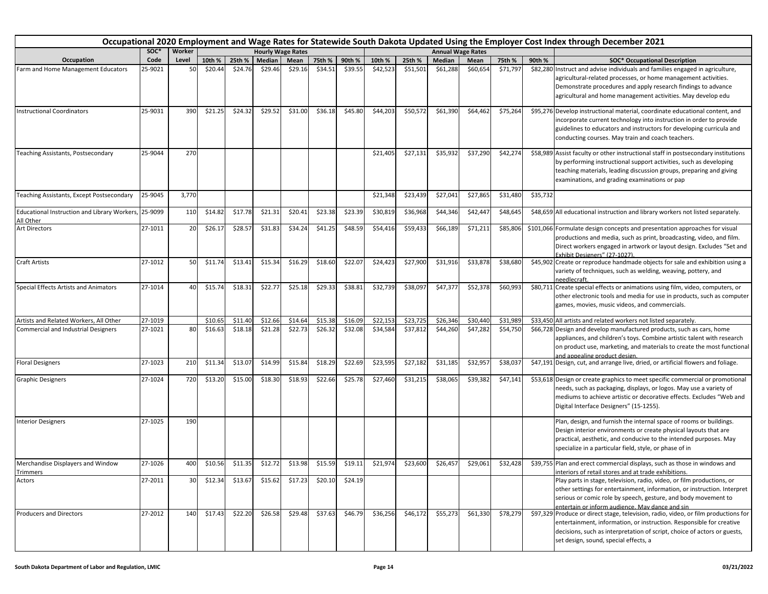|                                                                   | Occupational 2020 Employment and Wage Rates for Statewide South Dakota Updated Using the Employer Cost Index through December 2021<br>SOC*<br>Worker<br><b>Annual Wage Rates</b><br><b>Hourly Wage Rates</b> |       |         |         |         |         |         |         |          |          |               |          |          |          |                                                                                                                                                                                                                                                                                                                                 |
|-------------------------------------------------------------------|--------------------------------------------------------------------------------------------------------------------------------------------------------------------------------------------------------------|-------|---------|---------|---------|---------|---------|---------|----------|----------|---------------|----------|----------|----------|---------------------------------------------------------------------------------------------------------------------------------------------------------------------------------------------------------------------------------------------------------------------------------------------------------------------------------|
|                                                                   |                                                                                                                                                                                                              |       |         |         |         |         |         |         |          |          |               |          |          |          |                                                                                                                                                                                                                                                                                                                                 |
| Occupation                                                        | Code                                                                                                                                                                                                         | Level | 10th %  | 25th %  | Median  | Mean    | 75th %  | 90th %  | 10th %   | 25th %   | <b>Median</b> | Mean     | 75th %   | 90th %   | <b>SOC* Occupational Description</b>                                                                                                                                                                                                                                                                                            |
| Farm and Home Management Educators                                | 25-9021                                                                                                                                                                                                      | 50    | \$20.44 | \$24.76 | \$29.46 | \$29.16 | \$34.51 | \$39.55 | \$42,523 | \$51,501 | \$61,288      | \$60,654 | \$71,797 |          | \$82,280 Instruct and advise individuals and families engaged in agriculture,<br>agricultural-related processes, or home management activities.<br>Demonstrate procedures and apply research findings to advance<br>agricultural and home management activities. May develop edu                                                |
| <b>Instructional Coordinators</b>                                 | 25-9031                                                                                                                                                                                                      | 390   | \$21.25 | \$24.32 | \$29.52 | \$31.00 | \$36.18 | \$45.80 | \$44,203 | \$50,572 | \$61,390      | \$64,462 | \$75,264 |          | \$95,276 Develop instructional material, coordinate educational content, and<br>incorporate current technology into instruction in order to provide<br>guidelines to educators and instructors for developing curricula and<br>conducting courses. May train and coach teachers.                                                |
| Teaching Assistants, Postsecondary                                | 25-9044                                                                                                                                                                                                      | 270   |         |         |         |         |         |         | \$21,405 | \$27,131 | \$35,932      | \$37,290 | \$42,274 |          | \$58,989 Assist faculty or other instructional staff in postsecondary institutions<br>by performing instructional support activities, such as developing<br>teaching materials, leading discussion groups, preparing and giving<br>examinations, and grading examinations or pap                                                |
| Teaching Assistants, Except Postsecondary                         | 25-9045                                                                                                                                                                                                      | 3,770 |         |         |         |         |         |         | \$21,348 | \$23,439 | \$27,041      | \$27,865 | \$31,480 | \$35,732 |                                                                                                                                                                                                                                                                                                                                 |
| Educational Instruction and Library Workers, 25-9099<br>All Other |                                                                                                                                                                                                              | 110   | \$14.82 | \$17.78 | \$21.31 | \$20.41 | \$23.38 | \$23.39 | \$30,819 | \$36,968 | \$44,346      | \$42,447 | \$48,645 |          | \$48,659 All educational instruction and library workers not listed separately.                                                                                                                                                                                                                                                 |
| Art Directors                                                     | 27-1011                                                                                                                                                                                                      | 20    | \$26.17 | \$28.57 | \$31.83 | \$34.24 | \$41.25 | \$48.59 | \$54,416 | \$59,433 | \$66,189      | \$71,211 | \$85,806 |          | \$101,066 Formulate design concepts and presentation approaches for visual<br>productions and media, such as print, broadcasting, video, and film.<br>Direct workers engaged in artwork or layout design. Excludes "Set and<br>Exhibit Designers" (27-1027)                                                                     |
| <b>Craft Artists</b>                                              | 27-1012                                                                                                                                                                                                      | 50    | \$11.74 | \$13.41 | \$15.34 | \$16.29 | \$18.60 | \$22.07 | \$24,423 | \$27,900 | \$31,916      | \$33,878 | \$38,680 |          | \$45,902 Create or reproduce handmade objects for sale and exhibition using a<br>variety of techniques, such as welding, weaving, pottery, and<br>needlecraft.                                                                                                                                                                  |
| Special Effects Artists and Animators                             | 27-1014                                                                                                                                                                                                      | 40    | \$15.74 | \$18.31 | \$22.77 | \$25.18 | \$29.33 | \$38.81 | \$32,739 | \$38,097 | \$47,377      | \$52,378 | \$60,993 |          | \$80,711 Create special effects or animations using film, video, computers, or<br>other electronic tools and media for use in products, such as computer<br>games, movies, music videos, and commercials.                                                                                                                       |
| Artists and Related Workers, All Other                            | 27-1019                                                                                                                                                                                                      |       | \$10.65 | \$11.40 | \$12.66 | \$14.64 | \$15.38 | \$16.09 | \$22,153 | \$23,725 | \$26,346      | \$30,440 | \$31,989 |          | \$33,450 All artists and related workers not listed separately.                                                                                                                                                                                                                                                                 |
| <b>Commercial and Industrial Designers</b>                        | 27-1021                                                                                                                                                                                                      | 80    | \$16.63 | \$18.18 | \$21.28 | \$22.73 | \$26.32 | \$32.08 | \$34,584 | \$37,812 | \$44,260      | \$47,282 | \$54,750 |          | \$66,728 Design and develop manufactured products, such as cars, home<br>appliances, and children's toys. Combine artistic talent with research<br>on product use, marketing, and materials to create the most functional<br>and appealing product design.                                                                      |
| <b>Floral Designers</b>                                           | 27-1023                                                                                                                                                                                                      | 210   | \$11.34 | \$13.07 | \$14.99 | \$15.84 | \$18.29 | \$22.69 | \$23,595 | \$27,182 | \$31,185      | \$32,95  | \$38,037 |          | \$47,191 Design, cut, and arrange live, dried, or artificial flowers and foliage.                                                                                                                                                                                                                                               |
| <b>Graphic Designers</b>                                          | 27-1024                                                                                                                                                                                                      | 720   | \$13.20 | \$15.00 | \$18.30 | \$18.93 | \$22.66 | \$25.78 | \$27,460 | \$31,215 | \$38,065      | \$39,382 | \$47,141 |          | \$53,618 Design or create graphics to meet specific commercial or promotional<br>needs, such as packaging, displays, or logos. May use a variety of<br>mediums to achieve artistic or decorative effects. Excludes "Web and<br>Digital Interface Designers" (15-1255).                                                          |
| <b>Interior Designers</b>                                         | 27-1025                                                                                                                                                                                                      | 190   |         |         |         |         |         |         |          |          |               |          |          |          | Plan, design, and furnish the internal space of rooms or buildings.<br>Design interior environments or create physical layouts that are<br>practical, aesthetic, and conducive to the intended purposes. May<br>specialize in a particular field, style, or phase of in                                                         |
| Merchandise Displayers and Window                                 | 27-1026                                                                                                                                                                                                      | 400   | \$10.56 | \$11.35 | \$12.72 | \$13.98 | \$15.59 | \$19.11 | \$21,974 | \$23,600 | \$26,457      | \$29,061 | \$32,428 |          | \$39,755 Plan and erect commercial displays, such as those in windows and                                                                                                                                                                                                                                                       |
| <b>Trimmers</b><br>Actors                                         | 27-2011                                                                                                                                                                                                      | 30    | \$12.34 | \$13.67 | \$15.62 | \$17.23 | \$20.10 | \$24.19 |          |          |               |          |          |          | interiors of retail stores and at trade exhibitions.<br>Play parts in stage, television, radio, video, or film productions, or<br>other settings for entertainment, information, or instruction. Interpret<br>serious or comic role by speech, gesture, and body movement to<br>entertain or inform audience. May dance and sin |
| <b>Producers and Directors</b>                                    | 27-2012                                                                                                                                                                                                      | 140   | \$17.43 | \$22.20 | \$26.58 | \$29.48 | \$37.63 | \$46.79 | \$36,256 | \$46,172 | \$55,273      | \$61,330 | \$78,279 |          | \$97,329 Produce or direct stage, television, radio, video, or film productions for<br>entertainment, information, or instruction. Responsible for creative<br>decisions, such as interpretation of script, choice of actors or guests,<br>set design, sound, special effects, a                                                |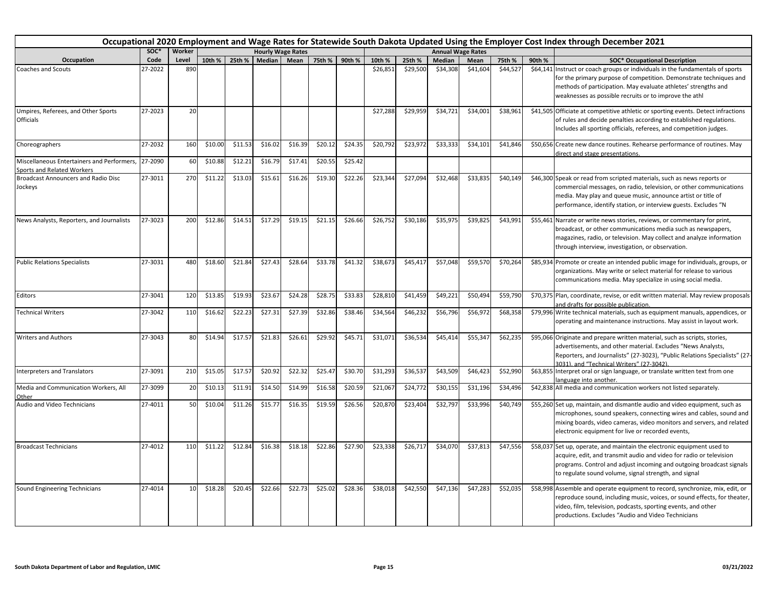|                                                                          | Occupational 2020 Employment and Wage Rates for Statewide South Dakota Updated Using the Employer Cost Index through December 2021 |        |         |               |         |                          |         |         |          |          |                          |          |          |        |                                                                                                                                                                                                                                                                                  |
|--------------------------------------------------------------------------|------------------------------------------------------------------------------------------------------------------------------------|--------|---------|---------------|---------|--------------------------|---------|---------|----------|----------|--------------------------|----------|----------|--------|----------------------------------------------------------------------------------------------------------------------------------------------------------------------------------------------------------------------------------------------------------------------------------|
|                                                                          | SOC*                                                                                                                               | Worker |         |               |         | <b>Hourly Wage Rates</b> |         |         |          |          | <b>Annual Wage Rates</b> |          |          |        |                                                                                                                                                                                                                                                                                  |
| Occupation                                                               | Code                                                                                                                               | Level  |         | 10th % 25th % | Median  | Mean I                   | 75th %  | 90th %  | 10th %   | 25th %   | <b>Median</b>            | Mean     | 75th %   | 90th % | <b>SOC* Occupational Description</b>                                                                                                                                                                                                                                             |
| <b>Coaches and Scouts</b>                                                | 27-2022                                                                                                                            | 890    |         |               |         |                          |         |         | \$26,851 | \$29,500 | \$34,308                 | \$41,604 | \$44,527 |        | \$64,141 Instruct or coach groups or individuals in the fundamentals of sports<br>for the primary purpose of competition. Demonstrate techniques and<br>methods of participation. May evaluate athletes' strengths and<br>weaknesses as possible recruits or to improve the athl |
| Umpires, Referees, and Other Sports<br>Officials                         | 27-2023                                                                                                                            | 20     |         |               |         |                          |         |         | \$27,288 | \$29,959 | \$34,721                 | \$34,001 | \$38,961 |        | \$41,505 Officiate at competitive athletic or sporting events. Detect infractions<br>of rules and decide penalties according to established regulations.<br>Includes all sporting officials, referees, and competition judges.                                                   |
| Choreographers                                                           | 27-2032                                                                                                                            | 160    | \$10.00 | \$11.53       | \$16.02 | \$16.39                  | \$20.12 | \$24.35 | \$20,792 | \$23,972 | \$33,333                 | \$34,101 | \$41,846 |        | \$50,656 Create new dance routines. Rehearse performance of routines. May<br>direct and stage presentations.                                                                                                                                                                     |
| Miscellaneous Entertainers and Performers,<br>Sports and Related Workers | 27-2090                                                                                                                            | 60     | \$10.88 | \$12.21       | \$16.79 | \$17.41                  | \$20.55 | \$25.42 |          |          |                          |          |          |        |                                                                                                                                                                                                                                                                                  |
| <b>Broadcast Announcers and Radio Disc</b><br>Jockeys                    | 27-3011                                                                                                                            | 270    | \$11.22 | \$13.03       | \$15.61 | \$16.26                  | \$19.30 | \$22.26 | \$23,344 | \$27,094 | \$32,468                 | \$33,835 | \$40,149 |        | \$46,300 Speak or read from scripted materials, such as news reports or<br>commercial messages, on radio, television, or other communications<br>media. May play and queue music, announce artist or title of<br>performance, identify station, or interview guests. Excludes "N |
| News Analysts, Reporters, and Journalists                                | 27-3023                                                                                                                            | 200    | \$12.86 | \$14.51       | \$17.29 | \$19.15                  | \$21.15 | \$26.66 | \$26.752 | \$30,186 | \$35.975                 | \$39.825 | \$43,991 |        | \$55,461 Narrate or write news stories, reviews, or commentary for print,<br>broadcast, or other communications media such as newspapers,<br>magazines, radio, or television. May collect and analyze information<br>through interview, investigation, or observation.           |
| <b>Public Relations Specialists</b>                                      | 27-3031                                                                                                                            | 480    | \$18.60 | \$21.84       | \$27.43 | \$28.64                  | \$33.78 | \$41.32 | \$38,673 | \$45,417 | \$57,048                 | \$59,570 | \$70,264 |        | \$85,934 Promote or create an intended public image for individuals, groups, or<br>organizations. May write or select material for release to various<br>communications media. May specialize in using social media.                                                             |
| Editors                                                                  | 27-3041                                                                                                                            | 120    | \$13.85 | \$19.93       | \$23.67 | \$24.28                  | \$28.75 | \$33.83 | \$28,810 | \$41,459 | \$49,221                 | \$50,494 | \$59,790 |        | \$70,375 Plan, coordinate, revise, or edit written material. May review proposals<br>and drafts for possible publication.                                                                                                                                                        |
| <b>Technical Writers</b>                                                 | 27-3042                                                                                                                            | 110    | \$16.62 | \$22.23       | \$27.31 | \$27.39                  | \$32.86 | \$38.46 | \$34,564 | \$46,232 | \$56,796                 | \$56,972 | \$68,358 |        | \$79,996 Write technical materials, such as equipment manuals, appendices, or<br>operating and maintenance instructions. May assist in layout work.                                                                                                                              |
| <b>Writers and Authors</b>                                               | 27-3043                                                                                                                            | 80     | \$14.94 | \$17.57       | \$21.83 | \$26.61                  | \$29.92 | \$45.71 | \$31,071 | \$36,534 | \$45,414                 | \$55,347 | \$62,235 |        | \$95,066 Originate and prepare written material, such as scripts, stories,<br>advertisements, and other material. Excludes "News Analysts,<br>Reporters, and Journalists" (27-3023), "Public Relations Specialists" (27<br>3031), and "Technical Writers" (27-3042).             |
| Interpreters and Translators                                             | 27-3091                                                                                                                            | 210    | \$15.05 | \$17.57       | \$20.92 | \$22.32                  | \$25.47 | \$30.70 | \$31,293 | \$36,537 | \$43,509                 | \$46,423 | \$52,990 |        | \$63,855 Interpret oral or sign language, or translate written text from one<br>anguage into another.                                                                                                                                                                            |
| Media and Communication Workers, All<br>Other                            | 27-3099                                                                                                                            | 20     | \$10.13 | \$11.91       | \$14.50 | \$14.99                  | \$16.58 | \$20.59 | \$21,067 | \$24,772 | \$30,155                 | \$31,196 | \$34,496 |        | \$42,838 All media and communication workers not listed separately.                                                                                                                                                                                                              |
| Audio and Video Technicians                                              | 27-4011                                                                                                                            | 50     | \$10.04 | \$11.26       | \$15.77 | \$16.35                  | \$19.59 | \$26.56 | \$20,870 | \$23,404 | \$32,797                 | \$33,996 | \$40,749 |        | \$55,260 Set up, maintain, and dismantle audio and video equipment, such as<br>microphones, sound speakers, connecting wires and cables, sound and<br>mixing boards, video cameras, video monitors and servers, and related<br>electronic equipment for live or recorded events, |
| <b>Broadcast Technicians</b>                                             | 27-4012                                                                                                                            | 110    | \$11.22 | \$12.84       | \$16.38 | \$18.18                  | \$22.86 | \$27.90 | \$23,338 | \$26,717 | \$34,070                 | \$37,813 | \$47,556 |        | \$58,037 Set up, operate, and maintain the electronic equipment used to<br>acquire, edit, and transmit audio and video for radio or television<br>programs. Control and adjust incoming and outgoing broadcast signals<br>to regulate sound volume, signal strength, and signal  |
| Sound Engineering Technicians                                            | 27-4014                                                                                                                            | 10     | \$18.28 | \$20.45       | \$22.66 | \$22.73                  | \$25.02 | \$28.36 | \$38,018 | \$42,550 | \$47,136                 | \$47,283 | \$52,035 |        | \$58,998 Assemble and operate equipment to record, synchronize, mix, edit, or<br>reproduce sound, including music, voices, or sound effects, for theater,<br>video, film, television, podcasts, sporting events, and other<br>productions. Excludes "Audio and Video Technicians |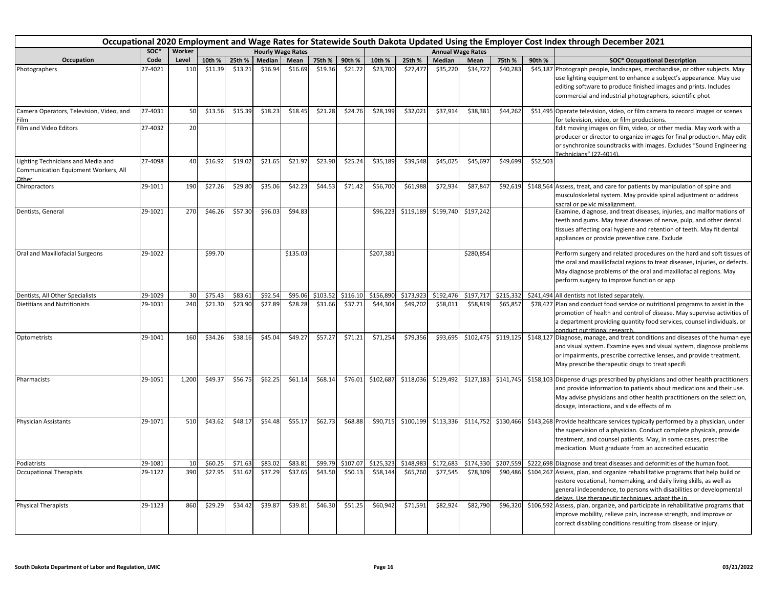|                                                                                     |         |                 |         |         |         |                          |          |          |           |           |           |                          |           |          | Occupational 2020 Employment and Wage Rates for Statewide South Dakota Updated Using the Employer Cost Index through December 2021                                                                                                                                                 |
|-------------------------------------------------------------------------------------|---------|-----------------|---------|---------|---------|--------------------------|----------|----------|-----------|-----------|-----------|--------------------------|-----------|----------|------------------------------------------------------------------------------------------------------------------------------------------------------------------------------------------------------------------------------------------------------------------------------------|
|                                                                                     | SOC*    | Worker          |         |         |         | <b>Hourly Wage Rates</b> |          |          |           |           |           | <b>Annual Wage Rates</b> |           |          |                                                                                                                                                                                                                                                                                    |
| Occupation                                                                          | Code    | Level           | 10th %  | 25th %  | Median  | Mean                     | 75th %   | 90th %   | 10th %    | 25th %    | Median    | Mean                     | 75th %    | 90th %   | <b>SOC* Occupational Description</b>                                                                                                                                                                                                                                               |
| Photographers                                                                       | 27-4021 | 110             | \$11.39 | \$13.21 | \$16.94 | \$16.69                  | \$19.36  | \$21.72  | \$23,700  | \$27,477  | \$35,220  | \$34,727                 | \$40,283  |          | \$45,187 Photograph people, landscapes, merchandise, or other subjects. May<br>use lighting equipment to enhance a subject's appearance. May use<br>editing software to produce finished images and prints. Includes<br>commercial and industrial photographers, scientific phot   |
| Camera Operators, Television, Video, and<br>Film                                    | 27-4031 | 50              | \$13.56 | \$15.39 | \$18.23 | \$18.45                  | \$21.28  | \$24.76  | \$28,199  | \$32,021  | \$37,914  | \$38,381                 | \$44,262  |          | \$51,495 Operate television, video, or film camera to record images or scenes<br>for television, video, or film productions.                                                                                                                                                       |
| Film and Video Editors                                                              | 27-4032 | 20              |         |         |         |                          |          |          |           |           |           |                          |           |          | Edit moving images on film, video, or other media. May work with a<br>producer or director to organize images for final production. May edit<br>or synchronize soundtracks with images. Excludes "Sound Engineering<br>Technicians" (27-4014).                                     |
| Lighting Technicians and Media and<br>Communication Equipment Workers, All<br>Other | 27-4098 | 40              | \$16.92 | \$19.02 | \$21.65 | \$21.97                  | \$23.90  | \$25.24  | \$35,189  | \$39,548  | \$45,025  | \$45,697                 | \$49,699  | \$52,503 |                                                                                                                                                                                                                                                                                    |
| Chiropractors                                                                       | 29-1011 | 190             | \$27.26 | \$29.80 | \$35.06 | \$42.23                  | \$44.53  | \$71.42  | \$56,700  | \$61,988  | \$72,934  | \$87,847                 | \$92,619  |          | \$148,564 Assess, treat, and care for patients by manipulation of spine and<br>musculoskeletal system. May provide spinal adjustment or address<br>sacral or pelvic misalignment.                                                                                                  |
| Dentists, General                                                                   | 29-1021 | 270             | \$46.26 | \$57.30 | \$96.03 | \$94.83                  |          |          | \$96.223  | \$119,189 | \$199,740 | \$197,242                |           |          | Examine, diagnose, and treat diseases, injuries, and malformations of<br>teeth and gums. May treat diseases of nerve, pulp, and other dental<br>tissues affecting oral hygiene and retention of teeth. May fit dental<br>appliances or provide preventive care. Exclude            |
| Oral and Maxillofacial Surgeons                                                     | 29-1022 |                 | \$99.70 |         |         | \$135.03                 |          |          | \$207,381 |           |           | \$280,854                |           |          | Perform surgery and related procedures on the hard and soft tissues of<br>the oral and maxillofacial regions to treat diseases, injuries, or defects.<br>May diagnose problems of the oral and maxillofacial regions. May<br>perform surgery to improve function or app            |
| Dentists, All Other Specialists                                                     | 29-1029 | 30              | \$75.43 | \$83.61 | \$92.54 | \$95.06                  | \$103.52 | \$116.10 | \$156,890 | \$173,923 | \$192,476 | \$197,717                | \$215,33  |          | \$241,494 All dentists not listed separately.                                                                                                                                                                                                                                      |
| <b>Dietitians and Nutritionists</b>                                                 | 29-1031 | 240             | \$21.30 | \$23.90 | \$27.89 | \$28.28                  | \$31.66  | \$37.71  | \$44,304  | \$49,702  | \$58,011  | \$58,819                 | \$65,857  |          | \$78,427 Plan and conduct food service or nutritional programs to assist in the<br>promotion of health and control of disease. May supervise activities of<br>a department providing quantity food services, counsel individuals, or<br>conduct nutritional research.              |
| Optometrists                                                                        | 29-1041 | 160             | \$34.26 | \$38.16 | \$45.04 | \$49.27                  | \$57.27  | \$71.21  | \$71,254  | \$79,356  | \$93,695  | \$102,475                | \$119,125 |          | \$148,127 Diagnose, manage, and treat conditions and diseases of the human eye<br>and visual system. Examine eyes and visual system, diagnose problems<br>or impairments, prescribe corrective lenses, and provide treatment.<br>May prescribe therapeutic drugs to treat specifi  |
| Pharmacists                                                                         | 29-1051 | 1,200           | \$49.37 | \$56.75 | \$62.25 | \$61.14                  | \$68.14  | \$76.01  | \$102,687 | \$118,036 | \$129,492 | \$127,183                | \$141,745 |          | \$158,103 Dispense drugs prescribed by physicians and other health practitioners<br>and provide information to patients about medications and their use.<br>May advise physicians and other health practitioners on the selection,<br>dosage, interactions, and side effects of m  |
| <b>Physician Assistants</b>                                                         | 29-1071 | 510             | \$43.62 | \$48.17 | \$54.48 | \$55.17                  | \$62.73  | \$68.88  | \$90,715  | \$100,199 | \$113,336 | \$114,752                | \$130,466 |          | \$143,268 Provide healthcare services typically performed by a physician, under<br>the supervision of a physician. Conduct complete physicals, provide<br>treatment, and counsel patients. May, in some cases, prescribe<br>medication. Must graduate from an accredited educatio  |
| Podiatrists                                                                         | 29-1081 | 10 <sup>1</sup> | \$60.25 | \$71.63 | \$83.02 | \$83.81                  | \$99.79  | \$107.07 | \$125,323 | \$148,983 | \$172,683 | \$174,330                | \$207.559 |          | \$222,698 Diagnose and treat diseases and deformities of the human foot.                                                                                                                                                                                                           |
| <b>Occupational Therapists</b>                                                      | 29-1122 | 390             | \$27.95 | \$31.62 | \$37.29 | \$37.65                  | \$43.50  | \$50.13  | \$58,144  | \$65,760  | \$77,545  | \$78,309                 | \$90,486  |          | \$104,267 Assess, plan, and organize rehabilitative programs that help build or<br>restore vocational, homemaking, and daily living skills, as well as<br>general independence, to persons with disabilities or developmental<br>delays. Use therapeutic techniques, adapt the in- |
| <b>Physical Therapists</b>                                                          | 29-1123 | 860             | \$29.29 | \$34.42 | \$39.87 | \$39.81                  | \$46.30  | \$51.25  | \$60,942  | \$71,591  | \$82,924  | \$82,790                 | \$96,320  |          | \$106,592 Assess, plan, organize, and participate in rehabilitative programs that<br>improve mobility, relieve pain, increase strength, and improve or<br>correct disabling conditions resulting from disease or injury.                                                           |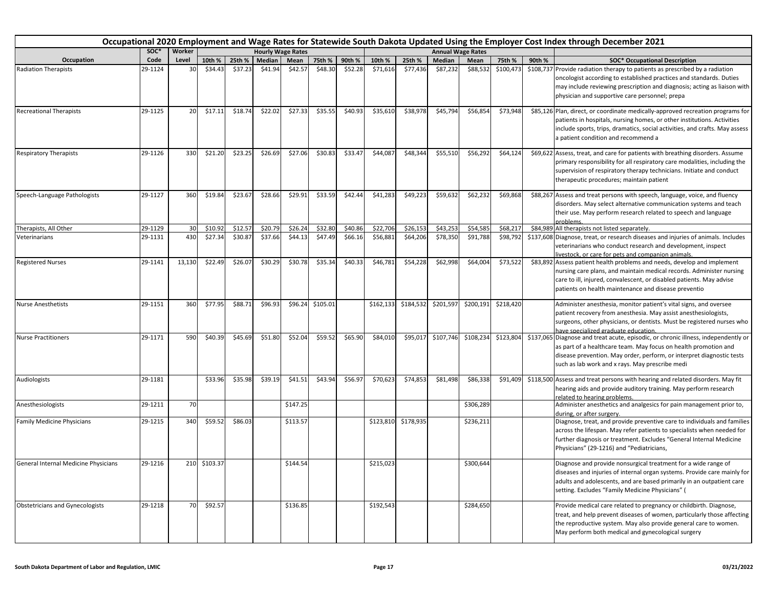|                                        |         |        |              |         |         |                          |          |         |           |           |           |                          |           |        | Occupational 2020 Employment and Wage Rates for Statewide South Dakota Updated Using the Employer Cost Index through December 2021                                                                                                                                                |
|----------------------------------------|---------|--------|--------------|---------|---------|--------------------------|----------|---------|-----------|-----------|-----------|--------------------------|-----------|--------|-----------------------------------------------------------------------------------------------------------------------------------------------------------------------------------------------------------------------------------------------------------------------------------|
|                                        | SOC*    | Worker |              |         |         | <b>Hourly Wage Rates</b> |          |         |           |           |           | <b>Annual Wage Rates</b> |           |        |                                                                                                                                                                                                                                                                                   |
| Occupation                             | Code    | Level  | 10th %       | 25th %  | Median  | Mean                     | 75th %   | 90th %  | 10th %    | 25th %    | Median    | Mean                     | 75th %    | 90th % | <b>SOC* Occupational Description</b>                                                                                                                                                                                                                                              |
| <b>Radiation Therapists</b>            | 29-1124 | 30     | \$34.43      | \$37.23 | \$41.94 | \$42.57                  | \$48.30  | \$52.28 | \$71,616  | \$77,436  | \$87,232  | \$88,532                 | \$100,473 |        | \$108,737 Provide radiation therapy to patients as prescribed by a radiation<br>oncologist according to established practices and standards. Duties<br>may include reviewing prescription and diagnosis; acting as liaison with<br>physician and supportive care personnel; prepa |
| <b>Recreational Therapists</b>         | 29-1125 | 20     | \$17.11      | \$18.74 | \$22.02 | \$27.33                  | \$35.55  | \$40.93 | \$35,610  | \$38,978  | \$45,794  | \$56,854                 | \$73,948  |        | \$85,126 Plan, direct, or coordinate medically-approved recreation programs for<br>patients in hospitals, nursing homes, or other institutions. Activities<br>include sports, trips, dramatics, social activities, and crafts. May assess<br>a patient condition and recommend a  |
| <b>Respiratory Therapists</b>          | 29-1126 | 330    | \$21.20      | \$23.25 | \$26.69 | \$27.06                  | \$30.83  | \$33.47 | \$44,087  | \$48,344  | \$55,510  | \$56,292                 | \$64,124  |        | \$69,622 Assess, treat, and care for patients with breathing disorders. Assume<br>primary responsibility for all respiratory care modalities, including the<br>supervision of respiratory therapy technicians. Initiate and conduct<br>therapeutic procedures; maintain patient   |
| Speech-Language Pathologists           | 29-1127 | 360    | \$19.84      | \$23.67 | \$28.66 | \$29.91                  | \$33.59  | \$42.44 | \$41,283  | \$49,223  | \$59,632  | \$62,232                 | \$69,868  |        | \$88,267 Assess and treat persons with speech, language, voice, and fluency<br>disorders. May select alternative communication systems and teach<br>their use. May perform research related to speech and language<br>problems.                                                   |
| Therapists, All Other                  | 29-1129 | 30     | \$10.92      | \$12.5  | \$20.79 | \$26.24                  | \$32.80  | \$40.86 | \$22,706  | \$26,153  | \$43,253  | \$54,585                 | \$68,217  |        | \$84,989 All therapists not listed separately.                                                                                                                                                                                                                                    |
| Veterinarians                          | 29-1131 | 430    | \$27.34      | \$30.87 | \$37.66 | \$44.13                  | \$47.49  | \$66.16 | \$56,881  | \$64,206  | \$78,350  | \$91,788                 | \$98,792  |        | \$137,608 Diagnose, treat, or research diseases and injuries of animals. Includes<br>veterinarians who conduct research and development, inspect<br>livestock, or care for pets and companion animals.                                                                            |
| <b>Registered Nurses</b>               | 29-1141 | 13,130 | \$22.49      | \$26.07 | \$30.29 | \$30.78                  | \$35.34  | \$40.33 | \$46,781  | \$54,228  | \$62,998  | \$64,004                 | \$73,522  |        | \$83,892 Assess patient health problems and needs, develop and implement<br>nursing care plans, and maintain medical records. Administer nursing<br>care to ill, injured, convalescent, or disabled patients. May advise<br>patients on health maintenance and disease preventio  |
| <b>Nurse Anesthetists</b>              | 29-1151 | 360    | \$77.95      | \$88.71 | \$96.93 | \$96.24                  | \$105.01 |         | \$162,133 | \$184,532 | \$201,597 | \$200,191                | \$218,420 |        | Administer anesthesia, monitor patient's vital signs, and oversee<br>patient recovery from anesthesia. May assist anesthesiologists,<br>surgeons, other physicians, or dentists. Must be registered nurses who<br>have specialized graduate education.                            |
| <b>Nurse Practitioners</b>             | 29-1171 | 590    | \$40.39      | \$45.69 | \$51.80 | \$52.04                  | \$59.52  | \$65.90 | \$84,010  | \$95,017  | \$107,746 | \$108,234                | \$123,804 |        | \$137,065 Diagnose and treat acute, episodic, or chronic illness, independently or<br>as part of a healthcare team. May focus on health promotion and<br>disease prevention. May order, perform, or interpret diagnostic tests<br>such as lab work and x rays. May prescribe medi |
| Audiologists                           | 29-1181 |        | \$33.96      | \$35.98 | \$39.19 | \$41.51                  | \$43.94  | \$56.97 | \$70,623  | \$74,853  | \$81,498  | \$86,338                 | \$91,409  |        | \$118,500 Assess and treat persons with hearing and related disorders. May fit<br>hearing aids and provide auditory training. May perform research<br>related to hearing problems.                                                                                                |
| Anesthesiologists                      | 29-1211 | 70     |              |         |         | \$147.25                 |          |         |           |           |           | \$306,289                |           |        | Administer anesthetics and analgesics for pain management prior to,<br>during, or after surgery.                                                                                                                                                                                  |
| <b>Family Medicine Physicians</b>      | 29-1215 | 340    | \$59.52      | \$86.03 |         | \$113.57                 |          |         | \$123,810 | \$178,935 |           | \$236,211                |           |        | Diagnose, treat, and provide preventive care to individuals and families<br>across the lifespan. May refer patients to specialists when needed for<br>further diagnosis or treatment. Excludes "General Internal Medicine<br>Physicians" (29-1216) and "Pediatricians,            |
| General Internal Medicine Physicians   | 29-1216 |        | 210 \$103.37 |         |         | \$144.54                 |          |         | \$215,023 |           |           | \$300,644                |           |        | Diagnose and provide nonsurgical treatment for a wide range of<br>diseases and injuries of internal organ systems. Provide care mainly for<br>adults and adolescents, and are based primarily in an outpatient care<br>setting. Excludes "Family Medicine Physicians" (           |
| <b>Obstetricians and Gynecologists</b> | 29-1218 | 70     | \$92.57      |         |         | \$136.85                 |          |         | \$192,543 |           |           | \$284,650                |           |        | Provide medical care related to pregnancy or childbirth. Diagnose,<br>treat, and help prevent diseases of women, particularly those affecting<br>the reproductive system. May also provide general care to women.<br>May perform both medical and gynecological surgery           |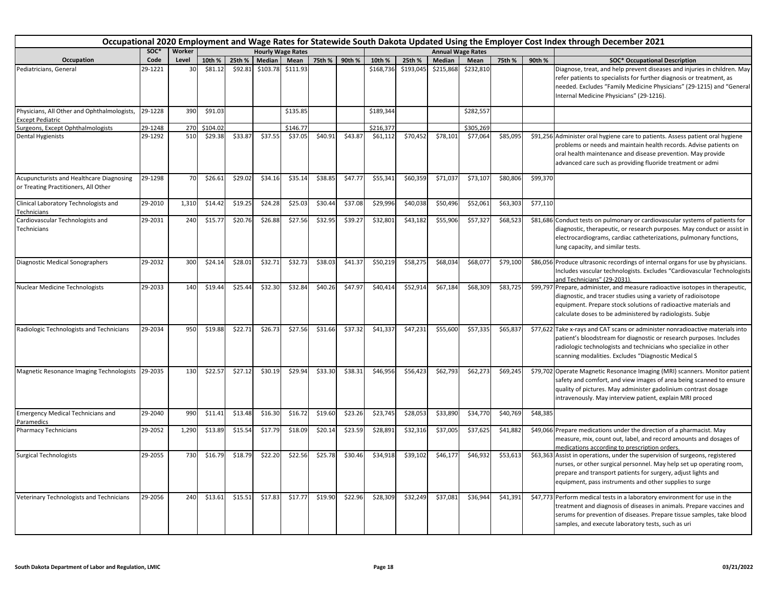|                                                                                  | Occupational 2020 Employment and Wage Rates for Statewide South Dakota Updated Using the Employer Cost Index through December 2021<br>soc*<br>Worker<br><b>Hourly Wage Rates</b><br><b>Annual Wage Rates</b> |                |          |         |          |          |         |               |           |           |           |           |          |          |                                                                                                                                                                                                                                                                                  |
|----------------------------------------------------------------------------------|--------------------------------------------------------------------------------------------------------------------------------------------------------------------------------------------------------------|----------------|----------|---------|----------|----------|---------|---------------|-----------|-----------|-----------|-----------|----------|----------|----------------------------------------------------------------------------------------------------------------------------------------------------------------------------------------------------------------------------------------------------------------------------------|
|                                                                                  |                                                                                                                                                                                                              |                |          |         |          |          |         |               |           |           |           |           |          |          |                                                                                                                                                                                                                                                                                  |
| Occupation                                                                       | Code                                                                                                                                                                                                         | Level          | 10th %   | 25th %  | Median   | Mean     |         | 75th % 90th % | 10th %    | 25th %    | Median    | Mean      | 75th %   | 90th %   | <b>SOC* Occupational Description</b>                                                                                                                                                                                                                                             |
| Pediatricians, General                                                           | 29-1221                                                                                                                                                                                                      | 3 <sup>c</sup> | \$81.12  | \$92.81 | \$103.78 | \$111.93 |         |               | \$168,736 | \$193,045 | \$215,868 | \$232,810 |          |          | Diagnose, treat, and help prevent diseases and injuries in children. May<br>refer patients to specialists for further diagnosis or treatment, as<br>needed. Excludes "Family Medicine Physicians" (29-1215) and "General<br>Internal Medicine Physicians" (29-1216).             |
| Physicians, All Other and Ophthalmologists,<br><b>Except Pediatric</b>           | 29-1228                                                                                                                                                                                                      | 390            | \$91.03  |         |          | \$135.85 |         |               | \$189,344 |           |           | \$282,557 |          |          |                                                                                                                                                                                                                                                                                  |
| Surgeons, Except Ophthalmologists                                                | 29-1248                                                                                                                                                                                                      | 270            | \$104.02 |         |          | \$146.77 |         |               | \$216,377 |           |           | \$305,269 |          |          |                                                                                                                                                                                                                                                                                  |
| <b>Dental Hygienists</b>                                                         | 29-1292                                                                                                                                                                                                      | 510            | \$29.38  | \$33.87 | \$37.55  | \$37.05  | \$40.91 | \$43.87       | \$61,112  | \$70,452  | \$78,101  | \$77,064  | \$85,095 |          | \$91,256 Administer oral hygiene care to patients. Assess patient oral hygiene<br>problems or needs and maintain health records. Advise patients on<br>oral health maintenance and disease prevention. May provide<br>advanced care such as providing fluoride treatment or admi |
| Acupuncturists and Healthcare Diagnosing<br>or Treating Practitioners, All Other | 29-1298                                                                                                                                                                                                      | 70             | \$26.61  | \$29.02 | \$34.16  | \$35.14  | \$38.85 | \$47.77       | \$55,341  | \$60,359  | \$71,037  | \$73,107  | \$80,806 | \$99,370 |                                                                                                                                                                                                                                                                                  |
| Clinical Laboratory Technologists and<br>Technicians                             | 29-2010                                                                                                                                                                                                      | 1,310          | \$14.42  | \$19.25 | \$24.28  | \$25.03  | \$30.44 | \$37.08       | \$29,996  | \$40,038  | \$50,496  | \$52,061  | \$63,303 | \$77,110 |                                                                                                                                                                                                                                                                                  |
| Cardiovascular Technologists and<br>Technicians                                  | 29-2031                                                                                                                                                                                                      | 240            | \$15.77  | \$20.76 | \$26.88  | \$27.56  | \$32.95 | \$39.27       | \$32,801  | \$43,182  | \$55,906  | \$57,327  | \$68,523 |          | \$81,686 Conduct tests on pulmonary or cardiovascular systems of patients for<br>diagnostic, therapeutic, or research purposes. May conduct or assist in<br>electrocardiograms, cardiac catheterizations, pulmonary functions,<br>lung capacity, and similar tests.              |
| Diagnostic Medical Sonographers                                                  | 29-2032                                                                                                                                                                                                      | 300            | \$24.14  | \$28.01 | \$32.71  | \$32.73  | \$38.03 | \$41.37       | \$50,219  | \$58,275  | \$68,034  | \$68,077  | \$79,100 |          | \$86,056 Produce ultrasonic recordings of internal organs for use by physicians.<br>Includes vascular technologists. Excludes "Cardiovascular Technologists<br>and Technicians" (29-2031).                                                                                       |
| Nuclear Medicine Technologists                                                   | 29-2033                                                                                                                                                                                                      | 140            | \$19.44  | \$25.44 | \$32.30  | \$32.84  | \$40.26 | \$47.97       | \$40,414  | \$52,914  | \$67,184  | \$68,309  | \$83,725 |          | \$99,797 Prepare, administer, and measure radioactive isotopes in therapeutic,<br>diagnostic, and tracer studies using a variety of radioisotope<br>equipment. Prepare stock solutions of radioactive materials and<br>calculate doses to be administered by radiologists. Subje |
| Radiologic Technologists and Technicians                                         | 29-2034                                                                                                                                                                                                      | 950            | \$19.88  | \$22.71 | \$26.73  | \$27.56  | \$31.66 | \$37.32       | \$41,337  | \$47,231  | \$55,600  | \$57,335  | \$65,837 |          | \$77,622 Take x-rays and CAT scans or administer nonradioactive materials into<br>patient's bloodstream for diagnostic or research purposes. Includes<br>radiologic technologists and technicians who specialize in other<br>scanning modalities. Excludes "Diagnostic Medical S |
| <b>Magnetic Resonance Imaging Technologists</b>                                  | 29-2035                                                                                                                                                                                                      | 130            | \$22.57  | \$27.12 | \$30.19  | \$29.94  | \$33.30 | \$38.31       | \$46,956  | \$56,423  | \$62,793  | \$62,273  | \$69,245 |          | \$79,702 Operate Magnetic Resonance Imaging (MRI) scanners. Monitor patient<br>safety and comfort, and view images of area being scanned to ensure<br>quality of pictures. May administer gadolinium contrast dosage<br>intravenously. May interview patient, explain MRI proced |
| <b>Emergency Medical Technicians and</b><br>Paramedics                           | 29-2040                                                                                                                                                                                                      | 990            | \$11.41  | \$13.48 | \$16.30  | \$16.72  | \$19.60 | \$23.26       | \$23,745  | \$28,053  | \$33,890  | \$34,770  | \$40,769 | \$48,385 |                                                                                                                                                                                                                                                                                  |
| <b>Pharmacy Technicians</b>                                                      | 29-2052                                                                                                                                                                                                      | 1,290          | \$13.89  | \$15.54 | \$17.79  | \$18.09  | \$20.14 | \$23.59       | \$28,891  | \$32,316  | \$37,005  | \$37,625  | \$41,882 |          | \$49,066 Prepare medications under the direction of a pharmacist. May<br>measure, mix, count out, label, and record amounts and dosages of<br>medications according to prescription orders.                                                                                      |
| <b>Surgical Technologists</b>                                                    | 29-2055                                                                                                                                                                                                      | 730            | \$16.79  | \$18.79 | \$22.20  | \$22.56  | \$25.78 | \$30.46       | \$34,918  | \$39,102  | \$46,177  | \$46,932  | \$53,613 |          | \$63,363 Assist in operations, under the supervision of surgeons, registered<br>nurses, or other surgical personnel. May help set up operating room,<br>prepare and transport patients for surgery, adjust lights and<br>equipment, pass instruments and other supplies to surge |
| Veterinary Technologists and Technicians                                         | 29-2056                                                                                                                                                                                                      | 240            | \$13.61  | \$15.51 | \$17.83  | \$17.77  | \$19.90 | \$22.96       | \$28,309  | \$32,249  | \$37,081  | \$36,944  | \$41,391 |          | \$47,773 Perform medical tests in a laboratory environment for use in the<br>treatment and diagnosis of diseases in animals. Prepare vaccines and<br>serums for prevention of diseases. Prepare tissue samples, take blood<br>samples, and execute laboratory tests, such as uri |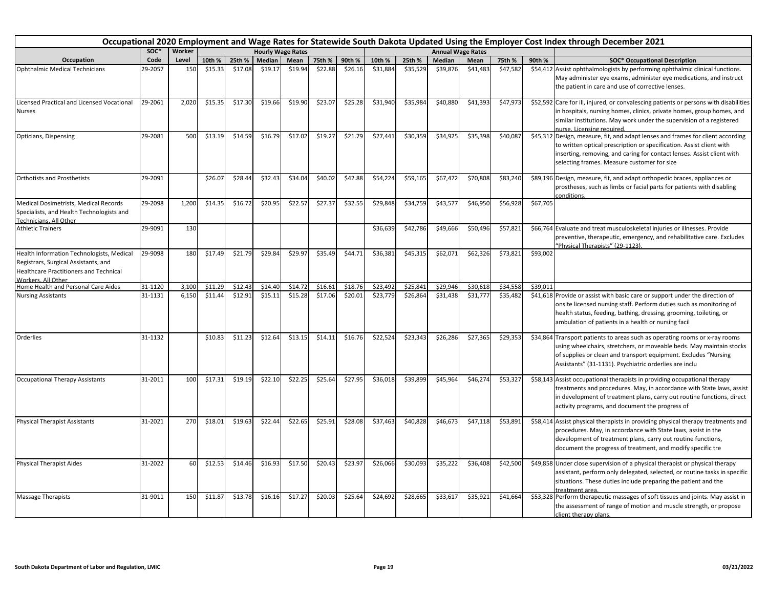|                                                                                                                                                          | Occupational 2020 Employment and Wage Rates for Statewide South Dakota Updated Using the Employer Cost Index through December 2021 |        |         |         |         |                          |         |         |          |          |                          |          |          |          |                                                                                                                                                                                                                                                                                  |
|----------------------------------------------------------------------------------------------------------------------------------------------------------|------------------------------------------------------------------------------------------------------------------------------------|--------|---------|---------|---------|--------------------------|---------|---------|----------|----------|--------------------------|----------|----------|----------|----------------------------------------------------------------------------------------------------------------------------------------------------------------------------------------------------------------------------------------------------------------------------------|
|                                                                                                                                                          | SOC*                                                                                                                               | Worker |         |         |         | <b>Hourly Wage Rates</b> |         |         |          |          | <b>Annual Wage Rates</b> |          |          |          |                                                                                                                                                                                                                                                                                  |
| Occupation                                                                                                                                               | Code                                                                                                                               | Level  | 10th %  | 25th %  | Median  | Mean                     | 75th %  | 90th %  | 10th %   | 25th %   | Median                   | Mean     | 75th %   | 90th %   | <b>SOC* Occupational Description</b>                                                                                                                                                                                                                                             |
| Ophthalmic Medical Technicians                                                                                                                           | 29-2057                                                                                                                            | 150    | \$15.33 | \$17.08 | \$19.17 | \$19.94                  | \$22.88 | \$26.16 | \$31,884 | \$35,529 | \$39,876                 | \$41,483 | \$47,582 |          | \$54,412 Assist ophthalmologists by performing ophthalmic clinical functions.<br>May administer eye exams, administer eye medications, and instruct<br>the patient in care and use of corrective lenses.                                                                         |
| Licensed Practical and Licensed Vocational<br><b>Nurses</b>                                                                                              | 29-2061                                                                                                                            | 2,020  | \$15.35 | \$17.30 | \$19.66 | \$19.90                  | \$23.07 | \$25.28 | \$31,940 | \$35,984 | \$40,880                 | \$41,393 | \$47,973 |          | \$52,592 Care for ill, injured, or convalescing patients or persons with disabilities<br>in hospitals, nursing homes, clinics, private homes, group homes, and<br>similar institutions. May work under the supervision of a registered<br>nurse. Licensing required.             |
| Opticians, Dispensing                                                                                                                                    | 29-2081                                                                                                                            | 500    | \$13.19 | \$14.59 | \$16.79 | \$17.02                  | \$19.27 | \$21.79 | \$27,441 | \$30,359 | \$34,925                 | \$35,398 | \$40,087 |          | \$45,312 Design, measure, fit, and adapt lenses and frames for client according<br>to written optical prescription or specification. Assist client with<br>inserting, removing, and caring for contact lenses. Assist client with<br>selecting frames. Measure customer for size |
| <b>Orthotists and Prosthetists</b>                                                                                                                       | 29-2091                                                                                                                            |        | \$26.07 | \$28.44 | \$32.43 | \$34.04                  | \$40.02 | \$42.88 | \$54,224 | \$59,165 | \$67,472                 | \$70,808 | \$83,240 |          | \$89,196 Design, measure, fit, and adapt orthopedic braces, appliances or<br>prostheses, such as limbs or facial parts for patients with disabling<br>conditions.                                                                                                                |
| Medical Dosimetrists, Medical Records<br>Specialists, and Health Technologists and<br>Technicians, All Other                                             | 29-2098                                                                                                                            | 1,200  | \$14.35 | \$16.72 | \$20.95 | \$22.57                  | \$27.37 | \$32.55 | \$29,848 | \$34,759 | \$43,577                 | \$46,950 | \$56,928 | \$67,705 |                                                                                                                                                                                                                                                                                  |
| <b>Athletic Trainers</b>                                                                                                                                 | 29-9091                                                                                                                            | 130    |         |         |         |                          |         |         | \$36,639 | \$42,786 | \$49,666                 | \$50,496 | \$57,821 |          | \$66,764 Evaluate and treat musculoskeletal injuries or illnesses. Provide<br>preventive, therapeutic, emergency, and rehabilitative care. Excludes<br>"Physical Therapists" (29-1123).                                                                                          |
| Health Information Technologists, Medical<br>Registrars, Surgical Assistants, and<br><b>Healthcare Practitioners and Technical</b><br>Workers, All Other | 29-9098                                                                                                                            | 180    | \$17.49 | \$21.79 | \$29.84 | \$29.97                  | \$35.49 | \$44.71 | \$36,381 | \$45,315 | \$62,071                 | \$62,326 | \$73,821 | \$93,002 |                                                                                                                                                                                                                                                                                  |
| Home Health and Personal Care Aides                                                                                                                      | 31-1120                                                                                                                            | 3,100  | \$11.29 | \$12.43 | \$14.40 | \$14.72                  | \$16.61 | \$18.76 | \$23,492 | \$25,841 | \$29,946                 | \$30,618 | \$34,558 | \$39,011 |                                                                                                                                                                                                                                                                                  |
| <b>Nursing Assistants</b>                                                                                                                                | 31-1131                                                                                                                            | 6,150  | \$11.44 | \$12.91 | \$15.11 | \$15.28                  | \$17.06 | \$20.01 | \$23,779 | \$26,864 | \$31,438                 | \$31,777 | \$35,482 |          | \$41,618 Provide or assist with basic care or support under the direction of<br>onsite licensed nursing staff. Perform duties such as monitoring of<br>health status, feeding, bathing, dressing, grooming, toileting, or<br>ambulation of patients in a health or nursing facil |
| Orderlies                                                                                                                                                | 31-1132                                                                                                                            |        | \$10.83 | \$11.23 | \$12.64 | \$13.15                  | \$14.11 | \$16.76 | \$22,524 | \$23,343 | \$26,286                 | \$27,365 | \$29,353 |          | \$34,864 Transport patients to areas such as operating rooms or x-ray rooms<br>using wheelchairs, stretchers, or moveable beds. May maintain stocks<br>of supplies or clean and transport equipment. Excludes "Nursing<br>Assistants" (31-1131). Psychiatric orderlies are inclu |
| <b>Occupational Therapy Assistants</b>                                                                                                                   | 31-2011                                                                                                                            | 100    | \$17.31 | \$19.19 | \$22.10 | \$22.25                  | \$25.64 | \$27.95 | \$36,018 | \$39,899 | \$45,964                 | \$46,274 | \$53,327 |          | \$58,143 Assist occupational therapists in providing occupational therapy<br>treatments and procedures. May, in accordance with State laws, assist<br>in development of treatment plans, carry out routine functions, direct<br>activity programs, and document the progress of  |
| <b>Physical Therapist Assistants</b>                                                                                                                     | 31-2021                                                                                                                            | 270    | \$18.01 | \$19.63 | \$22.44 | \$22.65                  | \$25.91 | \$28.08 | \$37,463 | \$40,828 | \$46,673                 | \$47,118 | \$53,891 |          | \$58,414 Assist physical therapists in providing physical therapy treatments and<br>procedures. May, in accordance with State laws, assist in the<br>development of treatment plans, carry out routine functions,<br>document the progress of treatment, and modify specific tre |
| <b>Physical Therapist Aides</b>                                                                                                                          | 31-2022                                                                                                                            | 60     | \$12.53 | \$14.46 | \$16.93 | \$17.50                  | \$20.43 | \$23.97 | \$26,066 | \$30,093 | \$35,222                 | \$36,408 | \$42,500 |          | \$49,858 Under close supervision of a physical therapist or physical therapy<br>assistant, perform only delegated, selected, or routine tasks in specific<br>situations. These duties include preparing the patient and the<br>reatment area.                                    |
| <b>Massage Therapists</b>                                                                                                                                | 31-9011                                                                                                                            | 150    | \$11.87 | \$13.78 | \$16.16 | \$17.27                  | \$20.03 | \$25.64 | \$24,692 | \$28,665 | \$33,617                 | \$35,921 | \$41,664 |          | \$53,328 Perform therapeutic massages of soft tissues and joints. May assist in<br>the assessment of range of motion and muscle strength, or propose<br>client therapy plans.                                                                                                    |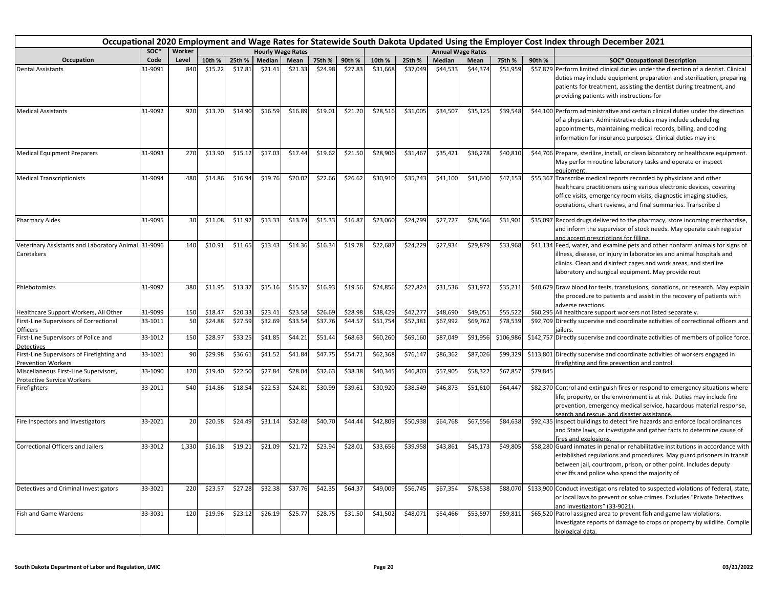|                                                                            | Occupational 2020 Employment and Wage Rates for Statewide South Dakota Updated Using the Employer Cost Index through December 2021 |        |         |         |                          |         |         |         |          |          |                          |          |           |          |                                                                                                                                                                                                                                                                                  |
|----------------------------------------------------------------------------|------------------------------------------------------------------------------------------------------------------------------------|--------|---------|---------|--------------------------|---------|---------|---------|----------|----------|--------------------------|----------|-----------|----------|----------------------------------------------------------------------------------------------------------------------------------------------------------------------------------------------------------------------------------------------------------------------------------|
|                                                                            | soc*                                                                                                                               | Worker |         |         | <b>Hourly Wage Rates</b> |         |         |         |          |          | <b>Annual Wage Rates</b> |          |           |          |                                                                                                                                                                                                                                                                                  |
| Occupation                                                                 | Code                                                                                                                               | Level  | 10th %  | 25th %  | Median                   | Mean    | 75th %  | 90th %  | 10th %   | 25th %   | Median                   | Mean     | 75th %    | 90th %   | <b>SOC* Occupational Description</b>                                                                                                                                                                                                                                             |
| <b>Dental Assistants</b>                                                   | 31-9091                                                                                                                            | 840    | \$15.22 | \$17.81 | \$21.41                  | \$21.33 | \$24.98 | \$27.83 | \$31,668 | \$37,049 | \$44,533                 | \$44,374 | \$51,959  |          | \$57,879 Perform limited clinical duties under the direction of a dentist. Clinical<br>duties may include equipment preparation and sterilization, preparing<br>patients for treatment, assisting the dentist during treatment, and<br>providing patients with instructions for  |
| <b>Medical Assistants</b>                                                  | 31-9092                                                                                                                            | 920    | \$13.70 | \$14.90 | \$16.59                  | \$16.89 | \$19.01 | \$21.20 | \$28,516 | \$31,005 | \$34,507                 | \$35,125 | \$39,548  |          | \$44,100 Perform administrative and certain clinical duties under the direction<br>of a physician. Administrative duties may include scheduling<br>appointments, maintaining medical records, billing, and coding<br>information for insurance purposes. Clinical duties may inc |
| <b>Medical Equipment Preparers</b>                                         | 31-9093                                                                                                                            | 270    | \$13.90 | \$15.12 | \$17.03                  | \$17.44 | \$19.62 | \$21.50 | \$28,906 | \$31,467 | \$35,421                 | \$36,278 | \$40,810  |          | \$44,706 Prepare, sterilize, install, or clean laboratory or healthcare equipment.<br>May perform routine laboratory tasks and operate or inspect<br>equipment                                                                                                                   |
| <b>Medical Transcriptionists</b>                                           | 31-9094                                                                                                                            | 480    | \$14.86 | \$16.94 | \$19.76                  | \$20.02 | \$22.66 | \$26.62 | \$30,910 | \$35,243 | \$41,100                 | \$41,640 | \$47,153  |          | \$55,367 Transcribe medical reports recorded by physicians and other<br>healthcare practitioners using various electronic devices, covering<br>office visits, emergency room visits, diagnostic imaging studies,<br>operations, chart reviews, and final summaries. Transcribe d |
| <b>Pharmacy Aides</b>                                                      | 31-9095                                                                                                                            | 30     | \$11.08 | \$11.92 | \$13.33                  | \$13.74 | \$15.33 | \$16.87 | \$23,060 | \$24,799 | \$27,727                 | \$28,566 | \$31,901  |          | \$35,097 Record drugs delivered to the pharmacy, store incoming merchandise<br>and inform the supervisor of stock needs. May operate cash register<br>and accept prescriptions for filling.                                                                                      |
| Veterinary Assistants and Laboratory Animal 31-9096<br>Caretakers          |                                                                                                                                    | 140    | \$10.91 | \$11.65 | \$13.43                  | \$14.36 | \$16.34 | \$19.78 | \$22,687 | \$24,229 | \$27,934                 | \$29,879 | \$33,968  |          | \$41,134 Feed, water, and examine pets and other nonfarm animals for signs of<br>illness, disease, or injury in laboratories and animal hospitals and<br>clinics. Clean and disinfect cages and work areas, and sterilize<br>laboratory and surgical equipment. May provide rout |
| Phlebotomists                                                              | 31-9097                                                                                                                            | 380    | \$11.95 | \$13.37 | \$15.16                  | \$15.37 | \$16.93 | \$19.56 | \$24,856 | \$27,824 | \$31,536                 | \$31,97  | \$35,211  |          | \$40,679 Draw blood for tests, transfusions, donations, or research. May explain<br>the procedure to patients and assist in the recovery of patients with<br>adverse reactions.                                                                                                  |
| Healthcare Support Workers, All Other                                      | 31-9099                                                                                                                            | 150    | \$18.47 | \$20.33 | \$23.41                  | \$23.58 | \$26.69 | \$28.98 | \$38,429 | \$42,277 | \$48,690                 | \$49,05  | \$55,522  |          | \$60,295 All healthcare support workers not listed separately.                                                                                                                                                                                                                   |
| First-Line Supervisors of Correctional<br>Officers                         | 33-1011                                                                                                                            | 50     | \$24.88 | \$27.59 | \$32.69                  | \$33.54 | \$37.76 | \$44.57 | \$51,754 | \$57,381 | \$67,992                 | \$69,76  | \$78,539  |          | \$92,709 Directly supervise and coordinate activities of correctional officers and                                                                                                                                                                                               |
| First-Line Supervisors of Police and<br><b>Detectives</b>                  | 33-1012                                                                                                                            | 150    | \$28.97 | \$33.25 | \$41.85                  | \$44.21 | \$51.44 | \$68.63 | \$60,260 | \$69,160 | \$87,049                 | \$91,95  | \$106,986 |          | \$142,757 Directly supervise and coordinate activities of members of police force.                                                                                                                                                                                               |
| First-Line Supervisors of Firefighting and<br><b>Prevention Workers</b>    | 33-1021                                                                                                                            | 90     | \$29.98 | \$36.61 | \$41.52                  | \$41.84 | \$47.75 | \$54.71 | \$62,368 | \$76,147 | \$86,362                 | \$87,02  | \$99,329  |          | \$113,801 Directly supervise and coordinate activities of workers engaged in<br>firefighting and fire prevention and control.                                                                                                                                                    |
| Miscellaneous First-Line Supervisors,<br><b>Protective Service Workers</b> | 33-1090                                                                                                                            | 120    | \$19.40 | \$22.50 | \$27.84                  | \$28.04 | \$32.63 | \$38.38 | \$40,345 | \$46,803 | \$57,905                 | \$58,32  | \$67,857  | \$79,845 |                                                                                                                                                                                                                                                                                  |
| Firefighters                                                               | 33-2011                                                                                                                            | 540    | \$14.86 | \$18.54 | \$22.53                  | \$24.81 | \$30.99 | \$39.61 | \$30,920 | \$38,549 | \$46,873                 | \$51,610 | \$64,447  |          | \$82,370 Control and extinguish fires or respond to emergency situations where<br>life, property, or the environment is at risk. Duties may include fire<br>prevention, emergency medical service, hazardous material response,<br>search and rescue, and disaster assistance.   |
| Fire Inspectors and Investigators                                          | 33-2021                                                                                                                            | 20     | \$20.58 | \$24.49 | \$31.14                  | \$32.48 | \$40.70 | \$44.44 | \$42,809 | \$50,938 | \$64,768                 | \$67,556 | \$84,638  |          | \$92,435 Inspect buildings to detect fire hazards and enforce local ordinances<br>and State laws, or investigate and gather facts to determine cause of<br>fires and explosions.                                                                                                 |
| Correctional Officers and Jailers                                          | 33-3012                                                                                                                            | 1,330  | \$16.18 | \$19.21 | \$21.09                  | \$21.72 | \$23.94 | \$28.01 | \$33,656 | \$39,958 | \$43,861                 | \$45,173 | \$49,805  |          | \$58,280 Guard inmates in penal or rehabilitative institutions in accordance with<br>established regulations and procedures. May guard prisoners in transit<br>between jail, courtroom, prison, or other point. Includes deputy<br>sheriffs and police who spend the majority of |
| Detectives and Criminal Investigators                                      | 33-3021                                                                                                                            | 220    | \$23.57 | \$27.28 | \$32.38                  | \$37.76 | \$42.35 | \$64.37 | \$49,009 | \$56,745 | \$67,354                 | \$78,538 | \$88,070  |          | \$133,900 Conduct investigations related to suspected violations of federal, state,<br>or local laws to prevent or solve crimes. Excludes "Private Detectives<br>and Investigators" (33-9021).                                                                                   |
| <b>Fish and Game Wardens</b>                                               | 33-3031                                                                                                                            | 120    | \$19.96 | \$23.12 | \$26.19                  | \$25.77 | \$28.75 | \$31.50 | \$41,502 | \$48,071 | \$54,466                 | \$53,597 | \$59,811  |          | \$65,520 Patrol assigned area to prevent fish and game law violations.<br>Investigate reports of damage to crops or property by wildlife. Compile<br>biological data.                                                                                                            |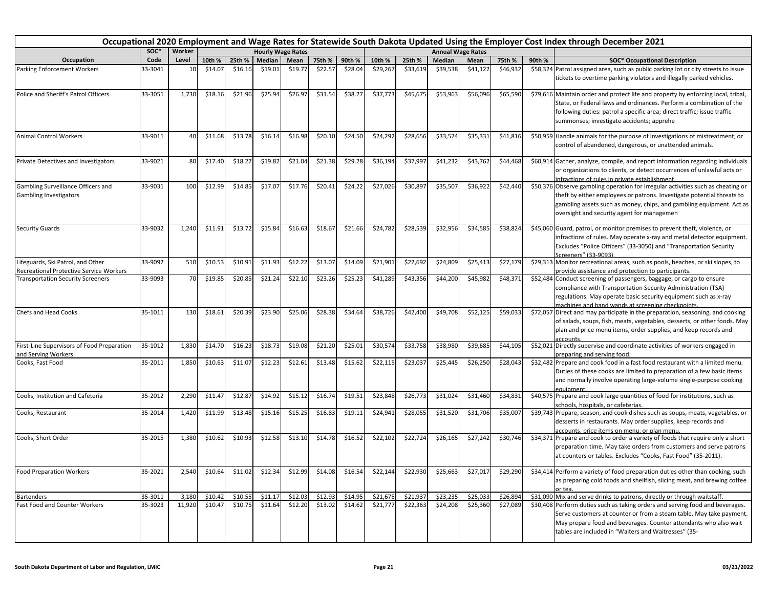|                                                                              | Occupational 2020 Employment and Wage Rates for Statewide South Dakota Updated Using the Employer Cost Index through December 2021<br><b>Hourly Wage Rates</b> |                 |                   |                    |                    |                    |                    |                    |                      |                      |                      |                          |                      |        |                                                                                                                                                                                                                                                                                                                                                              |
|------------------------------------------------------------------------------|----------------------------------------------------------------------------------------------------------------------------------------------------------------|-----------------|-------------------|--------------------|--------------------|--------------------|--------------------|--------------------|----------------------|----------------------|----------------------|--------------------------|----------------------|--------|--------------------------------------------------------------------------------------------------------------------------------------------------------------------------------------------------------------------------------------------------------------------------------------------------------------------------------------------------------------|
|                                                                              | soc*                                                                                                                                                           | Worker          |                   |                    |                    |                    |                    |                    |                      |                      |                      | <b>Annual Wage Rates</b> |                      |        |                                                                                                                                                                                                                                                                                                                                                              |
| Occupation                                                                   | Code                                                                                                                                                           | Level           | 10th %            | 25th %             | Median             | Mean               | 75th %             | 90th %             | 10th %               | 25th %               | Median               | Mean                     | 75th %               | 90th % | <b>SOC* Occupational Description</b>                                                                                                                                                                                                                                                                                                                         |
| Parking Enforcement Workers                                                  | 33-3041                                                                                                                                                        | 10              | \$14.07           | \$16.16            | \$19.01            | \$19.77            | \$22.57            | \$28.04            | \$29,267             | \$33,619             | \$39,538             | \$41,122                 | \$46,932             |        | \$58,324 Patrol assigned area, such as public parking lot or city streets to issue<br>tickets to overtime parking violators and illegally parked vehicles.                                                                                                                                                                                                   |
| Police and Sheriff's Patrol Officers                                         | 33-3051                                                                                                                                                        | 1,730           | \$18.16           | \$21.96            | \$25.94            | \$26.97            | \$31.54            | \$38.27            | \$37,773             | \$45,675             | \$53,963             | \$56,096                 | \$65,590             |        | \$79,616 Maintain order and protect life and property by enforcing local, tribal,<br>State, or Federal laws and ordinances. Perform a combination of the<br>following duties: patrol a specific area; direct traffic; issue traffic<br>summonses; investigate accidents; apprehe                                                                             |
| <b>Animal Control Workers</b>                                                | 33-9011                                                                                                                                                        | 40              | \$11.68           | \$13.78            | \$16.14            | \$16.98            | \$20.10            | \$24.50            | \$24,292             | \$28.656             | \$33,574             | \$35,331                 | \$41,816             |        | \$50,959 Handle animals for the purpose of investigations of mistreatment, or<br>control of abandoned, dangerous, or unattended animals.                                                                                                                                                                                                                     |
| Private Detectives and Investigators                                         | 33-9021                                                                                                                                                        | 80              | \$17.40           | \$18.27            | \$19.82            | \$21.04            | \$21.38            | \$29.28            | \$36,194             | \$37,997             | \$41,232             | \$43,762                 | \$44,468             |        | \$60,914 Gather, analyze, compile, and report information regarding individuals<br>or organizations to clients, or detect occurrences of unlawful acts or<br>infractions of rules in private establishment.                                                                                                                                                  |
| Gambling Surveillance Officers and<br><b>Gambling Investigators</b>          | 33-9031                                                                                                                                                        | 100             | \$12.99           | \$14.85            | \$17.07            | \$17.76            | \$20.41            | \$24.22            | \$27,026             | \$30,897             | \$35,507             | \$36,922                 | \$42,440             |        | \$50,376 Observe gambling operation for irregular activities such as cheating or<br>theft by either employees or patrons. Investigate potential threats to<br>gambling assets such as money, chips, and gambling equipment. Act as<br>oversight and security agent for managemen                                                                             |
| <b>Security Guards</b>                                                       | 33-9032                                                                                                                                                        | 1,240           | \$11.91           | \$13.72            | \$15.84            | \$16.63            | \$18.67            | \$21.66            | \$24,782             | \$28,539             | \$32,956             | \$34,585                 | \$38,824             |        | \$45,060 Guard, patrol, or monitor premises to prevent theft, violence, or<br>infractions of rules. May operate x-ray and metal detector equipment.<br>Excludes "Police Officers" (33-3050) and "Transportation Security<br>Screeners" (33-9093).                                                                                                            |
| Lifeguards, Ski Patrol, and Other<br>Recreational Protective Service Workers | 33-9092                                                                                                                                                        | 510             | \$10.53           | \$10.91            | \$11.93            | \$12.22            | \$13.07            | \$14.09            | \$21,901             | \$22,692             | \$24,809             | \$25,413                 | \$27,179             |        | \$29,313 Monitor recreational areas, such as pools, beaches, or ski slopes, to<br>provide assistance and protection to participants.                                                                                                                                                                                                                         |
| <b>Transportation Security Screeners</b>                                     | 33-9093                                                                                                                                                        | 70              | \$19.85           | \$20.85            | \$21.24            | \$22.10            | \$23.26            | \$25.23            | \$41,289             | \$43,356             | \$44,200             | \$45,982                 | \$48,371             |        | \$52,484 Conduct screening of passengers, baggage, or cargo to ensure<br>compliance with Transportation Security Administration (TSA)<br>regulations. May operate basic security equipment such as x-ray<br>machines and hand wands at screening checkpoints.                                                                                                |
| <b>Chefs and Head Cooks</b>                                                  | 35-1011                                                                                                                                                        | 130             | \$18.61           | \$20.39            | \$23.90            | \$25.06            | \$28.38            | 534.64             | \$38,726             | \$42,400             | \$49,708             | \$52,125                 | \$59,033             |        | \$72,057 Direct and may participate in the preparation, seasoning, and cooking<br>of salads, soups, fish, meats, vegetables, desserts, or other foods. May<br>plan and price menu items, order supplies, and keep records and<br>accounts.                                                                                                                   |
| First-Line Supervisors of Food Preparation<br>and Serving Workers            | 35-1012                                                                                                                                                        | 1,830           | \$14.70           | \$16.23            | \$18.73            | \$19.08            | \$21.20            | \$25.01            | \$30,574             | \$33,758             | \$38,980             | \$39,685                 | \$44,105             |        | \$52,021 Directly supervise and coordinate activities of workers engaged in<br>preparing and serving food.                                                                                                                                                                                                                                                   |
| Cooks, Fast Food                                                             | 35-2011                                                                                                                                                        | 1,850           | \$10.63           | \$11.07            | \$12.23            | \$12.61            | \$13.48            | \$15.62            | \$22,115             | \$23,037             | \$25,445             | \$26,250                 | \$28,043             |        | \$32,482 Prepare and cook food in a fast food restaurant with a limited menu.<br>Duties of these cooks are limited to preparation of a few basic items<br>and normally involve operating large-volume single-purpose cooking<br>equipment.                                                                                                                   |
| Cooks, Institution and Cafeteria                                             | 35-2012                                                                                                                                                        | 2,290           | \$11.47           | \$12.87            | \$14.92            | \$15.12            | \$16.74            | \$19.51            | \$23,848             | \$26,773             | \$31,024             | \$31,460                 | \$34,831             |        | \$40,575 Prepare and cook large quantities of food for institutions, such as<br>schools, hospitals, or cafeterias.                                                                                                                                                                                                                                           |
| Cooks, Restaurant                                                            | 35-2014                                                                                                                                                        | 1,420           | \$11.99           | \$13.48            | \$15.16            | \$15.25            | \$16.83            | \$19.11            | \$24,941             | \$28,055             | \$31,520             | \$31,706                 | \$35,007             |        | \$39,743 Prepare, season, and cook dishes such as soups, meats, vegetables, or<br>desserts in restaurants. May order supplies, keep records and<br>accounts, price items on menu, or plan menu.                                                                                                                                                              |
| Cooks, Short Order                                                           | 35-2015                                                                                                                                                        | 1,380           | \$10.62           | \$10.93            | \$12.58            | \$13.10            | \$14.78            | \$16.52            | \$22,102             | \$22,724             | \$26,165             | \$27,242                 | \$30,746             |        | \$34,371 Prepare and cook to order a variety of foods that require only a short<br>preparation time. May take orders from customers and serve patrons<br>at counters or tables. Excludes "Cooks, Fast Food" (35-2011).                                                                                                                                       |
| <b>Food Preparation Workers</b>                                              | 35-2021                                                                                                                                                        | 2,540           | \$10.64           | \$11.02            | \$12.34            | \$12.99            | \$14.08            | \$16.54            | \$22,144             | \$22,930             | \$25,663             | \$27,017                 | \$29,290             |        | \$34,414 Perform a variety of food preparation duties other than cooking, such<br>as preparing cold foods and shellfish, slicing meat, and brewing coffee<br>or tea                                                                                                                                                                                          |
| <b>Bartenders</b><br><b>Fast Food and Counter Workers</b>                    | 35-3011<br>35-3023                                                                                                                                             | 3,180<br>11,920 | \$10.4<br>\$10.47 | \$10.55<br>\$10.75 | \$11.17<br>\$11.64 | \$12.03<br>\$12.20 | \$12.93<br>\$13.02 | \$14.95<br>\$14.62 | \$21,675<br>\$21,777 | \$21,937<br>\$22,363 | \$23,235<br>\$24,208 | \$25,033<br>\$25,360     | \$26,894<br>\$27,089 |        | \$31,090 Mix and serve drinks to patrons, directly or through waitstaff.<br>\$30,408 Perform duties such as taking orders and serving food and beverages.<br>Serve customers at counter or from a steam table. May take payment.<br>May prepare food and beverages. Counter attendants who also wait<br>tables are included in "Waiters and Waitresses" (35- |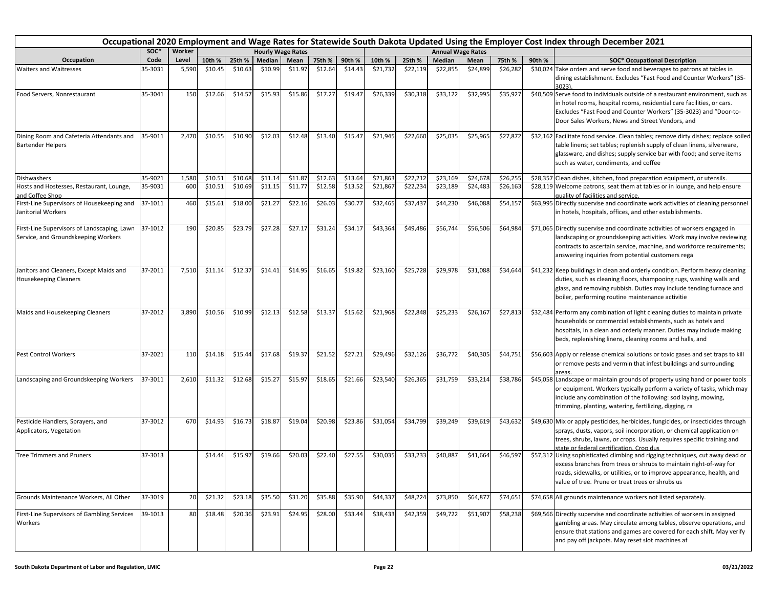| Occupational 2020 Employment and Wage Rates for Statewide South Dakota Updated Using the Employer Cost Index through December 2021 |         |        |         |         |         |                          |         |         |          |          |               |                          |          |        |                                                                                                                                                                                                                                                                                  |
|------------------------------------------------------------------------------------------------------------------------------------|---------|--------|---------|---------|---------|--------------------------|---------|---------|----------|----------|---------------|--------------------------|----------|--------|----------------------------------------------------------------------------------------------------------------------------------------------------------------------------------------------------------------------------------------------------------------------------------|
|                                                                                                                                    | SOC*    | Worker |         |         |         | <b>Hourly Wage Rates</b> |         |         |          |          |               | <b>Annual Wage Rates</b> |          |        |                                                                                                                                                                                                                                                                                  |
| Occupation                                                                                                                         | Code    | Level  | 10th %  | 25th %  | Median  | Mean                     | 75th %  | 90th %  | 10th %   | 25th %   | <b>Median</b> | Mean                     | 75th %   | 90th % | <b>SOC* Occupational Description</b>                                                                                                                                                                                                                                             |
| Waiters and Waitresses                                                                                                             | 35-3031 | 5,590  | \$10.45 | \$10.63 | \$10.99 | \$11.97                  | \$12.64 | \$14.43 | \$21,732 | \$22,119 | \$22,855      | \$24,899                 | \$26,282 |        | \$30,024 Take orders and serve food and beverages to patrons at tables in<br>dining establishment. Excludes "Fast Food and Counter Workers" (35-<br>3023)                                                                                                                        |
| Food Servers, Nonrestaurant                                                                                                        | 35-3041 | 150    | \$12.66 | \$14.57 | \$15.93 | \$15.86                  | \$17.27 | \$19.47 | \$26,339 | \$30,318 | \$33,122      | \$32,995                 | \$35,927 |        | \$40,509 Serve food to individuals outside of a restaurant environment, such as<br>in hotel rooms, hospital rooms, residential care facilities, or cars.<br>Excludes "Fast Food and Counter Workers" (35-3023) and "Door-to-<br>Door Sales Workers, News and Street Vendors, and |
| Dining Room and Cafeteria Attendants and<br><b>Bartender Helpers</b>                                                               | 35-9011 | 2,470  | \$10.55 | \$10.90 | \$12.03 | \$12.48                  | \$13.40 | \$15.47 | \$21,945 | \$22,660 | \$25,035      | \$25,965                 | \$27,872 |        | \$32,162 Facilitate food service. Clean tables; remove dirty dishes; replace soiled<br>table linens; set tables; replenish supply of clean linens, silverware,<br>glassware, and dishes; supply service bar with food; and serve items<br>such as water, condiments, and coffee  |
| Dishwashers                                                                                                                        | 35-9021 | 1,580  | \$10.51 | \$10.68 | \$11.14 | \$11.87                  | \$12.63 | \$13.64 | \$21,863 | \$22,212 | \$23,169      | \$24,678                 | \$26,25  |        | \$28,357 Clean dishes, kitchen, food preparation equipment, or utensils.                                                                                                                                                                                                         |
| Hosts and Hostesses, Restaurant, Lounge,<br>and Coffee Shop                                                                        | 35-9031 | 600    | \$10.51 | \$10.69 | \$11.15 | \$11.77                  | \$12.58 | \$13.52 | \$21,867 | \$22,234 | \$23,189      | \$24,483                 | \$26,163 |        | \$28,119 Welcome patrons, seat them at tables or in lounge, and help ensure<br>quality of facilities and service.                                                                                                                                                                |
| First-Line Supervisors of Housekeeping and<br>Janitorial Workers                                                                   | 37-1011 | 460    | \$15.61 | \$18.00 | \$21.27 | \$22.16                  | \$26.03 | \$30.77 | \$32,465 | \$37,437 | \$44,230      | \$46,088                 | \$54,157 |        | \$63,995 Directly supervise and coordinate work activities of cleaning personnel<br>in hotels, hospitals, offices, and other establishments.                                                                                                                                     |
| First-Line Supervisors of Landscaping, Lawn<br>Service, and Groundskeeping Workers                                                 | 37-1012 | 190    | \$20.85 | \$23.79 | \$27.28 | \$27.17                  | \$31.24 | \$34.17 | \$43,364 | \$49,486 | \$56,744      | \$56,506                 | \$64,984 |        | \$71,065 Directly supervise and coordinate activities of workers engaged in<br>landscaping or groundskeeping activities. Work may involve reviewing<br>contracts to ascertain service, machine, and workforce requirements;<br>answering inquiries from potential customers rega |
| Janitors and Cleaners, Except Maids and<br><b>Housekeeping Cleaners</b>                                                            | 37-2011 | 7,510  | \$11.14 | \$12.3  | \$14.41 | \$14.95                  | \$16.65 | \$19.82 | \$23,160 | \$25,728 | \$29,978      | \$31,088                 | \$34,644 |        | \$41,232 Keep buildings in clean and orderly condition. Perform heavy cleaning<br>duties, such as cleaning floors, shampooing rugs, washing walls and<br>glass, and removing rubbish. Duties may include tending furnace and<br>boiler, performing routine maintenance activitie |
| Maids and Housekeeping Cleaners                                                                                                    | 37-2012 | 3,890  | \$10.56 | \$10.99 | \$12.13 | \$12.58                  | \$13.37 | \$15.62 | \$21,968 | \$22,848 | \$25,233      | \$26,167                 | \$27,813 |        | \$32,484 Perform any combination of light cleaning duties to maintain private<br>households or commercial establishments, such as hotels and<br>hospitals, in a clean and orderly manner. Duties may include making<br>beds, replenishing linens, cleaning rooms and halls, and  |
| Pest Control Workers                                                                                                               | 37-2021 | 110    | \$14.18 | \$15.44 | \$17.68 | \$19.37                  | \$21.52 | \$27.21 | \$29,496 | \$32,126 | \$36,772      | \$40,305                 | \$44,751 |        | \$56,603 Apply or release chemical solutions or toxic gases and set traps to kill<br>or remove pests and vermin that infest buildings and surrounding<br>areas.                                                                                                                  |
| Landscaping and Groundskeeping Workers                                                                                             | 37-3011 | 2,610  | \$11.32 | \$12.68 | \$15.27 | \$15.97                  | \$18.65 | \$21.66 | \$23,540 | \$26,365 | \$31,759      | \$33,214                 | \$38,786 |        | \$45,058 Landscape or maintain grounds of property using hand or power tools<br>or equipment. Workers typically perform a variety of tasks, which may<br>include any combination of the following: sod laying, mowing,<br>trimming, planting, watering, fertilizing, digging, ra |
| Pesticide Handlers, Sprayers, and<br>Applicators, Vegetation                                                                       | 37-3012 | 670    | \$14.93 | \$16.73 | \$18.87 | \$19.04                  | \$20.98 | \$23.86 | \$31,054 | \$34,799 | \$39,249      | \$39,619                 | \$43,632 |        | \$49,630 Mix or apply pesticides, herbicides, fungicides, or insecticides through<br>sprays, dusts, vapors, soil incorporation, or chemical application on<br>trees, shrubs, lawns, or crops. Usually requires specific training and<br>state or federal certification. Crop dus |
| <b>Tree Trimmers and Pruners</b>                                                                                                   | 37-3013 |        | \$14.44 | \$15.97 | \$19.66 | \$20.03                  | \$22.40 | \$27.55 | \$30,035 | \$33,233 | \$40,88       | \$41,664                 | \$46,597 |        | \$57,312 Using sophisticated climbing and rigging techniques, cut away dead or<br>excess branches from trees or shrubs to maintain right-of-way for<br>roads, sidewalks, or utilities, or to improve appearance, health, and<br>value of tree. Prune or treat trees or shrubs us |
| Grounds Maintenance Workers, All Other                                                                                             | 37-3019 | 20     | \$21.32 | \$23.18 | \$35.50 | \$31.20                  | \$35.88 | \$35.90 | \$44,337 | \$48,224 | \$73,850      | \$64,877                 | \$74,651 |        | \$74,658 All grounds maintenance workers not listed separately.                                                                                                                                                                                                                  |
| First-Line Supervisors of Gambling Services<br>Workers                                                                             | 39-1013 | 80     | \$18.48 | \$20.36 | \$23.91 | \$24.95                  | \$28.00 | \$33.44 | \$38,433 | \$42,359 | \$49,722      | \$51,907                 | \$58,238 |        | \$69,566 Directly supervise and coordinate activities of workers in assigned<br>gambling areas. May circulate among tables, observe operations, and<br>ensure that stations and games are covered for each shift. May verify<br>and pay off jackpots. May reset slot machines af |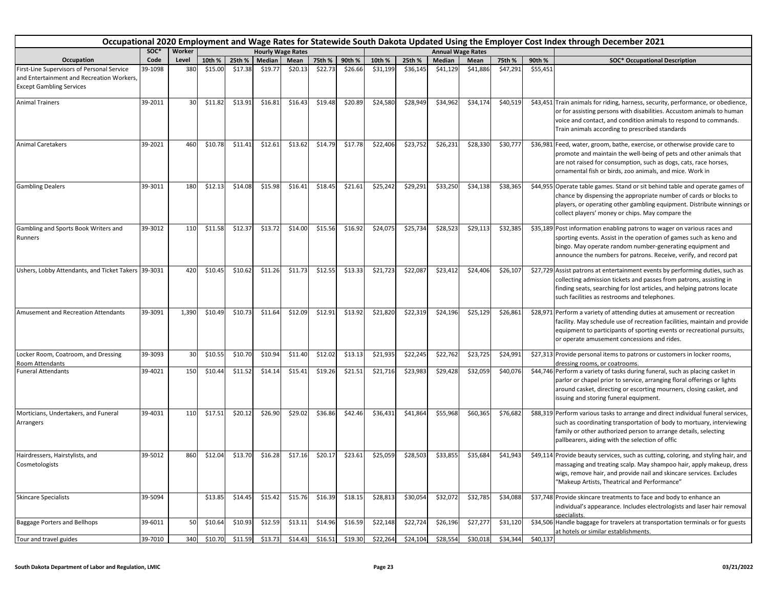|                                                                                                                            |         |        |         |         |                          |         |         |         |          |          |          |                          |          |          | Occupational 2020 Employment and Wage Rates for Statewide South Dakota Updated Using the Employer Cost Index through December 2021                                                                                                                                               |
|----------------------------------------------------------------------------------------------------------------------------|---------|--------|---------|---------|--------------------------|---------|---------|---------|----------|----------|----------|--------------------------|----------|----------|----------------------------------------------------------------------------------------------------------------------------------------------------------------------------------------------------------------------------------------------------------------------------------|
|                                                                                                                            | SOC*    | Worker |         |         | <b>Hourly Wage Rates</b> |         |         |         |          |          |          | <b>Annual Wage Rates</b> |          |          |                                                                                                                                                                                                                                                                                  |
| Occupation                                                                                                                 | Code    | Level  | 10th %  | 25th %  | Median                   | Mean    | 75th %  | 90th %  | 10th %   | 25th %   | Median   | Mean                     | 75th %   | 90th %   | <b>SOC* Occupational Description</b>                                                                                                                                                                                                                                             |
| First-Line Supervisors of Personal Service<br>and Entertainment and Recreation Workers,<br><b>Except Gambling Services</b> | 39-1098 | 380    | \$15.00 | \$17.38 | \$19.77                  | \$20.13 | \$22.73 | \$26.66 | \$31,199 | \$36,145 | \$41,129 | \$41,886                 | \$47,291 | \$55,451 |                                                                                                                                                                                                                                                                                  |
| <b>Animal Trainers</b>                                                                                                     | 39-2011 | 30     | \$11.82 | \$13.91 | \$16.81                  | \$16.43 | \$19.48 | \$20.89 | \$24,580 | \$28,949 | \$34,962 | \$34,174                 | \$40,519 |          | \$43,451 Train animals for riding, harness, security, performance, or obedience,<br>or for assisting persons with disabilities. Accustom animals to human<br>voice and contact, and condition animals to respond to commands.<br>Train animals according to prescribed standards |
| <b>Animal Caretakers</b>                                                                                                   | 39-2021 | 460    | \$10.78 | \$11.41 | \$12.61                  | \$13.62 | \$14.79 | \$17.78 | \$22,406 | \$23,752 | \$26,231 | \$28,330                 | \$30,777 |          | \$36,981 Feed, water, groom, bathe, exercise, or otherwise provide care to<br>promote and maintain the well-being of pets and other animals that<br>are not raised for consumption, such as dogs, cats, race horses,<br>ornamental fish or birds, zoo animals, and mice. Work in |
| <b>Gambling Dealers</b>                                                                                                    | 39-3011 | 180    | \$12.13 | \$14.08 | \$15.98                  | \$16.41 | \$18.45 | \$21.61 | \$25,242 | \$29,291 | \$33,250 | \$34,138                 | \$38,365 |          | \$44,955 Operate table games. Stand or sit behind table and operate games of<br>chance by dispensing the appropriate number of cards or blocks to<br>players, or operating other gambling equipment. Distribute winnings or<br>collect players' money or chips. May compare the  |
| Gambling and Sports Book Writers and<br>Runners                                                                            | 39-3012 | 110    | \$11.58 | \$12.37 | \$13.72                  | \$14.00 | \$15.56 | \$16.92 | \$24,075 | \$25,734 | \$28,523 | \$29,113                 | \$32,385 |          | \$35,189 Post information enabling patrons to wager on various races and<br>sporting events. Assist in the operation of games such as keno and<br>bingo. May operate random number-generating equipment and<br>announce the numbers for patrons. Receive, verify, and record pat |
| Ushers, Lobby Attendants, and Ticket Takers 39-3031                                                                        |         | 420    | \$10.45 | \$10.62 | \$11.26                  | \$11.73 | \$12.55 | \$13.33 | \$21,723 | \$22,087 | \$23,412 | \$24,406                 | \$26,107 |          | \$27,729 Assist patrons at entertainment events by performing duties, such as<br>collecting admission tickets and passes from patrons, assisting in<br>finding seats, searching for lost articles, and helping patrons locate<br>such facilities as restrooms and telephones.    |
| Amusement and Recreation Attendants                                                                                        | 39-3091 | 1,390  | \$10.49 | \$10.73 | \$11.64                  | \$12.09 | \$12.91 | \$13.92 | \$21,820 | \$22,319 | \$24,196 | \$25,129                 | \$26,861 |          | \$28,971 Perform a variety of attending duties at amusement or recreation<br>facility. May schedule use of recreation facilities, maintain and provide<br>equipment to participants of sporting events or recreational pursuits,<br>or operate amusement concessions and rides.  |
| Locker Room, Coatroom, and Dressing<br>Room Attendants                                                                     | 39-3093 | 30     | \$10.55 | \$10.70 | \$10.94                  | \$11.40 | \$12.02 | \$13.13 | \$21,935 | \$22,245 | \$22,762 | \$23,725                 | \$24,991 |          | \$27,313 Provide personal items to patrons or customers in locker rooms,<br>dressing rooms, or coatrooms.                                                                                                                                                                        |
| <b>Funeral Attendants</b>                                                                                                  | 39-4021 | 150    | \$10.44 | \$11.52 | \$14.14                  | \$15.41 | \$19.26 | \$21.51 | \$21,716 | \$23,983 | \$29,428 | \$32,059                 | \$40,076 |          | \$44,746 Perform a variety of tasks during funeral, such as placing casket in<br>parlor or chapel prior to service, arranging floral offerings or lights<br>around casket, directing or escorting mourners, closing casket, and<br>issuing and storing funeral equipment.        |
| Morticians, Undertakers, and Funeral<br>Arrangers                                                                          | 39-4031 | 110    | \$17.51 | \$20.12 | \$26.90                  | \$29.02 | \$36.86 | \$42.46 | \$36,431 | \$41,864 | \$55,968 | \$60,365                 | \$76,682 |          | \$88,319 Perform various tasks to arrange and direct individual funeral services,<br>such as coordinating transportation of body to mortuary, interviewing<br>family or other authorized person to arrange details, selecting<br>pallbearers, aiding with the selection of offic |
| Hairdressers, Hairstylists, and<br>Cosmetologists                                                                          | 39-5012 | 860    | \$12.04 | \$13.70 | \$16.28                  | \$17.16 | \$20.17 | \$23.61 | \$25,059 | \$28,503 | \$33,855 | \$35,684                 | \$41,943 |          | \$49,114 Provide beauty services, such as cutting, coloring, and styling hair, and<br>massaging and treating scalp. May shampoo hair, apply makeup, dress<br>wigs, remove hair, and provide nail and skincare services. Excludes<br>"Makeup Artists, Theatrical and Performance" |
| <b>Skincare Specialists</b>                                                                                                | 39-5094 |        | \$13.85 | \$14.45 | \$15.42                  | \$15.76 | \$16.39 | \$18.15 | \$28,813 | \$30,054 | \$32,072 | \$32,785                 | \$34,088 |          | \$37,748 Provide skincare treatments to face and body to enhance an<br>individual's appearance. Includes electrologists and laser hair removal<br>specialists.                                                                                                                   |
| <b>Baggage Porters and Bellhops</b>                                                                                        | 39-6011 | 50     | \$10.64 | \$10.93 | \$12.59                  | \$13.11 | \$14.96 | \$16.59 | \$22,148 | \$22,724 | \$26,196 | \$27,277                 | \$31,120 |          | \$34,506 Handle baggage for travelers at transportation terminals or for guests<br>at hotels or similar establishments.                                                                                                                                                          |
| Tour and travel guides                                                                                                     | 39-7010 | 340    | \$10.70 | \$11.59 | \$13.73                  | \$14.43 | \$16.51 | \$19.30 | \$22,264 | \$24,104 | \$28,554 | \$30,018                 | \$34,344 | \$40,137 |                                                                                                                                                                                                                                                                                  |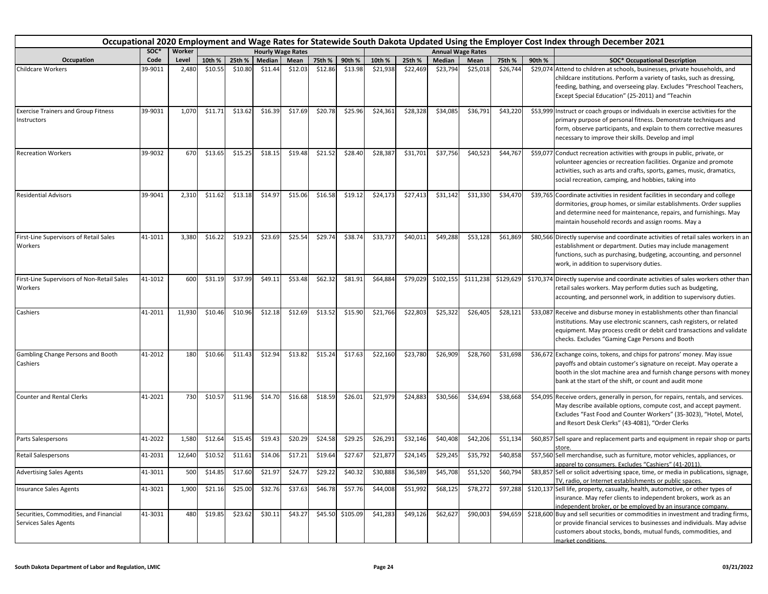|                                                                 | Occupational 2020 Employment and Wage Rates for Statewide South Dakota Updated Using the Employer Cost Index through December 2021<br><b>Hourly Wage Rates</b> |        |         |         |               |         |         |          |          |          |               |                          |           |        |                                                                                                                                                                                                                                                                                  |
|-----------------------------------------------------------------|----------------------------------------------------------------------------------------------------------------------------------------------------------------|--------|---------|---------|---------------|---------|---------|----------|----------|----------|---------------|--------------------------|-----------|--------|----------------------------------------------------------------------------------------------------------------------------------------------------------------------------------------------------------------------------------------------------------------------------------|
|                                                                 | SOC*                                                                                                                                                           | Worker |         |         |               |         |         |          |          |          |               | <b>Annual Wage Rates</b> |           |        |                                                                                                                                                                                                                                                                                  |
| Occupation                                                      | Code                                                                                                                                                           | Level  | 10th %  | 25th %  | <b>Median</b> | Mean    | 75th %  | 90th %   | 10th %   | 25th %   | <b>Median</b> | Mean                     | 75th %    | 90th % | <b>SOC* Occupational Description</b>                                                                                                                                                                                                                                             |
| <b>Childcare Workers</b>                                        | 39-9011                                                                                                                                                        | 2,480  | \$10.55 | \$10.80 | \$11.44       | \$12.03 | \$12.86 | \$13.98  | \$21,938 | \$22,469 | \$23,794      | \$25,018                 | \$26,744  |        | \$29,074 Attend to children at schools, businesses, private households, and<br>childcare institutions. Perform a variety of tasks, such as dressing,<br>feeding, bathing, and overseeing play. Excludes "Preschool Teachers,<br>Except Special Education" (25-2011) and "Teachin |
| <b>Exercise Trainers and Group Fitness</b><br>Instructors       | 39-9031                                                                                                                                                        | 1,070  | \$11.71 | \$13.62 | \$16.39       | \$17.69 | \$20.78 | \$25.96  | \$24,361 | \$28,328 | \$34,085      | \$36,791                 | \$43,220  |        | \$53,999 Instruct or coach groups or individuals in exercise activities for the<br>primary purpose of personal fitness. Demonstrate techniques and<br>form, observe participants, and explain to them corrective measures<br>necessary to improve their skills. Develop and impl |
| <b>Recreation Workers</b>                                       | 39-9032                                                                                                                                                        | 670    | \$13.65 | \$15.25 | \$18.15       | \$19.48 | \$21.52 | \$28.40  | \$28,387 | \$31,701 | \$37,756      | \$40,52                  | \$44,767  |        | \$59,077 Conduct recreation activities with groups in public, private, or<br>volunteer agencies or recreation facilities. Organize and promote<br>activities, such as arts and crafts, sports, games, music, dramatics,<br>social recreation, camping, and hobbies, taking into  |
| <b>Residential Advisors</b>                                     | 39-9041                                                                                                                                                        | 2,310  | \$11.62 | \$13.18 | \$14.97       | \$15.06 | \$16.58 | \$19.12  | \$24,173 | \$27,413 | \$31,142      | \$31,330                 | \$34,470  |        | \$39,765 Coordinate activities in resident facilities in secondary and college<br>dormitories, group homes, or similar establishments. Order supplies<br>and determine need for maintenance, repairs, and furnishings. May<br>maintain household records and assign rooms. May a |
| First-Line Supervisors of Retail Sales<br>Workers               | 41-1011                                                                                                                                                        | 3,380  | \$16.22 | \$19.23 | \$23.69       | \$25.54 | \$29.74 | \$38.74  | \$33,737 | \$40,011 | \$49,288      | \$53,128                 | \$61,869  |        | \$80,566 Directly supervise and coordinate activities of retail sales workers in an<br>establishment or department. Duties may include management<br>functions, such as purchasing, budgeting, accounting, and personnel<br>work, in addition to supervisory duties.             |
| First-Line Supervisors of Non-Retail Sales<br>Workers           | 41-1012                                                                                                                                                        | 600    | \$31.19 | \$37.99 | \$49.11       | \$53.48 | \$62.32 | \$81.91  | \$64,884 | \$79,029 | \$102,155     | \$111,238                | \$129,629 |        | \$170,374 Directly supervise and coordinate activities of sales workers other than<br>retail sales workers. May perform duties such as budgeting,<br>accounting, and personnel work, in addition to supervisory duties.                                                          |
| Cashiers                                                        | 41-2011                                                                                                                                                        | 11,930 | \$10.46 | \$10.96 | \$12.18       | \$12.69 | \$13.52 | \$15.90  | \$21,766 | \$22,803 | \$25,322      | \$26,405                 | \$28,121  |        | \$33,087 Receive and disburse money in establishments other than financial<br>institutions. May use electronic scanners, cash registers, or related<br>equipment. May process credit or debit card transactions and validate<br>checks. Excludes "Gaming Cage Persons and Booth  |
| Gambling Change Persons and Booth<br>Cashiers                   | 41-2012                                                                                                                                                        | 180    | \$10.66 | \$11.43 | \$12.94       | \$13.82 | \$15.24 | \$17.63  | \$22,160 | \$23,780 | \$26,909      | \$28,760                 | \$31,698  |        | \$36,672 Exchange coins, tokens, and chips for patrons' money. May issue<br>payoffs and obtain customer's signature on receipt. May operate a<br>booth in the slot machine area and furnish change persons with money<br>bank at the start of the shift, or count and audit mone |
| Counter and Rental Clerks                                       | 41-2021                                                                                                                                                        | 730    | \$10.57 | \$11.96 | \$14.70       | \$16.68 | \$18.59 | \$26.01  | \$21,979 | \$24,883 | \$30,566      | \$34,694                 | \$38,668  |        | \$54,095 Receive orders, generally in person, for repairs, rentals, and services.<br>May describe available options, compute cost, and accept payment.<br>Excludes "Fast Food and Counter Workers" (35-3023), "Hotel, Motel,<br>and Resort Desk Clerks" (43-4081), "Order Clerks |
| Parts Salespersons                                              | 41-2022                                                                                                                                                        | 1,580  | \$12.64 | \$15.45 | \$19.43       | \$20.29 | \$24.58 | \$29.25  | \$26,291 | \$32,146 | \$40,408      | \$42,206                 | \$51,134  |        | \$60,857 Sell spare and replacement parts and equipment in repair shop or parts                                                                                                                                                                                                  |
| Retail Salespersons                                             | 41-2031                                                                                                                                                        | 12,640 | \$10.52 | \$11.61 | \$14.06       | \$17.21 | \$19.64 | \$27.67  | \$21,877 | \$24,145 | \$29,245      | \$35,792                 | \$40,858  |        | \$57,560 Sell merchandise, such as furniture, motor vehicles, appliances, or<br>apparel to consumers. Excludes "Cashiers" (41-2011).                                                                                                                                             |
| <b>Advertising Sales Agents</b>                                 | 41-3011                                                                                                                                                        | 500    | \$14.85 | \$17.60 | \$21.97       | \$24.77 | \$29.22 | \$40.32  | \$30,888 | \$36,589 | \$45,708      | \$51,520                 | \$60,794  |        | \$83,857 Sell or solicit advertising space, time, or media in publications, signage,<br>TV, radio, or Internet establishments or public spaces.                                                                                                                                  |
| <b>Insurance Sales Agents</b>                                   | 41-3021                                                                                                                                                        | 1,900  | \$21.16 | \$25.00 | \$32.76       | \$37.63 | \$46.78 | \$57.76  | \$44,008 | 551,992  | \$68,125      | \$78,272                 | \$97,288  |        | \$120,137 Sell life, property, casualty, health, automotive, or other types of<br>insurance. May refer clients to independent brokers, work as an<br>independent broker, or be employed by an insurance company.                                                                 |
| Securities, Commodities, and Financial<br>Services Sales Agents | 41-3031                                                                                                                                                        | 480    | \$19.85 | \$23.62 | \$30.11       | \$43.27 | \$45.50 | \$105.09 | \$41,283 | \$49,126 | \$62,627      | \$90,003                 | \$94,659  |        | \$218,600 Buy and sell securities or commodities in investment and trading firms,<br>or provide financial services to businesses and individuals. May advise<br>customers about stocks, bonds, mutual funds, commodities, and<br>market conditions.                              |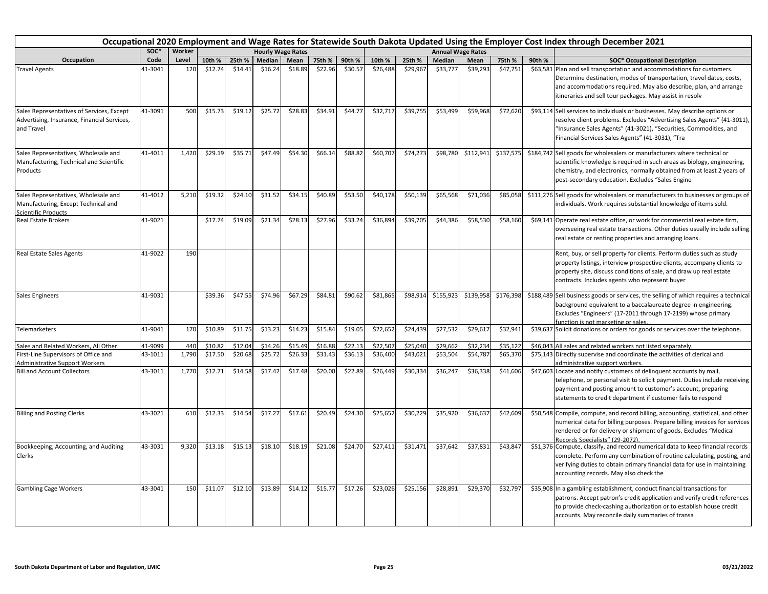|                                                                                                           | Occupational 2020 Employment and Wage Rates for Statewide South Dakota Updated Using the Employer Cost Index through December 2021<br>soc*<br>Worker<br><b>Hourly Wage Rates</b><br><b>Annual Wage Rates</b> |       |         |         |         |         |         |         |          |          |               |           |           |        |                                                                                                                                                                                                                                                                                   |
|-----------------------------------------------------------------------------------------------------------|--------------------------------------------------------------------------------------------------------------------------------------------------------------------------------------------------------------|-------|---------|---------|---------|---------|---------|---------|----------|----------|---------------|-----------|-----------|--------|-----------------------------------------------------------------------------------------------------------------------------------------------------------------------------------------------------------------------------------------------------------------------------------|
|                                                                                                           |                                                                                                                                                                                                              |       |         |         |         |         |         |         |          |          |               |           |           |        |                                                                                                                                                                                                                                                                                   |
| Occupation                                                                                                | Code                                                                                                                                                                                                         | Level | 10th %  | 25th %  | Median  | Mean    | 75th %  | 90th %  | 10th %   | 25th %   | <b>Median</b> | Mean      | 75th %    | 90th % | <b>SOC* Occupational Description</b>                                                                                                                                                                                                                                              |
| <b>Travel Agents</b>                                                                                      | 41-3041                                                                                                                                                                                                      | 120   | \$12.74 | \$14.41 | \$16.24 | \$18.89 | \$22.96 | \$30.57 | \$26,488 | \$29,967 | \$33,777      | \$39,293  | \$47,751  |        | \$63,581 Plan and sell transportation and accommodations for customers.<br>Determine destination, modes of transportation, travel dates, costs,<br>and accommodations required. May also describe, plan, and arrange<br>itineraries and sell tour packages. May assist in resolv  |
| Sales Representatives of Services, Except<br>Advertising, Insurance, Financial Services,<br>and Travel    | 41-3091                                                                                                                                                                                                      | 500   | \$15.73 | \$19.12 | \$25.72 | \$28.83 | \$34.91 | \$44.77 | \$32,717 | \$39,755 | \$53,499      | \$59,968  | \$72,620  |        | \$93,114 Sell services to individuals or businesses. May describe options or<br>resolve client problems. Excludes "Advertising Sales Agents" (41-3011),<br>"Insurance Sales Agents" (41-3021), "Securities, Commodities, and<br>Financial Services Sales Agents" (41-3031), "Tra  |
| Sales Representatives, Wholesale and<br>Manufacturing, Technical and Scientific<br>Products               | 41-4011                                                                                                                                                                                                      | 1,420 | \$29.19 | \$35.71 | \$47.49 | \$54.30 | \$66.14 | \$88.82 | \$60,707 | \$74,273 | \$98,780      | \$112,941 | \$137,575 |        | \$184,742 Sell goods for wholesalers or manufacturers where technical or<br>scientific knowledge is required in such areas as biology, engineering,<br>chemistry, and electronics, normally obtained from at least 2 years of<br>post-secondary education. Excludes "Sales Engine |
| Sales Representatives, Wholesale and<br>Manufacturing, Except Technical and<br><b>Scientific Products</b> | 41-4012                                                                                                                                                                                                      | 5,210 | \$19.32 | \$24.10 | \$31.52 | \$34.15 | \$40.89 | \$53.50 | \$40,178 | \$50,139 | \$65,568      | \$71,036  | \$85,058  |        | \$111,276 Sell goods for wholesalers or manufacturers to businesses or groups of<br>individuals. Work requires substantial knowledge of items sold.                                                                                                                               |
| <b>Real Estate Brokers</b>                                                                                | 41-9021                                                                                                                                                                                                      |       | \$17.74 | \$19.09 | \$21.34 | \$28.13 | \$27.96 | \$33.24 | \$36,894 | \$39,705 | \$44,386      | \$58,530  | \$58,160  |        | \$69,141 Operate real estate office, or work for commercial real estate firm,<br>overseeing real estate transactions. Other duties usually include selling<br>real estate or renting properties and arranging loans.                                                              |
| Real Estate Sales Agents                                                                                  | 41-9022                                                                                                                                                                                                      | 190   |         |         |         |         |         |         |          |          |               |           |           |        | Rent, buy, or sell property for clients. Perform duties such as study<br>property listings, interview prospective clients, accompany clients to<br>property site, discuss conditions of sale, and draw up real estate<br>contracts. Includes agents who represent buyer           |
| <b>Sales Engineers</b>                                                                                    | 41-9031                                                                                                                                                                                                      |       | \$39.36 | \$47.55 | \$74.96 | \$67.29 | \$84.81 | \$90.62 | \$81,865 | \$98,914 | \$155,923     | \$139,958 | \$176,398 |        | \$188,489 Sell business goods or services, the selling of which requires a technical<br>background equivalent to a baccalaureate degree in engineering.<br>Excludes "Engineers" (17-2011 through 17-2199) whose primary<br>function is not marketing or sales.                    |
| Telemarketers                                                                                             | 41-9041                                                                                                                                                                                                      | 170   | \$10.89 | \$11.75 | \$13.23 | \$14.23 | \$15.84 | \$19.05 | \$22,652 | \$24,439 | \$27,532      | \$29,617  | \$32,941  |        | \$39,637 Solicit donations or orders for goods or services over the telephone.                                                                                                                                                                                                    |
| Sales and Related Workers, All Other                                                                      | 41-9099                                                                                                                                                                                                      | 440   | \$10.8  | \$12.04 | \$14.26 | \$15.49 | \$16.88 | \$22.13 | \$22,507 | \$25,040 | \$29,662      | \$32,234  | \$35,122  |        | \$46,043 All sales and related workers not listed separately.                                                                                                                                                                                                                     |
| First-Line Supervisors of Office and<br><b>Administrative Support Workers</b>                             | 43-1011                                                                                                                                                                                                      | 1,790 | \$17.50 | \$20.68 | \$25.72 | \$26.33 | \$31.43 | \$36.13 | \$36,400 | \$43,021 | \$53,504      | \$54,787  | \$65,370  |        | \$75,143 Directly supervise and coordinate the activities of clerical and<br>administrative support workers.                                                                                                                                                                      |
| <b>Bill and Account Collectors</b>                                                                        | 43-3011                                                                                                                                                                                                      | 1,770 | \$12.71 | \$14.58 | \$17.42 | \$17.48 | \$20.00 | \$22.89 | \$26,449 | \$30,334 | \$36,247      | \$36,338  | \$41,606  |        | \$47,603 Locate and notify customers of delinquent accounts by mail,<br>telephone, or personal visit to solicit payment. Duties include receiving<br>payment and posting amount to customer's account, preparing<br>statements to credit department if customer fails to respond  |
| <b>Billing and Posting Clerks</b>                                                                         | 43-3021                                                                                                                                                                                                      | 610   | \$12.33 | \$14.54 | \$17.27 | \$17.61 | \$20.49 | \$24.30 | \$25,652 | \$30,229 | \$35,920      | \$36,637  | \$42,609  |        | \$50,548 Compile, compute, and record billing, accounting, statistical, and other<br>numerical data for billing purposes. Prepare billing invoices for services<br>rendered or for delivery or shipment of goods. Excludes "Medical<br>Records Specialists" (29-2072)             |
| Bookkeeping, Accounting, and Auditing<br>Clerks                                                           | 43-3031                                                                                                                                                                                                      | 9,320 | \$13.18 | \$15.13 | \$18.10 | \$18.19 | \$21.08 | \$24.70 | \$27,411 | \$31,471 | \$37,642      | \$37,831  | \$43,847  |        | \$51,376 Compute, classify, and record numerical data to keep financial records<br>complete. Perform any combination of routine calculating, posting, and<br>verifying duties to obtain primary financial data for use in maintaining<br>accounting records. May also check the   |
| <b>Gambling Cage Workers</b>                                                                              | 43-3041                                                                                                                                                                                                      | 150   | \$11.07 | \$12.10 | \$13.89 | \$14.12 | \$15.77 | \$17.26 | \$23,026 | \$25,156 | \$28,891      | \$29,370  | \$32,797  |        | \$35,908 In a gambling establishment, conduct financial transactions for<br>patrons. Accept patron's credit application and verify credit references<br>to provide check-cashing authorization or to establish house credit<br>accounts. May reconcile daily summaries of transa  |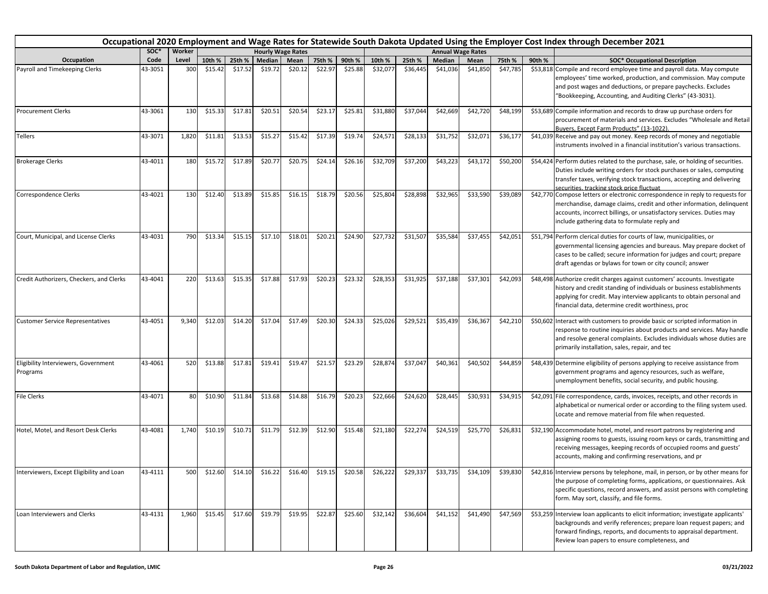|                                                  |         |        |         |                   |         |                          |                                     |         |          |                   |          |                          |          |        | Occupational 2020 Employment and Wage Rates for Statewide South Dakota Updated Using the Employer Cost Index through December 2021                                                                                                                                               |
|--------------------------------------------------|---------|--------|---------|-------------------|---------|--------------------------|-------------------------------------|---------|----------|-------------------|----------|--------------------------|----------|--------|----------------------------------------------------------------------------------------------------------------------------------------------------------------------------------------------------------------------------------------------------------------------------------|
|                                                  | SOC*    | Worker |         |                   |         | <b>Hourly Wage Rates</b> |                                     |         |          |                   |          | <b>Annual Wage Rates</b> |          |        |                                                                                                                                                                                                                                                                                  |
| Occupation                                       | Code    | Level  | 10th %  | 25th %            | Median  | Mean                     | 75th %                              | 90th %  | 10th %   | 25th %            | Median   | Mean                     | 75th %   | 90th % | <b>SOC* Occupational Description</b>                                                                                                                                                                                                                                             |
| Payroll and Timekeeping Clerks                   | 43-3051 | 300    | \$15.42 | \$17.52           | \$19.72 | \$20.12                  | \$22.97                             | \$25.88 | \$32,077 | \$36,445          | \$41,036 | \$41,850                 | \$47,785 |        | \$53,818 Compile and record employee time and payroll data. May compute<br>employees' time worked, production, and commission. May compute<br>and post wages and deductions, or prepare paychecks. Excludes<br>"Bookkeeping, Accounting, and Auditing Clerks" (43-3031).         |
| <b>Procurement Clerks</b>                        | 43-3061 | 130    | \$15.33 | \$17.81           | \$20.51 | \$20.54                  | \$23.17                             | \$25.81 | \$31,880 | \$37,044          | \$42,669 | \$42,720                 | \$48,199 |        | \$53,689 Compile information and records to draw up purchase orders for<br>procurement of materials and services. Excludes "Wholesale and Retail<br>Buyers, Except Farm Products" (13-1022)                                                                                      |
| Tellers                                          | 43-3071 | 1,820  | \$11.81 | \$13.53           | \$15.27 | \$15.42                  | \$17.39                             | \$19.74 | \$24,571 | \$28,133          | \$31,752 | \$32,071                 | \$36,177 |        | \$41,039 Receive and pay out money. Keep records of money and negotiable<br>instruments involved in a financial institution's various transactions.                                                                                                                              |
| <b>Brokerage Clerks</b>                          | 43-4011 | 180    | \$15.72 | \$17.89           | \$20.77 | \$20.75                  | \$24.14                             | \$26.16 | \$32,709 | \$37,200          | \$43,223 | \$43,172                 | \$50,200 |        | \$54,424 Perform duties related to the purchase, sale, or holding of securities.<br>Duties include writing orders for stock purchases or sales, computing<br>transfer taxes, verifying stock transactions, accepting and delivering<br>securities, tracking stock price fluctuat |
| Correspondence Clerks                            | 43-4021 | 130    | \$12.40 | \$13.89           | \$15.85 | \$16.15                  | \$18.79                             | \$20.56 | \$25,804 | \$28,898          | \$32,965 | \$33,590                 | \$39,089 |        | \$42,770 Compose letters or electronic correspondence in reply to requests for<br>merchandise, damage claims, credit and other information, delinquent<br>accounts, incorrect billings, or unsatisfactory services. Duties may<br>include gathering data to formulate reply and  |
| Court, Municipal, and License Clerks             | 43-4031 | 790    | \$13.34 | \$15.15           | \$17.10 | \$18.01                  | \$20.21                             | \$24.90 | \$27,732 | \$31,507          | \$35,584 | \$37,455                 | \$42,051 |        | \$51,794 Perform clerical duties for courts of law, municipalities, or<br>governmental licensing agencies and bureaus. May prepare docket of<br>cases to be called; secure information for judges and court; prepare<br>draft agendas or bylaws for town or city council; answer |
| Credit Authorizers, Checkers, and Clerks         | 43-4041 | 220    | \$13.63 | \$15.35           | \$17.88 | \$17.93                  | \$20.23                             | \$23.32 | \$28,353 | \$31,925          | \$37,188 | \$37,301                 | \$42,093 |        | \$48,498 Authorize credit charges against customers' accounts. Investigate<br>history and credit standing of individuals or business establishments<br>applying for credit. May interview applicants to obtain personal and<br>financial data, determine credit worthiness, proc |
| <b>Customer Service Representatives</b>          | 43-4051 | 9,340  | \$12.03 | \$14.20           | \$17.04 | \$17.49                  | \$20.30                             | \$24.33 | \$25,026 | \$29,521          | \$35,439 | \$36,367                 | \$42,210 |        | \$50,602 Interact with customers to provide basic or scripted information in<br>response to routine inquiries about products and services. May handle<br>and resolve general complaints. Excludes individuals whose duties are<br>primarily installation, sales, repair, and tec |
| Eligibility Interviewers, Government<br>Programs | 43-4061 | 520    | \$13.88 | \$17.81           | \$19.41 | \$19.47                  | \$21.57                             | \$23.29 | \$28,874 | \$37,047          | \$40,361 | \$40,502                 | \$44,859 |        | \$48,439 Determine eligibility of persons applying to receive assistance from<br>government programs and agency resources, such as welfare,<br>unemployment benefits, social security, and public housing.                                                                       |
| <b>File Clerks</b>                               | 43-4071 | 80     | \$10.90 | \$11.84           | \$13.68 | \$14.88                  | \$16.79                             | \$20.23 | \$22,666 | \$24,620          | \$28,445 | \$30,931                 | \$34,915 |        | \$42,091 File correspondence, cards, invoices, receipts, and other records in<br>alphabetical or numerical order or according to the filing system used.<br>Locate and remove material from file when requested.                                                                 |
| Hotel, Motel, and Resort Desk Clerks             | 43-4081 | 1,740  | \$10.19 | \$10.71           | \$11.79 | \$12.39                  | \$12.90                             | \$15.48 | \$21,180 | \$22,274          | \$24,519 | \$25,770                 | \$26,831 |        | \$32,190 Accommodate hotel, motel, and resort patrons by registering and<br>assigning rooms to guests, issuing room keys or cards, transmitting and<br>receiving messages, keeping records of occupied rooms and guests'<br>accounts, making and confirming reservations, and pr |
| Interviewers, Except Eligibility and Loan        | 43-4111 | 500    |         | $$12.60$ $$14.10$ |         |                          | $$16.22$ $$16.40$ $$19.15$ $$20.58$ |         |          | \$26,222 \$29,337 | \$33,735 | \$34,109                 | \$39,830 |        | \$42,816 Interview persons by telephone, mail, in person, or by other means for<br>the purpose of completing forms, applications, or questionnaires. Ask<br>specific questions, record answers, and assist persons with completing<br>form. May sort, classify, and file forms.  |
| Loan Interviewers and Clerks                     | 43-4131 | 1,960  | \$15.45 | \$17.60           | \$19.79 | \$19.95                  | \$22.87                             | \$25.60 | \$32,142 | \$36,604          | \$41,152 | \$41,490                 | \$47,569 |        | \$53,259 Interview loan applicants to elicit information; investigate applicants'<br>backgrounds and verify references; prepare loan request papers; and<br>forward findings, reports, and documents to appraisal department.<br>Review loan papers to ensure completeness, and  |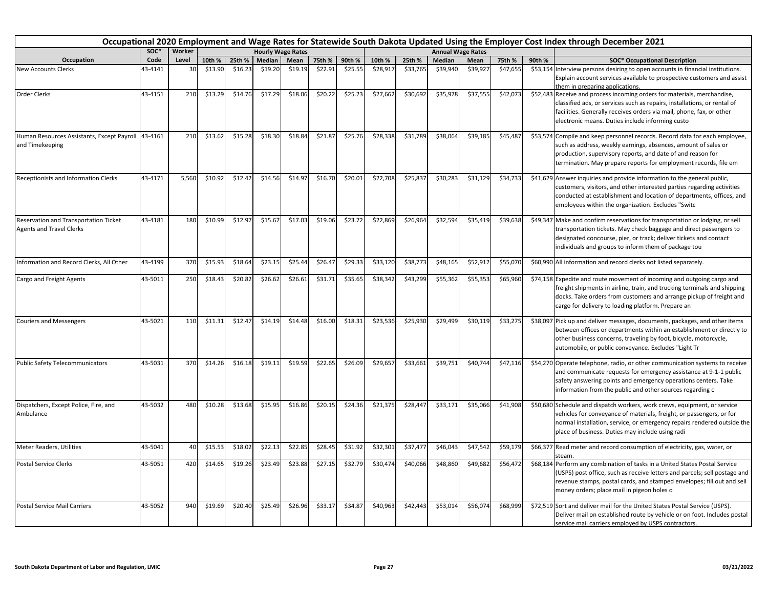|                                                                          |         |        |         |         |         |                          |         |         |          |          |          |                          |          |        | Occupational 2020 Employment and Wage Rates for Statewide South Dakota Updated Using the Employer Cost Index through December 2021                                                                                                                                               |
|--------------------------------------------------------------------------|---------|--------|---------|---------|---------|--------------------------|---------|---------|----------|----------|----------|--------------------------|----------|--------|----------------------------------------------------------------------------------------------------------------------------------------------------------------------------------------------------------------------------------------------------------------------------------|
|                                                                          | SOC*    | Worker |         |         |         | <b>Hourly Wage Rates</b> |         |         |          |          |          | <b>Annual Wage Rates</b> |          |        |                                                                                                                                                                                                                                                                                  |
| Occupation                                                               | Code    | Level  | 10th %  | 25th %  | Median  | Mean                     | 75th %  | 90th %  | 10th %   | 25th %   | Median   | Mean                     | 75th %   | 90th % | <b>SOC* Occupational Description</b>                                                                                                                                                                                                                                             |
| <b>New Accounts Clerks</b>                                               | 43-4141 | 30     | \$13.90 | \$16.23 | \$19.20 | \$19.19                  | \$22.91 | \$25.55 | \$28,917 | \$33,765 | \$39,940 | \$39,92                  | \$47,655 |        | \$53,154 Interview persons desiring to open accounts in financial institutions.<br>Explain account services available to prospective customers and assist<br>hem in preparing applications.                                                                                      |
| Order Clerks                                                             | 43-4151 | 210    | \$13.29 | \$14.76 | \$17.29 | \$18.06                  | \$20.22 | \$25.23 | \$27,662 | \$30,692 | \$35,978 | \$37,555                 | \$42,073 |        | \$52,483 Receive and process incoming orders for materials, merchandise,<br>classified ads, or services such as repairs, installations, or rental of<br>facilities. Generally receives orders via mail, phone, fax, or other<br>electronic means. Duties include informing custo |
| Human Resources Assistants, Except Payroll<br>and Timekeeping            | 43-4161 | 210    | \$13.62 | \$15.28 | \$18.30 | \$18.84                  | \$21.87 | \$25.76 | \$28,338 | \$31,789 | \$38,064 | \$39,185                 | \$45,487 |        | \$53,574 Compile and keep personnel records. Record data for each employee,<br>such as address, weekly earnings, absences, amount of sales or<br>production, supervisory reports, and date of and reason for<br>termination. May prepare reports for employment records, file em |
| Receptionists and Information Clerks                                     | 43-4171 | 5,560  | \$10.92 | \$12.42 | \$14.56 | \$14.97                  | \$16.70 | \$20.01 | \$22,708 | \$25,837 | \$30,283 | \$31,129                 | \$34,733 |        | \$41,629 Answer inquiries and provide information to the general public,<br>customers, visitors, and other interested parties regarding activities<br>conducted at establishment and location of departments, offices, and<br>employees within the organization. Excludes "Switc |
| Reservation and Transportation Ticket<br><b>Agents and Travel Clerks</b> | 43-4181 | 180    | \$10.99 | \$12.97 | \$15.67 | \$17.03                  | \$19.06 | \$23.72 | \$22,869 | \$26,964 | \$32,594 | \$35,419                 | \$39,638 |        | \$49,347 Make and confirm reservations for transportation or lodging, or sell<br>transportation tickets. May check baggage and direct passengers to<br>designated concourse, pier, or track; deliver tickets and contact<br>individuals and groups to inform them of package tou |
| Information and Record Clerks, All Other                                 | 43-4199 | 370    | \$15.93 | \$18.64 | \$23.15 | \$25.44                  | \$26.47 | \$29.33 | \$33,120 | \$38,773 | \$48,165 | \$52.912                 | \$55,070 |        | \$60,990 All information and record clerks not listed separately.                                                                                                                                                                                                                |
| <b>Cargo and Freight Agents</b>                                          | 43-5011 | 250    | \$18.43 | \$20.82 | \$26.62 | \$26.61                  | \$31.71 | \$35.65 | \$38,342 | \$43,299 | \$55,362 | \$55,353                 | \$65,960 |        | \$74,158 Expedite and route movement of incoming and outgoing cargo and<br>freight shipments in airline, train, and trucking terminals and shipping<br>docks. Take orders from customers and arrange pickup of freight and<br>cargo for delivery to loading platform. Prepare an |
| <b>Couriers and Messengers</b>                                           | 43-5021 | 110    | \$11.31 | \$12.47 | \$14.19 | \$14.48                  | \$16.00 | \$18.31 | \$23,536 | \$25,930 | \$29,499 | \$30,119                 | \$33,275 |        | \$38,097 Pick up and deliver messages, documents, packages, and other items<br>between offices or departments within an establishment or directly to<br>other business concerns, traveling by foot, bicycle, motorcycle,<br>automobile, or public conveyance. Excludes "Light Tr |
| <b>Public Safety Telecommunicators</b>                                   | 43-5031 | 370    | \$14.26 | \$16.18 | \$19.11 | \$19.59                  | \$22.65 | \$26.09 | \$29,657 | \$33,661 | \$39,751 | \$40,744                 | \$47,116 |        | \$54,270 Operate telephone, radio, or other communication systems to receive<br>and communicate requests for emergency assistance at 9-1-1 public<br>safety answering points and emergency operations centers. Take<br>information from the public and other sources regarding c |
| Dispatchers, Except Police, Fire, and<br>Ambulance                       | 43-5032 | 480    | \$10.28 | \$13.68 | \$15.95 | \$16.86                  | \$20.15 | \$24.36 | \$21,375 | \$28,447 | \$33,171 | \$35,066                 | \$41,908 |        | \$50,680 Schedule and dispatch workers, work crews, equipment, or service<br>vehicles for conveyance of materials, freight, or passengers, or for<br>normal installation, service, or emergency repairs rendered outside the<br>place of business. Duties may include using radi |
| <b>Meter Readers, Utilities</b>                                          | 43-5041 | 40     | \$15.53 | \$18.02 | \$22.13 | \$22.85                  | \$28.45 | \$31.92 | \$32,301 | \$37,477 | \$46,043 | \$47,542                 | \$59,179 |        | \$66,377 Read meter and record consumption of electricity, gas, water, or                                                                                                                                                                                                        |
| <b>Postal Service Clerks</b>                                             | 43-5051 | 420    | \$14.65 | \$19.26 | \$23.49 | \$23.88                  | \$27.15 | \$32.79 | \$30,474 | \$40,066 | \$48,860 | \$49,682                 | \$56,472 |        | \$68,184 Perform any combination of tasks in a United States Postal Service<br>(USPS) post office, such as receive letters and parcels; sell postage and<br>revenue stamps, postal cards, and stamped envelopes; fill out and sell<br>money orders; place mail in pigeon holes o |
| <b>Postal Service Mail Carriers</b>                                      | 43-5052 | 940    | \$19.69 | \$20.40 | \$25.49 | \$26.96                  | \$33.17 | \$34.87 | \$40,963 | \$42,443 | \$53,014 | \$56,074                 | \$68,999 |        | \$72,519 Sort and deliver mail for the United States Postal Service (USPS).<br>Deliver mail on established route by vehicle or on foot. Includes postal<br>service mail carriers emploved by USPS contractors.                                                                   |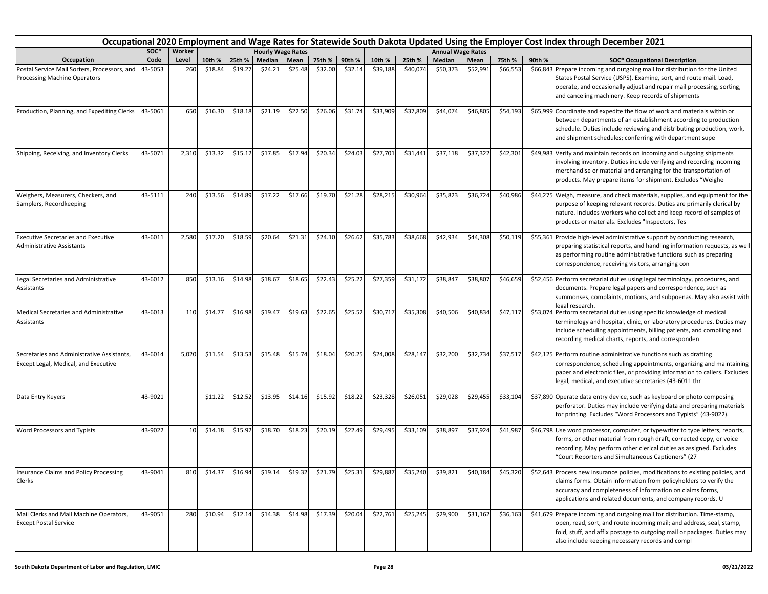|                                                                                    | Occupational 2020 Employment and Wage Rates for Statewide South Dakota Updated Using the Employer Cost Index through December 2021<br><b>Hourly Wage Rates</b><br><b>Annual Wage Rates</b> |        |         |         |               |         |                         |         |          |          |               |          |          |        |                                                                                                                                                                                                                                                                                  |
|------------------------------------------------------------------------------------|--------------------------------------------------------------------------------------------------------------------------------------------------------------------------------------------|--------|---------|---------|---------------|---------|-------------------------|---------|----------|----------|---------------|----------|----------|--------|----------------------------------------------------------------------------------------------------------------------------------------------------------------------------------------------------------------------------------------------------------------------------------|
|                                                                                    | SOC*                                                                                                                                                                                       | Worker |         |         |               |         |                         |         |          |          |               |          |          |        |                                                                                                                                                                                                                                                                                  |
| Occupation                                                                         | Code                                                                                                                                                                                       | Level  | 10th %  | 25th %  | <b>Median</b> | Mean    | 75th %                  | 90th %  | 10th %   | 25th %   | <b>Median</b> | Mean     | 75th %   | 90th % | <b>SOC* Occupational Description</b>                                                                                                                                                                                                                                             |
| Postal Service Mail Sorters, Processors, and<br>Processing Machine Operators       | 43-5053                                                                                                                                                                                    | 260    | \$18.84 | \$19.27 | \$24.21       | \$25.48 | \$32.00                 | \$32.14 | \$39,188 | \$40,074 | \$50,373      | \$52,991 | \$66,553 |        | \$66,843 Prepare incoming and outgoing mail for distribution for the United<br>States Postal Service (USPS). Examine, sort, and route mail. Load,<br>operate, and occasionally adjust and repair mail processing, sorting,<br>and canceling machinery. Keep records of shipments |
| Production, Planning, and Expediting Clerks                                        | 43-5061                                                                                                                                                                                    | 650    | \$16.30 | \$18.18 | \$21.19       | \$22.50 | \$26.06                 | \$31.74 | \$33,909 | \$37,809 | \$44,074      | \$46,805 | \$54,193 |        | \$65,999 Coordinate and expedite the flow of work and materials within or<br>between departments of an establishment according to production<br>schedule. Duties include reviewing and distributing production, work,<br>and shipment schedules; conferring with department supe |
| Shipping, Receiving, and Inventory Clerks                                          | 43-5071                                                                                                                                                                                    | 2,310  | \$13.32 | \$15.12 | \$17.85       | \$17.94 | \$20.34                 | \$24.03 | \$27,701 | \$31,441 | \$37,118      | \$37,322 | \$42,301 |        | \$49,983 Verify and maintain records on incoming and outgoing shipments<br>involving inventory. Duties include verifying and recording incoming<br>merchandise or material and arranging for the transportation of<br>products. May prepare items for shipment. Excludes "Weighe |
| Weighers, Measurers, Checkers, and<br>Samplers, Recordkeeping                      | 43-5111                                                                                                                                                                                    | 240    | \$13.56 | \$14.89 | \$17.22       | \$17.66 | \$19.70                 | \$21.28 | \$28,215 | \$30,964 | \$35,823      | \$36,724 | \$40,986 |        | \$44,275 Weigh, measure, and check materials, supplies, and equipment for the<br>purpose of keeping relevant records. Duties are primarily clerical by<br>nature. Includes workers who collect and keep record of samples of<br>products or materials. Excludes "Inspectors, Tes |
| <b>Executive Secretaries and Executive</b><br><b>Administrative Assistants</b>     | 43-6011                                                                                                                                                                                    | 2,580  | \$17.20 | \$18.59 | \$20.64       | \$21.31 | \$24.10                 | \$26.62 | \$35,783 | \$38,668 | \$42,934      | \$44,308 | \$50,119 |        | \$55,361 Provide high-level administrative support by conducting research,<br>preparing statistical reports, and handling information requests, as well<br>as performing routine administrative functions such as preparing<br>correspondence, receiving visitors, arranging con |
| Legal Secretaries and Administrative<br>Assistants                                 | 43-6012                                                                                                                                                                                    | 850    | \$13.16 | \$14.98 | \$18.67       | \$18.65 | \$22.43                 | \$25.22 | \$27,359 | \$31,172 | \$38,847      | \$38,807 | \$46,659 |        | \$52,456 Perform secretarial duties using legal terminology, procedures, and<br>documents. Prepare legal papers and correspondence, such as<br>summonses, complaints, motions, and subpoenas. May also assist with<br>legal research.                                            |
| Medical Secretaries and Administrative<br>Assistants                               | 43-6013                                                                                                                                                                                    | 110    | \$14.77 | \$16.98 | \$19.47       | \$19.63 | \$22.65                 | \$25.52 | \$30,717 | \$35,308 | \$40,506      | \$40,834 | \$47,117 |        | \$53,074 Perform secretarial duties using specific knowledge of medical<br>terminology and hospital, clinic, or laboratory procedures. Duties may<br>include scheduling appointments, billing patients, and compiling and<br>recording medical charts, reports, and corresponden |
| Secretaries and Administrative Assistants,<br>Except Legal, Medical, and Executive | 43-6014                                                                                                                                                                                    | 5,020  | \$11.54 | \$13.53 | \$15.48       | \$15.74 | \$18.04                 | \$20.25 | \$24,008 | \$28,147 | \$32,200      | \$32,734 | \$37,517 |        | \$42,125 Perform routine administrative functions such as drafting<br>correspondence, scheduling appointments, organizing and maintaining<br>paper and electronic files, or providing information to callers. Excludes<br>legal, medical, and executive secretaries (43-6011 thr |
| Data Entry Keyers                                                                  | 43-9021                                                                                                                                                                                    |        | \$11.22 | \$12.52 | \$13.95       | \$14.16 | \$15.92                 | \$18.22 | \$23,328 | \$26,051 | \$29,028      | \$29,455 | \$33,104 |        | \$37,890 Operate data entry device, such as keyboard or photo composing<br>perforator. Duties may include verifying data and preparing materials<br>for printing. Excludes "Word Processors and Typists" (43-9022).                                                              |
| Word Processors and Typists                                                        | 43-9022                                                                                                                                                                                    | 10     | \$14.18 | \$15.92 | \$18.70       | \$18.23 | \$20.19                 | \$22.49 | \$29,495 | \$33,109 | \$38,897      | \$37,924 | \$41,987 |        | \$46,798 Use word processor, computer, or typewriter to type letters, reports,<br>forms, or other material from rough draft, corrected copy, or voice<br>recording. May perform other clerical duties as assigned. Excludes<br>"Court Reporters and Simultaneous Captioners" (27 |
| nsurance Claims and Policy Processing<br>Clerks                                    | 43-9041                                                                                                                                                                                    | 810    | \$14.37 | \$16.94 | \$19.14       |         | \$19.32 \$21.79 \$25.31 |         | \$29,887 | \$35,240 | \$39,821      | \$40,184 | \$45,320 |        | \$52,643 Process new insurance policies, modifications to existing policies, and<br>claims forms. Obtain information from policyholders to verify the<br>accuracy and completeness of information on claims forms,<br>applications and related documents, and company records. U |
| Mail Clerks and Mail Machine Operators,<br><b>Except Postal Service</b>            | 43-9051                                                                                                                                                                                    | 280    | \$10.94 | \$12.14 | \$14.38       | \$14.98 | \$17.39                 | \$20.04 | \$22,761 | \$25,245 | \$29,900      | \$31,162 | \$36,163 |        | \$41,679 Prepare incoming and outgoing mail for distribution. Time-stamp,<br>open, read, sort, and route incoming mail; and address, seal, stamp,<br>fold, stuff, and affix postage to outgoing mail or packages. Duties may<br>also include keeping necessary records and compl |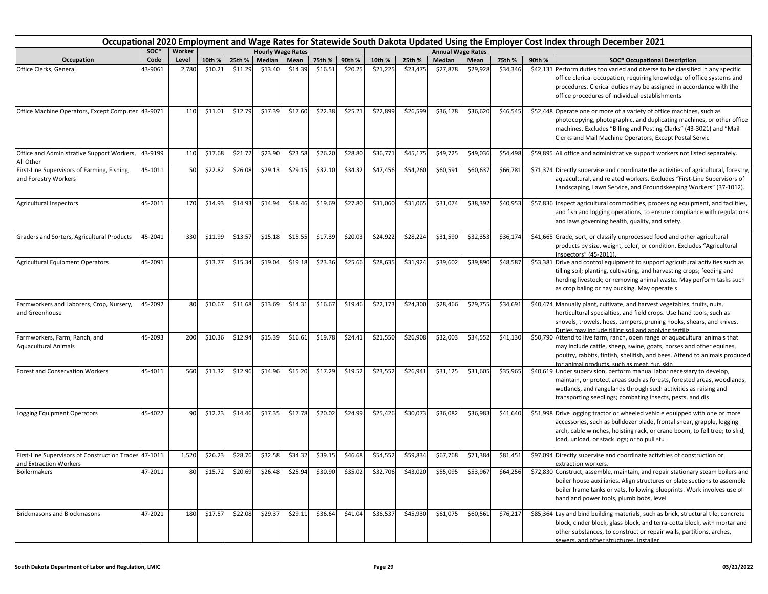|                                                                                 | Occupational 2020 Employment and Wage Rates for Statewide South Dakota Updated Using the Employer Cost Index through December 2021<br>SOC*<br>Worker<br><b>Annual Wage Rates</b><br><b>Hourly Wage Rates</b> |       |         |         |                                                 |         |         |         |          |          |               |          |          |        |                                                                                                                                                                                                                                                                                   |
|---------------------------------------------------------------------------------|--------------------------------------------------------------------------------------------------------------------------------------------------------------------------------------------------------------|-------|---------|---------|-------------------------------------------------|---------|---------|---------|----------|----------|---------------|----------|----------|--------|-----------------------------------------------------------------------------------------------------------------------------------------------------------------------------------------------------------------------------------------------------------------------------------|
|                                                                                 |                                                                                                                                                                                                              |       |         |         |                                                 |         |         |         |          |          |               |          |          |        |                                                                                                                                                                                                                                                                                   |
| Occupation                                                                      | Code                                                                                                                                                                                                         | Level | 10th %  | 25th %  | Median                                          | Mean    | 75th %  | 90th %  | 10th %   | 25th %   | <b>Median</b> | Mean     | 75th %   | 90th % | <b>SOC* Occupational Description</b>                                                                                                                                                                                                                                              |
| Office Clerks, General                                                          | 43-9061                                                                                                                                                                                                      | 2,780 | \$10.21 | \$11.29 | \$13.40                                         | \$14.39 | \$16.51 | \$20.25 | \$21,225 | \$23,475 | \$27,878      | \$29,928 | \$34,346 |        | \$42,131 Perform duties too varied and diverse to be classified in any specific<br>office clerical occupation, requiring knowledge of office systems and<br>procedures. Clerical duties may be assigned in accordance with the<br>office procedures of individual establishments  |
| Office Machine Operators, Except Computer 43-9071                               |                                                                                                                                                                                                              | 110   | \$11.01 | \$12.79 | \$17.39                                         | \$17.60 | \$22.38 | \$25.21 | \$22,899 | \$26,599 | \$36,178      | \$36,620 | \$46,545 |        | \$52,448 Operate one or more of a variety of office machines, such as<br>photocopying, photographic, and duplicating machines, or other office<br>machines. Excludes "Billing and Posting Clerks" (43-3021) and "Mail<br>Clerks and Mail Machine Operators, Except Postal Servic  |
| Office and Administrative Support Workers,<br>All Other                         | 43-9199                                                                                                                                                                                                      | 110   | \$17.68 | \$21.72 | \$23.90                                         | \$23.58 | \$26.20 | \$28.80 | \$36,771 | \$45,175 | \$49,725      | \$49,03  | \$54,498 |        | \$59,895 All office and administrative support workers not listed separately.                                                                                                                                                                                                     |
| First-Line Supervisors of Farming, Fishing,<br>and Forestry Workers             | 45-1011                                                                                                                                                                                                      | 50    | \$22.82 | \$26.08 | \$29.13                                         | \$29.15 | \$32.10 | \$34.32 | \$47,456 | \$54,260 | \$60,591      | \$60,637 | \$66,781 |        | \$71,374 Directly supervise and coordinate the activities of agricultural, forestry,<br>aquacultural, and related workers. Excludes "First-Line Supervisors of<br>Landscaping, Lawn Service, and Groundskeeping Workers" (37-1012).                                               |
| <b>Agricultural Inspectors</b>                                                  | 45-2011                                                                                                                                                                                                      | 170   | \$14.93 | \$14.93 | \$14.94                                         | \$18.46 | \$19.69 | \$27.80 | \$31,060 | \$31,065 | \$31,074      | \$38,392 | \$40,953 |        | \$57,836 Inspect agricultural commodities, processing equipment, and facilities,<br>and fish and logging operations, to ensure compliance with regulations<br>and laws governing health, quality, and safety.                                                                     |
| Graders and Sorters, Agricultural Products                                      | 45-2041                                                                                                                                                                                                      | 330   | \$11.99 | \$13.5  | \$15.18                                         | \$15.55 | \$17.39 | \$20.03 | \$24,922 | \$28,224 | \$31,590      | \$32,353 | \$36,174 |        | \$41,665 Grade, sort, or classify unprocessed food and other agricultural<br>products by size, weight, color, or condition. Excludes "Agricultural<br>Inspectors" (45-2011).                                                                                                      |
| <b>Agricultural Equipment Operators</b>                                         | 45-2091                                                                                                                                                                                                      |       | \$13.77 | \$15.34 | \$19.04                                         | \$19.18 | \$23.36 | \$25.66 | \$28,635 | \$31,924 | \$39,602      | \$39,890 | \$48,587 |        | \$53,381 Drive and control equipment to support agricultural activities such as<br>tilling soil; planting, cultivating, and harvesting crops; feeding and<br>herding livestock; or removing animal waste. May perform tasks such<br>as crop baling or hay bucking. May operate s  |
| Farmworkers and Laborers, Crop, Nursery,<br>and Greenhouse                      | 45-2092                                                                                                                                                                                                      | 80    | \$10.67 | \$11.68 | \$13.69                                         | \$14.31 | \$16.67 | \$19.46 | \$22,173 | \$24,300 | \$28,466      | \$29,755 | \$34,691 |        | \$40,474 Manually plant, cultivate, and harvest vegetables, fruits, nuts,<br>horticultural specialties, and field crops. Use hand tools, such as<br>shovels, trowels, hoes, tampers, pruning hooks, shears, and knives.<br>Duties may include tilling soil and applying fertiliz  |
| Farmworkers, Farm, Ranch, and<br><b>Aquacultural Animals</b>                    | 45-2093                                                                                                                                                                                                      | 200   | \$10.36 | \$12.94 | \$15.39                                         | \$16.61 | \$19.78 | \$24.41 | \$21,550 | \$26,908 | \$32,003      | \$34,552 | \$41,130 |        | \$50,790 Attend to live farm, ranch, open range or aquacultural animals that<br>may include cattle, sheep, swine, goats, horses and other equines,<br>poultry, rabbits, finfish, shellfish, and bees. Attend to animals produced<br>for animal products, such as meat, fur, skin. |
| <b>Forest and Conservation Workers</b>                                          | 45-4011                                                                                                                                                                                                      | 560   | \$11.32 | \$12.96 | \$14.96                                         | \$15.20 | \$17.29 | \$19.52 | \$23,552 | \$26,941 | \$31,125      | \$31,605 | \$35,965 |        | \$40,619 Under supervision, perform manual labor necessary to develop,<br>maintain, or protect areas such as forests, forested areas, woodlands,<br>wetlands, and rangelands through such activities as raising and<br>transporting seedlings; combating insects, pests, and dis  |
| Logging Equipment Operators                                                     | 45-4022                                                                                                                                                                                                      | 90    | \$12.23 | \$14.46 | \$17.35                                         | \$17.78 | \$20.02 | \$24.99 | \$25,426 | \$30,073 | \$36,082      | \$36,983 | \$41,640 |        | \$51,998 Drive logging tractor or wheeled vehicle equipped with one or more<br>accessories, such as bulldozer blade, frontal shear, grapple, logging<br>arch, cable winches, hoisting rack, or crane boom, to fell tree; to skid,<br>load, unload, or stack logs; or to pull stu  |
| First-Line Supervisors of Construction Trades 47-1011<br>and Extraction Workers |                                                                                                                                                                                                              | 1,520 | \$26.23 | \$28.76 | \$32.58                                         | \$34.32 | \$39.15 | \$46.68 | \$54,552 | \$59,834 | \$67,768      | \$71,384 | \$81,451 |        | \$97,094 Directly supervise and coordinate activities of construction or<br>extraction workers.                                                                                                                                                                                   |
| <b>Boilermakers</b>                                                             | 47-2011                                                                                                                                                                                                      |       |         |         | \$15.72 \$20.69 \$26.48 \$25.94 \$30.90 \$35.02 |         |         |         | \$32,706 | \$43,020 | \$55,095      | \$53,967 | \$64,256 |        | \$72,830 Construct, assemble, maintain, and repair stationary steam boilers and<br>boiler house auxiliaries. Align structures or plate sections to assemble<br>boiler frame tanks or vats, following blueprints. Work involves use of<br>hand and power tools, plumb bobs, level  |
| <b>Brickmasons and Blockmasons</b>                                              | 47-2021                                                                                                                                                                                                      | 180   | \$17.57 | \$22.08 | \$29.37                                         | \$29.11 | \$36.64 | \$41.04 | \$36,537 | \$45,930 | \$61,075      | \$60,561 | \$76,217 |        | \$85,364 Lay and bind building materials, such as brick, structural tile, concrete<br>block, cinder block, glass block, and terra-cotta block, with mortar and<br>other substances, to construct or repair walls, partitions, arches,<br>sewers, and other structures, Installer  |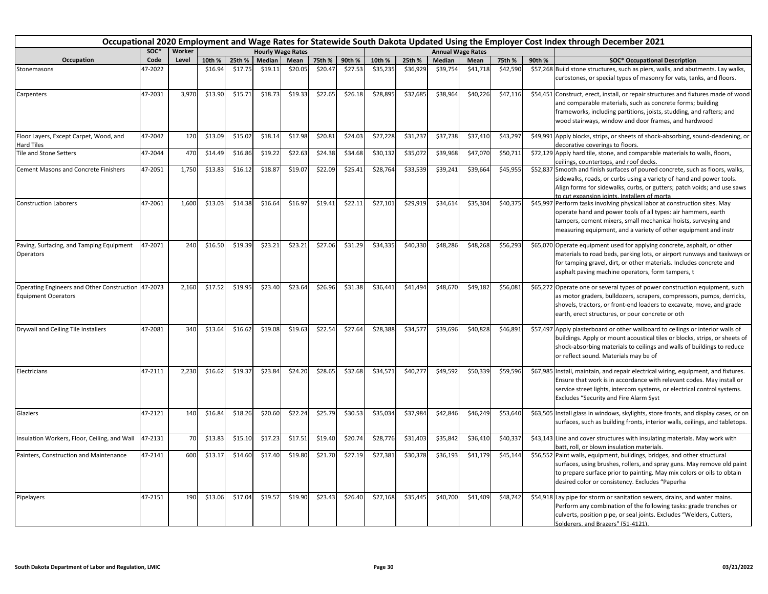|                                                                                  |         |        |         |         |         |                          |         |         |          | Occupational 2020 Employment and Wage Rates for Statewide South Dakota Updated Using the Employer Cost Index through December 2021 |          |                          |          |        |                                                                                                                                                                                                                                                                                  |
|----------------------------------------------------------------------------------|---------|--------|---------|---------|---------|--------------------------|---------|---------|----------|------------------------------------------------------------------------------------------------------------------------------------|----------|--------------------------|----------|--------|----------------------------------------------------------------------------------------------------------------------------------------------------------------------------------------------------------------------------------------------------------------------------------|
|                                                                                  | soc*    | Worker |         |         |         | <b>Hourly Wage Rates</b> |         |         |          |                                                                                                                                    |          | <b>Annual Wage Rates</b> |          |        |                                                                                                                                                                                                                                                                                  |
| Occupation                                                                       | Code    | Level  | 10th %  | 25th %  | Median  | Mean                     | 75th %  | 90th %  | 10th %   | 25th %                                                                                                                             | Median   | Mean                     | 75th %   | 90th % | <b>SOC* Occupational Description</b>                                                                                                                                                                                                                                             |
| Stonemasons                                                                      | 47-2022 |        | \$16.94 | \$17.75 | \$19.11 | \$20.05                  | \$20.47 | \$27.53 | \$35,235 | \$36,929                                                                                                                           | \$39,754 | \$41,718                 | \$42,590 |        | \$57,268 Build stone structures, such as piers, walls, and abutments. Lay walks,<br>curbstones, or special types of masonry for vats, tanks, and floors.                                                                                                                         |
| Carpenters                                                                       | 47-2031 | 3,970  | \$13.90 | \$15.71 | \$18.73 | \$19.33                  | \$22.65 | \$26.18 | \$28,895 | \$32,685                                                                                                                           | \$38,964 | \$40,226                 | \$47,116 |        | \$54,451 Construct, erect, install, or repair structures and fixtures made of wood<br>and comparable materials, such as concrete forms; building<br>frameworks, including partitions, joists, studding, and rafters; and<br>wood stairways, window and door frames, and hardwood |
| Floor Layers, Except Carpet, Wood, and<br><b>Hard Tiles</b>                      | 47-2042 | 120    | \$13.09 | \$15.02 | \$18.14 | \$17.98                  | \$20.81 | \$24.03 | \$27,228 | \$31,237                                                                                                                           | \$37,738 | \$37,410                 | \$43,297 |        | \$49,991 Apply blocks, strips, or sheets of shock-absorbing, sound-deadening, or<br>decorative coverings to floors.                                                                                                                                                              |
| Tile and Stone Setters                                                           | 47-2044 | 470    | \$14.49 | \$16.86 | \$19.22 | \$22.63                  | \$24.38 | \$34.68 | \$30,132 | \$35,072                                                                                                                           | \$39,968 | \$47,070                 | \$50,711 |        | \$72,129 Apply hard tile, stone, and comparable materials to walls, floors,<br>ceilings, countertops, and roof decks.                                                                                                                                                            |
| <b>Cement Masons and Concrete Finishers</b>                                      | 47-2051 | 1,750  | \$13.83 | \$16.12 | \$18.87 | \$19.07                  | \$22.09 | \$25.41 | \$28,764 | \$33,539                                                                                                                           | \$39,241 | \$39,664                 | \$45,955 |        | \$52,837 Smooth and finish surfaces of poured concrete, such as floors, walks,<br>sidewalks, roads, or curbs using a variety of hand and power tools.<br>Align forms for sidewalks, curbs, or gutters; patch voids; and use saws<br>to cut expansion joints. Installers of morta |
| <b>Construction Laborers</b>                                                     | 47-2061 | 1,600  | \$13.03 | \$14.38 | \$16.64 | \$16.97                  | \$19.41 | \$22.11 | \$27,101 | \$29,919                                                                                                                           | \$34,614 | \$35,304                 | \$40,375 |        | \$45,997 Perform tasks involving physical labor at construction sites. May<br>operate hand and power tools of all types: air hammers, earth<br>tampers, cement mixers, small mechanical hoists, surveying and<br>measuring equipment, and a variety of other equipment and instr |
| Paving, Surfacing, and Tamping Equipment<br>Operators                            | 47-2071 | 240    | \$16.50 | \$19.39 | \$23.21 | \$23.21                  | \$27.06 | \$31.29 | \$34,335 | \$40,330                                                                                                                           | \$48,286 | \$48,268                 | \$56,293 |        | \$65,070 Operate equipment used for applying concrete, asphalt, or other<br>materials to road beds, parking lots, or airport runways and taxiways or<br>for tamping gravel, dirt, or other materials. Includes concrete and<br>asphalt paving machine operators, form tampers, t |
| Operating Engineers and Other Construction 47-2073<br><b>Equipment Operators</b> |         | 2,160  | \$17.52 | \$19.95 | \$23.40 | \$23.64                  | \$26.96 | \$31.38 | \$36,441 | \$41,494                                                                                                                           | \$48,670 | \$49,182                 | \$56,081 |        | \$65,272 Operate one or several types of power construction equipment, such<br>as motor graders, bulldozers, scrapers, compressors, pumps, derricks,<br>shovels, tractors, or front-end loaders to excavate, move, and grade<br>earth, erect structures, or pour concrete or oth |
| Drywall and Ceiling Tile Installers                                              | 47-2081 | 340    | \$13.64 | \$16.62 | \$19.08 | \$19.63                  | \$22.54 | \$27.64 | \$28,388 | \$34,577                                                                                                                           | \$39,696 | \$40,828                 | \$46,891 |        | \$57,497 Apply plasterboard or other wallboard to ceilings or interior walls of<br>buildings. Apply or mount acoustical tiles or blocks, strips, or sheets of<br>shock-absorbing materials to ceilings and walls of buildings to reduce<br>or reflect sound. Materials may be of |
| Electricians                                                                     | 47-2111 | 2,230  | \$16.62 | \$19.37 | \$23.84 | \$24.20                  | \$28.65 | \$32.68 | \$34,571 | \$40,277                                                                                                                           | \$49,592 | \$50,339                 | \$59,596 |        | \$67,985 Install, maintain, and repair electrical wiring, equipment, and fixtures.<br>Ensure that work is in accordance with relevant codes. May install or<br>service street lights, intercom systems, or electrical control systems.<br>Excludes "Security and Fire Alarm Syst |
| Glaziers                                                                         | 47-2121 | 140    | \$16.84 | \$18.26 | \$20.60 | \$22.24                  | \$25.79 | \$30.53 | \$35,034 | \$37,984                                                                                                                           | \$42,846 | \$46,249                 | \$53,640 |        | \$63,505 Install glass in windows, skylights, store fronts, and display cases, or on<br>surfaces, such as building fronts, interior walls, ceilings, and tabletops.                                                                                                              |
| Insulation Workers, Floor, Ceiling, and Wall                                     | 47-2131 | 70     | \$13.83 | \$15.10 | \$17.23 | \$17.51                  | \$19.40 | \$20.74 | \$28,776 | \$31,403                                                                                                                           | \$35,842 | \$36,410                 | \$40,337 |        | \$43,143 Line and cover structures with insulating materials. May work with<br>batt, roll, or blown insulation materials.                                                                                                                                                        |
| Painters, Construction and Maintenance                                           | 47-2141 | 600    | \$13.1  | \$14.60 | \$17.40 | \$19.80                  | \$21.70 | \$27.19 | \$27,381 | \$30,378                                                                                                                           | \$36,193 | \$41,179                 | \$45,144 |        | \$56,552 Paint walls, equipment, buildings, bridges, and other structural<br>surfaces, using brushes, rollers, and spray guns. May remove old paint<br>to prepare surface prior to painting. May mix colors or oils to obtain<br>desired color or consistency. Excludes "Paperha |
| Pipelayers                                                                       | 47-2151 | 190    | \$13.06 | \$17.04 | \$19.57 | \$19.90                  | \$23.43 | \$26.40 | \$27,168 | \$35,445                                                                                                                           | \$40,700 | \$41,409                 | \$48,742 |        | \$54,918 Lay pipe for storm or sanitation sewers, drains, and water mains.<br>Perform any combination of the following tasks: grade trenches or<br>culverts, position pipe, or seal joints. Excludes "Welders, Cutters,<br>Solderers, and Brazers" (51-4121).                    |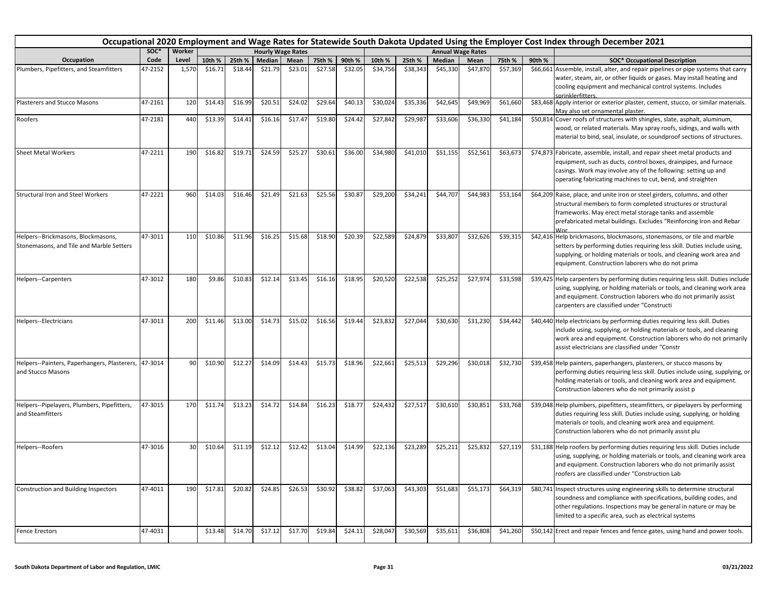| Occupational 2020 Employment and Wage Rates for Statewide South Dakota Updated Using the Employer Cost Index through December 2021<br><b>Annual Wage Rates</b><br><b>Hourly Wage Rates</b> |         |        |         |         |         |         |         |         |          |          |          |          |          |        |                                                                                                                                                                                                                                                                                  |
|--------------------------------------------------------------------------------------------------------------------------------------------------------------------------------------------|---------|--------|---------|---------|---------|---------|---------|---------|----------|----------|----------|----------|----------|--------|----------------------------------------------------------------------------------------------------------------------------------------------------------------------------------------------------------------------------------------------------------------------------------|
|                                                                                                                                                                                            | SOC*    | Worker |         |         |         |         |         |         |          |          |          |          |          |        |                                                                                                                                                                                                                                                                                  |
| Occupation                                                                                                                                                                                 | Code    | Level  | 10th %  | 25th %  | Median  | Mean    | 75th %  | 90th %  | 10th %   | 25th %   | Median   | Mean     | 75th %   | 90th % | <b>SOC* Occupational Description</b>                                                                                                                                                                                                                                             |
| Plumbers, Pipefitters, and Steamfitters                                                                                                                                                    | 47-2152 | 1,570  | \$16.71 | \$18.44 | \$21.79 | \$23.01 | \$27.58 | \$32.05 | \$34,756 | \$38,343 | \$45,330 | \$47,870 | \$57,369 |        | \$66,661 Assemble, install, alter, and repair pipelines or pipe systems that carry<br>water, steam, air, or other liquids or gases. May install heating and<br>cooling equipment and mechanical control systems. Includes<br>sprinklerfitters.                                   |
| Plasterers and Stucco Masons                                                                                                                                                               | 47-2161 | 120    | \$14.43 | \$16.99 | \$20.51 | \$24.02 | \$29.64 | \$40.13 | \$30,024 | \$35,336 | \$42,645 | \$49,969 | \$61,660 |        | \$83,468 Apply interior or exterior plaster, cement, stucco, or similar materials.<br>May also set ornamental plaster.                                                                                                                                                           |
| Roofers                                                                                                                                                                                    | 47-2181 | 440    | \$13.39 | \$14.41 | \$16.16 | \$17.47 | \$19.80 | \$24.42 | \$27,842 | \$29,987 | \$33,606 | \$36,330 | \$41,184 |        | \$50,814 Cover roofs of structures with shingles, slate, asphalt, aluminum,<br>wood, or related materials. May spray roofs, sidings, and walls with<br>material to bind, seal, insulate, or soundproof sections of structures.                                                   |
| <b>Sheet Metal Workers</b>                                                                                                                                                                 | 47-2211 | 190    | \$16.82 | \$19.71 | \$24.59 | \$25.27 | \$30.61 | \$36.00 | \$34,980 | \$41,010 | \$51,155 | \$52,561 | \$63,673 |        | \$74,873 Fabricate, assemble, install, and repair sheet metal products and<br>equipment, such as ducts, control boxes, drainpipes, and furnace<br>casings. Work may involve any of the following: setting up and<br>operating fabricating machines to cut, bend, and straighten  |
| <b>Structural Iron and Steel Workers</b>                                                                                                                                                   | 47-2221 | 960    | \$14.03 | \$16.46 | \$21.49 | \$21.63 | \$25.56 | \$30.87 | \$29,200 | \$34,241 | \$44,707 | \$44,983 | \$53,164 |        | \$64,209 Raise, place, and unite iron or steel girders, columns, and other<br>structural members to form completed structures or structural<br>frameworks. May erect metal storage tanks and assemble<br>prefabricated metal buildings. Excludes "Reinforcing Iron and Rebar     |
| Helpers--Brickmasons, Blockmasons,<br>Stonemasons, and Tile and Marble Setters                                                                                                             | 47-3011 | 110    | \$10.86 | \$11.96 | \$16.25 | \$15.68 | \$18.90 | \$20.39 | \$22,589 | \$24,879 | \$33,807 | \$32,626 | \$39,315 |        | \$42,416 Help brickmasons, blockmasons, stonemasons, or tile and marble<br>setters by performing duties requiring less skill. Duties include using,<br>supplying, or holding materials or tools, and cleaning work area and<br>equipment. Construction laborers who do not prima |
| Helpers--Carpenters                                                                                                                                                                        | 47-3012 | 180    | \$9.86  | \$10.83 | \$12.14 | \$13.45 | \$16.16 | \$18.95 | \$20,520 | \$22,538 | \$25,252 | \$27,974 | \$33,598 |        | \$39,425 Help carpenters by performing duties requiring less skill. Duties include<br>using, supplying, or holding materials or tools, and cleaning work area<br>and equipment. Construction laborers who do not primarily assist<br>carpenters are classified under "Constructi |
| Helpers--Electricians                                                                                                                                                                      | 47-3013 | 200    | \$11.46 | \$13.00 | \$14.73 | \$15.02 | \$16.56 | \$19.44 | \$23,832 | \$27,044 | \$30,630 | \$31,230 | \$34,442 |        | \$40,440 Help electricians by performing duties requiring less skill. Duties<br>include using, supplying, or holding materials or tools, and cleaning<br>work area and equipment. Construction laborers who do not primarily<br>assist electricians are classified under "Constr |
| Helpers--Painters, Paperhangers, Plasterers,<br>and Stucco Masons                                                                                                                          | 47-3014 | 90     | \$10.90 | \$12.27 | \$14.09 | \$14.43 | \$15.73 | \$18.96 | \$22,661 | \$25,513 | \$29,296 | \$30,018 | \$32,730 |        | \$39,458 Help painters, paperhangers, plasterers, or stucco masons by<br>performing duties requiring less skill. Duties include using, supplying, or<br>holding materials or tools, and cleaning work area and equipment.<br>Construction laborers who do not primarily assist p |
| Helpers--Pipelayers, Plumbers, Pipefitters,<br>and Steamfitters                                                                                                                            | 47-3015 | 170    | \$11.74 | \$13.23 | \$14.72 | \$14.84 | \$16.23 | \$18.77 | \$24,432 | \$27,517 | \$30,610 | \$30,851 | \$33,768 |        | \$39,048 Help plumbers, pipefitters, steamfitters, or pipelayers by performing<br>duties requiring less skill. Duties include using, supplying, or holding<br>materials or tools, and cleaning work area and equipment.<br>Construction laborers who do not primarily assist plu |
| Helpers--Roofers                                                                                                                                                                           | 47-3016 | 30     | \$10.64 | \$11.19 | \$12.12 | \$12.42 | \$13.04 | \$14.99 | \$22,136 | \$23,289 | \$25,211 | \$25,832 | \$27,119 |        | \$31,188 Help roofers by performing duties requiring less skill. Duties include<br>using, supplying, or holding materials or tools, and cleaning work area<br>and equipment. Construction laborers who do not primarily assist<br>roofers are classified under "Construction Lab |
| <b>Construction and Building Inspectors</b>                                                                                                                                                | 47-4011 | 190    | \$17.81 | \$20.82 | \$24.85 | \$26.53 | \$30.92 | \$38.82 | \$37,063 | \$43,303 | \$51,683 | \$55,173 | \$64,319 |        | \$80,741 Inspect structures using engineering skills to determine structural<br>soundness and compliance with specifications, building codes, and<br>other regulations. Inspections may be general in nature or may be<br>limited to a specific area, such as electrical systems |
| <b>Fence Erectors</b>                                                                                                                                                                      | 47-4031 |        | \$13.48 | \$14.70 | \$17.12 | \$17.70 | \$19.84 | \$24.11 | \$28,047 | \$30,569 | \$35,611 | \$36,808 | \$41,260 |        | \$50,142 Erect and repair fences and fence gates, using hand and power tools.                                                                                                                                                                                                    |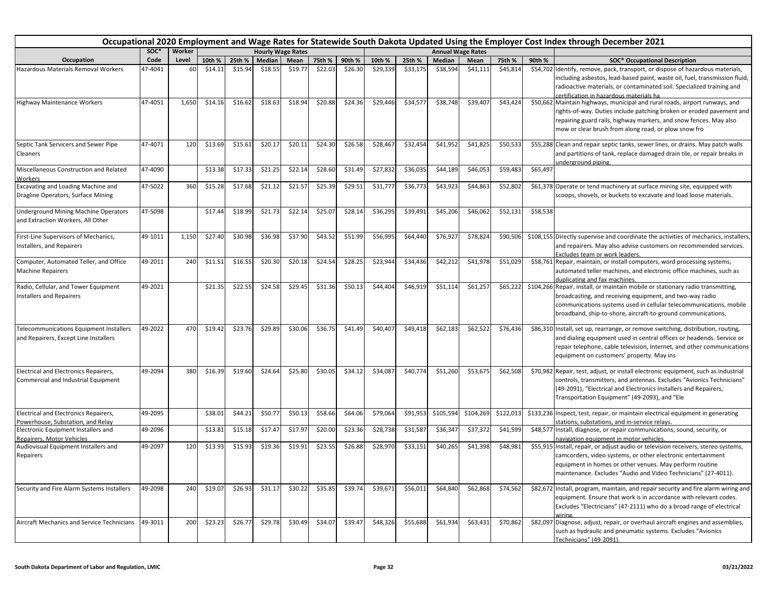|                                                                                         | Occupational 2020 Employment and Wage Rates for Statewide South Dakota Updated Using the Employer Cost Index through December 2021<br>SOC*<br>Worker<br><b>Hourly Wage Rates</b><br><b>Annual Wage Rates</b> |       |         |         |         |         |         |         |          |          |               |           |           |          |                                                                                                                                                                                                                                                                                   |
|-----------------------------------------------------------------------------------------|--------------------------------------------------------------------------------------------------------------------------------------------------------------------------------------------------------------|-------|---------|---------|---------|---------|---------|---------|----------|----------|---------------|-----------|-----------|----------|-----------------------------------------------------------------------------------------------------------------------------------------------------------------------------------------------------------------------------------------------------------------------------------|
|                                                                                         |                                                                                                                                                                                                              |       |         |         |         |         |         |         |          |          |               |           |           |          |                                                                                                                                                                                                                                                                                   |
| Occupation                                                                              | Code                                                                                                                                                                                                         | Level | 10th %  | 25th %  | Median  | Mean    | 75th %  | 90th %  | 10th %   | 25th %   | <b>Median</b> | Mean      | 75th %    | 90th %   | <b>SOC* Occupational Description</b>                                                                                                                                                                                                                                              |
| Hazardous Materials Removal Workers                                                     | 47-4041                                                                                                                                                                                                      | 60    | \$14.11 | \$15.94 | \$18.55 | \$19.77 | \$22.03 | \$26.30 | \$29,339 | \$33,175 | \$38,594      | \$41,111  | \$45,814  |          | \$54,702 Identify, remove, pack, transport, or dispose of hazardous materials,<br>including asbestos, lead-based paint, waste oil, fuel, transmission fluid,<br>radioactive materials, or contaminated soil. Specialized training and<br>certification in hazardous materials ha  |
| <b>Highway Maintenance Workers</b>                                                      | 47-4051                                                                                                                                                                                                      | 1,650 | \$14.16 | \$16.62 | \$18.63 | \$18.94 | \$20.88 | \$24.36 | \$29,446 | \$34,577 | \$38,748      | \$39,407  | \$43,424  |          | \$50,662 Maintain highways, municipal and rural roads, airport runways, and<br>rights-of-way. Duties include patching broken or eroded pavement and<br>repairing guard rails, highway markers, and snow fences. May also<br>mow or clear brush from along road, or plow snow fro  |
| Septic Tank Servicers and Sewer Pipe<br>Cleaners                                        | 47-4071                                                                                                                                                                                                      | 120   | \$13.69 | \$15.61 | \$20.17 | \$20.11 | \$24.30 | \$26.58 | \$28,467 | \$32,454 | \$41,952      | \$41,825  | \$50,533  |          | \$55,288 Clean and repair septic tanks, sewer lines, or drains. May patch walls<br>and partitions of tank, replace damaged drain tile, or repair breaks in<br>underground piping.                                                                                                 |
| Miscellaneous Construction and Related<br>Workers                                       | 47-4090                                                                                                                                                                                                      |       | \$13.38 | \$17.33 | \$21.25 | \$22.14 | \$28.60 | \$31.49 | \$27,832 | \$36,035 | \$44,189      | \$46,053  | \$59,483  | \$65,497 |                                                                                                                                                                                                                                                                                   |
| Excavating and Loading Machine and<br>Dragline Operators, Surface Mining                | 47-5022                                                                                                                                                                                                      | 360   | \$15.28 | \$17.68 | \$21.12 | \$21.57 | \$25.39 | \$29.51 | \$31,777 | \$36,773 | \$43,923      | \$44,863  | \$52,802  |          | \$61,378 Operate or tend machinery at surface mining site, equipped with<br>scoops, shovels, or buckets to excavate and load loose materials.                                                                                                                                     |
| <b>Jnderground Mining Machine Operators</b><br>and Extraction Workers, All Other        | 47-5098                                                                                                                                                                                                      |       | \$17.44 | \$18.99 | \$21.73 | \$22.14 | \$25.07 | \$28.14 | \$36,295 | \$39,491 | \$45,206      | \$46,062  | \$52,131  | \$58,538 |                                                                                                                                                                                                                                                                                   |
| First-Line Supervisors of Mechanics,<br>Installers, and Repairers                       | 49-1011                                                                                                                                                                                                      | 1,150 | \$27.40 | \$30.98 | \$36.98 | \$37.90 | \$43.52 | \$51.99 | \$56,995 | \$64,440 | \$76,927      | \$78,824  | \$90,506  |          | \$108,155 Directly supervise and coordinate the activities of mechanics, installers,<br>and repairers. May also advise customers on recommended services.<br>Excludes team or work leaders.                                                                                       |
| Computer, Automated Teller, and Office<br><b>Machine Repairers</b>                      | 49-2011                                                                                                                                                                                                      | 240   | \$11.51 | \$16.55 | \$20.30 | \$20.18 | \$24.54 | \$28.25 | \$23,944 | \$34,436 | \$42,212      | \$41,978  | \$51,029  |          | \$58,761 Repair, maintain, or install computers, word processing systems,<br>automated teller machines, and electronic office machines, such as<br>duplicating and fax machines.                                                                                                  |
| Radio, Cellular, and Tower Equipment<br>Installers and Repairers                        | 49-2021                                                                                                                                                                                                      |       | \$21.35 | \$22.55 | \$24.58 | \$29.45 | \$31.36 | \$50.13 | \$44,404 | \$46,919 | \$51,114      | \$61,257  | \$65,222  |          | \$104,266 Repair, install, or maintain mobile or stationary radio transmitting,<br>broadcasting, and receiving equipment, and two-way radio<br>communications systems used in cellular telecommunications, mobile<br>broadband, ship-to-shore, aircraft-to-ground communications, |
| <b>Telecommunications Equipment Installers</b><br>and Repairers, Except Line Installers | 49-2022                                                                                                                                                                                                      | 470   | \$19.42 | \$23.76 | \$29.89 | \$30.06 | \$36.75 | \$41.49 | \$40,407 | \$49,418 | \$62,183      | \$62,522  | \$76,436  |          | \$86,310 Install, set up, rearrange, or remove switching, distribution, routing,<br>and dialing equipment used in central offices or headends. Service or<br>repair telephone, cable television, Internet, and other communications<br>equipment on customers' property. May ins  |
| Electrical and Electronics Repairers,<br>Commercial and Industrial Equipment            | 49-2094                                                                                                                                                                                                      | 380   | \$16.39 | \$19.60 | \$24.64 | \$25.80 | \$30.05 | \$34.12 | \$34,087 | \$40,774 | \$51,260      | \$53,675  | \$62,508  |          | \$70,982 Repair, test, adjust, or install electronic equipment, such as industrial<br>controls, transmitters, and antennas. Excludes "Avionics Technicians"<br>(49-2091), "Electrical and Electronics Installers and Repairers,<br>Transportation Equipment" (49-2093), and "Ele  |
| Electrical and Electronics Repairers,<br>Powerhouse, Substation, and Relay              | 49-2095                                                                                                                                                                                                      |       | \$38.01 | \$44.21 | \$50.77 | \$50.13 | \$58.66 | \$64.06 | \$79,064 | \$91,953 | \$105,594     | \$104,269 | \$122,013 |          | \$133,236 Inspect, test, repair, or maintain electrical equipment in generating<br>stations, substations, and in-service relays.                                                                                                                                                  |
| Electronic Equipment Installers and<br>Repairers, Motor Vehicles                        | 49-2096                                                                                                                                                                                                      |       | \$13.81 | \$15.18 | \$17.47 | \$17.97 | \$20.00 | \$23.36 | \$28,738 | \$31,587 | \$36,347      | \$37,372  | \$41,599  |          | \$48,577 Install, diagnose, or repair communications, sound, security, or<br>navigation equipment in motor vehicles.                                                                                                                                                              |
| Audiovisual Equipment Installers and<br>Repairers                                       | 49-2097                                                                                                                                                                                                      | 120   | \$13.93 | \$15.93 | \$19.36 | \$19.91 | \$23.55 | \$26.88 | \$28,970 | \$33,151 | \$40,265      | \$41,398  | \$48,981  |          | \$55,915 Install, repair, or adjust audio or television receivers, stereo systems,<br>camcorders, video systems, or other electronic entertainment<br>equipment in homes or other venues. May perform routine<br>maintenance. Excludes "Audio and Video Technicians" (27-4011).   |
| Security and Fire Alarm Systems Installers                                              | 49-2098                                                                                                                                                                                                      | 240   | \$19.07 | \$26.93 | \$31.17 | \$30.22 | \$35.85 | \$39.74 | \$39,671 | \$56,011 | \$64,840      | \$62,868  | \$74,562  |          | \$82,672 Install, program, maintain, and repair security and fire alarm wiring and<br>equipment. Ensure that work is in accordance with relevant codes.<br>Excludes "Electricians" (47-2111) who do a broad range of electrical<br>wiring.                                        |
| Aircraft Mechanics and Service Technicians                                              | 49-3011                                                                                                                                                                                                      | 200   | \$23.23 | \$26.77 | \$29.78 | \$30.49 | \$34.07 | \$39.47 | \$48,326 | \$55,688 | \$61,934      | \$63,431  | \$70,862  |          | \$82,097 Diagnose, adjust, repair, or overhaul aircraft engines and assemblies,<br>such as hydraulic and pneumatic systems. Excludes "Avionics<br>Technicians" (49-2091).                                                                                                         |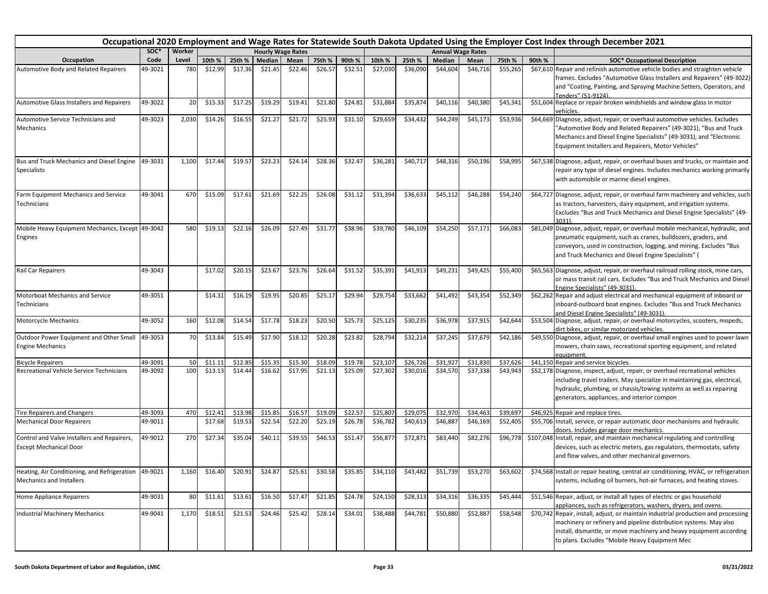|                                                                                  | Occupational 2020 Employment and Wage Rates for Statewide South Dakota Updated Using the Employer Cost Index through December 2021<br>SOC*<br>Worker<br><b>Annual Wage Rates</b><br><b>Hourly Wage Rates</b> |       |         |         |         |         |                 |         |          |          |          |          |          |        |                                                                                                                                                                                                                                                                                  |
|----------------------------------------------------------------------------------|--------------------------------------------------------------------------------------------------------------------------------------------------------------------------------------------------------------|-------|---------|---------|---------|---------|-----------------|---------|----------|----------|----------|----------|----------|--------|----------------------------------------------------------------------------------------------------------------------------------------------------------------------------------------------------------------------------------------------------------------------------------|
|                                                                                  |                                                                                                                                                                                                              |       |         |         |         |         |                 |         |          |          |          |          |          |        |                                                                                                                                                                                                                                                                                  |
| Occupation                                                                       | Code                                                                                                                                                                                                         | Level | 10th %  | 25th %  | Median  | Mean    | 75th %          | 90th %  | 10th %   | 25th %   | Median   | Mean     | 75th %   | 90th % | <b>SOC* Occupational Description</b>                                                                                                                                                                                                                                             |
| Automotive Body and Related Repairers                                            | 49-3021                                                                                                                                                                                                      | 780   | \$12.99 | \$17.36 | \$21.45 | \$22.46 | \$26.57         | \$32.51 | \$27,030 | \$36,090 | \$44,604 | \$46,716 | \$55,265 |        | \$67,610 Repair and refinish automotive vehicle bodies and straighten vehicle<br>frames. Excludes "Automotive Glass Installers and Repairers" (49-3022)<br>and "Coating, Painting, and Spraying Machine Setters, Operators, and<br>Tenders" (51-9124).                           |
| Automotive Glass Installers and Repairers                                        | 49-3022                                                                                                                                                                                                      | 20    | \$15.33 | \$17.25 | \$19.29 | \$19.41 | \$21.80         | \$24.81 | \$31,884 | \$35,874 | \$40,116 | \$40,380 | \$45,341 |        | \$51,604 Replace or repair broken windshields and window glass in motor<br>vehicles.                                                                                                                                                                                             |
| Automotive Service Technicians and<br>Mechanics                                  | 49-3023                                                                                                                                                                                                      | 2,030 | \$14.26 | \$16.55 | \$21.27 | \$21.72 | \$25.93         | \$31.10 | \$29,659 | \$34,432 | \$44,249 | \$45,173 | \$53,936 |        | \$64,669 Diagnose, adjust, repair, or overhaul automotive vehicles. Excludes<br>"Automotive Body and Related Repairers" (49-3021), "Bus and Truck<br>Mechanics and Diesel Engine Specialists" (49-3031), and "Electronic<br>Equipment Installers and Repairers, Motor Vehicles"  |
| Bus and Truck Mechanics and Diesel Engine<br><b>Specialists</b>                  | 49-3031                                                                                                                                                                                                      | 1,100 | \$17.44 | \$19.57 | \$23.23 | \$24.14 | \$28.36         | \$32.47 | \$36,281 | \$40,717 | \$48,316 | \$50,196 | \$58,995 |        | \$67,538 Diagnose, adjust, repair, or overhaul buses and trucks, or maintain and<br>repair any type of diesel engines. Includes mechanics working primarily<br>with automobile or marine diesel engines.                                                                         |
| Farm Equipment Mechanics and Service<br>Technicians                              | 49-3041                                                                                                                                                                                                      | 670   | \$15.09 | \$17.61 | \$21.69 | \$22.25 | \$26.08         | \$31.12 | \$31,394 | \$36,633 | \$45,112 | \$46,288 | \$54,240 |        | \$64,727 Diagnose, adjust, repair, or overhaul farm machinery and vehicles, such<br>as tractors, harvesters, dairy equipment, and irrigation systems.<br>Excludes "Bus and Truck Mechanics and Diesel Engine Specialists" (49-<br>3031).                                         |
| Mobile Heavy Equipment Mechanics, Except 49-3042<br>Engines                      |                                                                                                                                                                                                              | 580   | \$19.13 | \$22.16 | \$26.09 | \$27.49 | \$31.77         | \$38.96 | \$39,780 | \$46,109 | \$54,250 | \$57,17  | \$66,083 |        | \$81,049 Diagnose, adjust, repair, or overhaul mobile mechanical, hydraulic, and<br>pneumatic equipment, such as cranes, bulldozers, graders, and<br>conveyors, used in construction, logging, and mining. Excludes "Bus<br>and Truck Mechanics and Diesel Engine Specialists" ( |
| Rail Car Repairers                                                               | 49-3043                                                                                                                                                                                                      |       | \$17.02 | \$20.15 | \$23.67 | \$23.76 | \$26.64         | \$31.52 | \$35,391 | \$41,913 | \$49,231 | \$49,425 | \$55,400 |        | \$65,563 Diagnose, adjust, repair, or overhaul railroad rolling stock, mine cars,<br>or mass transit rail cars. Excludes "Bus and Truck Mechanics and Diesel<br>Engine Specialists" (49-3031).                                                                                   |
| Motorboat Mechanics and Service<br>Technicians                                   | 49-3051                                                                                                                                                                                                      |       | \$14.31 | \$16.19 | \$19.95 | \$20.85 | \$25.17         | \$29.94 | \$29,754 | \$33,662 | \$41,492 | \$43,354 | \$52,349 |        | \$62,262 Repair and adjust electrical and mechanical equipment of inboard or<br>inboard-outboard boat engines. Excludes "Bus and Truck Mechanics<br>and Diesel Engine Specialists" (49-3031).                                                                                    |
| Motorcycle Mechanics                                                             | 49-3052                                                                                                                                                                                                      | 160   | \$12.08 | \$14.54 | \$17.78 | \$18.23 | \$20.50         | \$25.73 | \$25,125 | \$30,235 | \$36,978 | \$37,915 | \$42,644 |        | \$53,504 Diagnose, adjust, repair, or overhaul motorcycles, scooters, mopeds,<br>dirt bikes, or similar motorized vehicles.                                                                                                                                                      |
| Outdoor Power Equipment and Other Small<br><b>Engine Mechanics</b>               | 49-3053                                                                                                                                                                                                      | 70    | \$13.84 | \$15.49 | \$17.90 | \$18.12 | \$20.28         | \$23.82 | \$28,794 | \$32,214 | \$37,245 | \$37,679 | \$42,186 |        | \$49,550 Diagnose, adjust, repair, or overhaul small engines used to power lawn<br>mowers, chain saws, recreational sporting equipment, and related<br>eauipment.                                                                                                                |
| <b>Bicycle Repairers</b>                                                         | 49-3091                                                                                                                                                                                                      | 50    | \$11.11 | \$12.85 | \$15.35 | \$15.30 | \$18.09         | \$19.78 | \$23,107 | \$26,726 | \$31,92  | \$31,83  | \$37,626 |        | \$41,150 Repair and service bicycles.                                                                                                                                                                                                                                            |
| Recreational Vehicle Service Technicians                                         | 49-3092                                                                                                                                                                                                      | 100   | \$13.13 | \$14.44 | \$16.62 | \$17.95 | \$21.13         | \$25.09 | \$27,302 | \$30,016 | \$34,570 | \$37,338 | \$43,943 |        | \$52,178 Diagnose, inspect, adjust, repair, or overhaul recreational vehicles<br>including travel trailers. May specialize in maintaining gas, electrical,<br>hydraulic, plumbing, or chassis/towing systems as well as repairing<br>generators, appliances, and interior compon |
| Tire Repairers and Changers                                                      | 49-3093                                                                                                                                                                                                      | 470   | \$12.41 | \$13.98 | \$15.85 | \$16.57 | \$19.09         | \$22.57 | \$25,807 | \$29,075 | \$32,970 | \$34,463 | \$39,697 |        | \$46,925 Repair and replace tires.                                                                                                                                                                                                                                               |
| <b>Mechanical Door Repairers</b>                                                 | 49-9011                                                                                                                                                                                                      |       | \$17.68 | \$19.53 | \$22.54 | \$22.20 | \$25.19         | \$26.78 | \$36,782 | \$40,613 | \$46,887 | \$46,169 | \$52,405 |        | \$55,706 Install, service, or repair automatic door mechanisms and hydraulic<br>doors. Includes garage door mechanics.                                                                                                                                                           |
| Control and Valve Installers and Repairers,<br><b>Except Mechanical Door</b>     | 49-9012                                                                                                                                                                                                      | 270   | \$27.34 | \$35.04 | \$40.11 | \$39.55 | \$46.53         | \$51.47 | \$56,877 | \$72,871 | \$83,440 | \$82,276 | \$96,778 |        | \$107,048 Install, repair, and maintain mechanical regulating and controlling<br>devices, such as electric meters, gas regulators, thermostats, safety<br>and flow valves, and other mechanical governors.                                                                       |
| Heating, Air Conditioning, and Refrigeration 49-9021<br>Mechanics and Installers |                                                                                                                                                                                                              | 1,160 | \$16.40 | \$20.91 | \$24.87 |         | \$25.61 \$30.58 | \$35.85 | \$34,110 | \$43,482 | \$51,739 | \$53,270 | \$63,602 |        | \$74,568 Install or repair heating, central air conditioning, HVAC, or refrigeration<br>systems, including oil burners, hot-air furnaces, and heating stoves.                                                                                                                    |
| Home Appliance Repairers                                                         | 49-9031                                                                                                                                                                                                      | 80    | \$11.61 | \$13.61 | \$16.50 | \$17.47 | \$21.85         | \$24.78 | \$24,150 | \$28,313 | \$34,316 | \$36,335 | \$45,444 |        | \$51,546 Repair, adjust, or install all types of electric or gas household<br>appliances, such as refrigerators, washers, dryers, and ovens.                                                                                                                                     |
| <b>Industrial Machinery Mechanics</b>                                            | 49-9041                                                                                                                                                                                                      | 1,170 | \$18.51 | \$21.53 | \$24.46 | \$25.42 | \$28.14         | \$34.01 | \$38,488 | \$44,781 | \$50,880 | \$52,887 | \$58,548 |        | \$70,742 Repair, install, adjust, or maintain industrial production and processing<br>machinery or refinery and pipeline distribution systems. May also<br>install, dismantle, or move machinery and heavy equipment according<br>to plans. Excludes "Mobile Heavy Equipment Mec |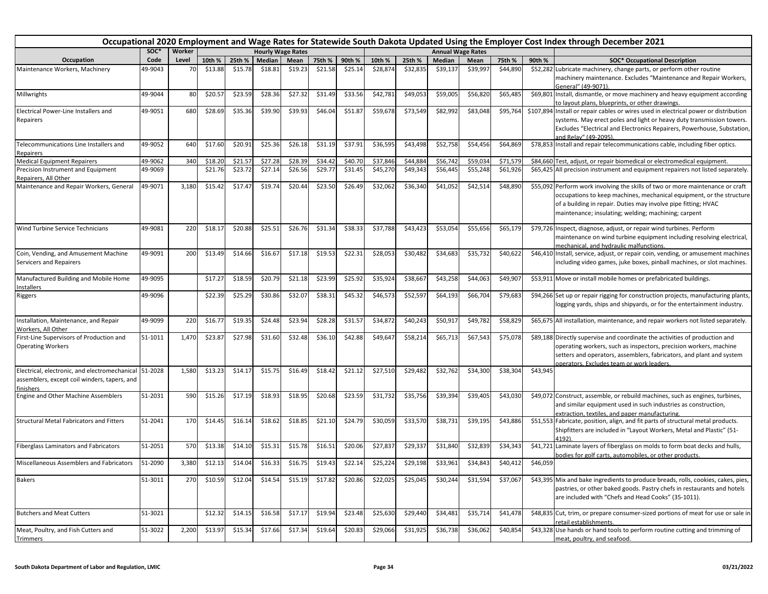|                                                                                                                    | Occupational 2020 Employment and Wage Rates for Statewide South Dakota Updated Using the Employer Cost Index through December 2021<br>SOC*<br>Worker<br><b>Hourly Wage Rates</b><br><b>Annual Wage Rates</b> |       |         |         |               |         |         |         |          |          |          |          |          |          |                                                                                                                                                                                                                                                                                  |
|--------------------------------------------------------------------------------------------------------------------|--------------------------------------------------------------------------------------------------------------------------------------------------------------------------------------------------------------|-------|---------|---------|---------------|---------|---------|---------|----------|----------|----------|----------|----------|----------|----------------------------------------------------------------------------------------------------------------------------------------------------------------------------------------------------------------------------------------------------------------------------------|
|                                                                                                                    |                                                                                                                                                                                                              |       |         |         |               |         |         |         |          |          |          |          |          |          |                                                                                                                                                                                                                                                                                  |
| Occupation                                                                                                         | Code                                                                                                                                                                                                         | Level | 10th %  | 25th %  | <b>Median</b> | Mean    | 75th %  | 90th %  | 10th %   | 25th %   | Median   | Mean     | 75th %   | 90th %   | <b>SOC* Occupational Description</b>                                                                                                                                                                                                                                             |
| Maintenance Workers, Machinery                                                                                     | 49-9043                                                                                                                                                                                                      | 70    | \$13.88 | \$15.78 | \$18.81       | \$19.23 | \$21.58 | \$25.14 | \$28,874 | \$32,835 | \$39,137 | \$39,997 | \$44,890 |          | \$52,282 Lubricate machinery, change parts, or perform other routine<br>machinery maintenance. Excludes "Maintenance and Repair Workers,<br>General" (49-9071)                                                                                                                   |
| Millwrights                                                                                                        | 49-9044                                                                                                                                                                                                      | 80    | \$20.57 | \$23.59 | \$28.36       | \$27.32 | \$31.49 | \$33.56 | \$42,781 | \$49,053 | \$59,005 | \$56,820 | \$65,485 |          | \$69,801 Install, dismantle, or move machinery and heavy equipment according<br>to layout plans, blueprints, or other drawings.                                                                                                                                                  |
| Electrical Power-Line Installers and                                                                               | 49-9051                                                                                                                                                                                                      | 680   | \$28.69 | \$35.36 | \$39.90       | \$39.93 | \$46.04 | \$51.87 | \$59,678 | \$73,549 | \$82,992 | \$83,048 | \$95,764 |          | \$107,894 Install or repair cables or wires used in electrical power or distribution                                                                                                                                                                                             |
| Repairers                                                                                                          |                                                                                                                                                                                                              |       |         |         |               |         |         |         |          |          |          |          |          |          | systems. May erect poles and light or heavy duty transmission towers.<br>Excludes "Electrical and Electronics Repairers, Powerhouse, Substation,<br>and Relav" (49-2095).                                                                                                        |
| Telecommunications Line Installers and<br>Repairers                                                                | 49-9052                                                                                                                                                                                                      | 640   | \$17.60 | \$20.91 | \$25.36       | \$26.18 | \$31.19 | \$37.91 | \$36,595 | \$43,498 | \$52,758 | \$54,456 | \$64,869 |          | \$78,853 Install and repair telecommunications cable, including fiber optics.                                                                                                                                                                                                    |
| <b>Medical Equipment Repairers</b>                                                                                 | 49-9062                                                                                                                                                                                                      | 340   | \$18.20 | \$21.57 | \$27.28       | \$28.39 | \$34.4  | \$40.70 | \$37,846 | \$44,884 | \$56,742 | \$59,03  | \$71,579 |          | \$84,660 Test, adjust, or repair biomedical or electromedical equipment.                                                                                                                                                                                                         |
| Precision Instrument and Equipment<br>Repairers, All Other                                                         | 49-9069                                                                                                                                                                                                      |       | \$21.76 | \$23.72 | \$27.14       | \$26.56 | \$29.77 | \$31.45 | \$45,270 | \$49,343 | \$56,445 | \$55,248 | \$61,926 |          | \$65,425 All precision instrument and equipment repairers not listed separately.                                                                                                                                                                                                 |
| Maintenance and Repair Workers, General                                                                            | 49-9071                                                                                                                                                                                                      | 3,180 | \$15.42 | \$17.47 | \$19.74       | \$20.44 | \$23.50 | \$26.49 | \$32,062 | \$36,340 | \$41,052 | \$42,514 | \$48,890 |          | \$55,092 Perform work involving the skills of two or more maintenance or craft<br>occupations to keep machines, mechanical equipment, or the structure<br>of a building in repair. Duties may involve pipe fitting; HVAC<br>maintenance; insulating; welding; machining; carpent |
| Wind Turbine Service Technicians                                                                                   | 49-9081                                                                                                                                                                                                      | 220   | \$18.17 | \$20.88 | \$25.51       | \$26.76 | \$31.34 | \$38.33 | \$37,788 | \$43,423 | \$53,054 | \$55,656 | \$65,179 |          | \$79,726 Inspect, diagnose, adjust, or repair wind turbines. Perform<br>maintenance on wind turbine equipment including resolving electrical,<br>mechanical, and hydraulic malfunctions.                                                                                         |
| Coin, Vending, and Amusement Machine<br>Servicers and Repairers                                                    | 49-9091                                                                                                                                                                                                      | 200   | \$13.49 | \$14.66 | \$16.67       | \$17.18 | \$19.53 | \$22.31 | \$28,053 | \$30,482 | \$34,683 | \$35,732 | \$40,622 |          | \$46,410 Install, service, adjust, or repair coin, vending, or amusement machines<br>including video games, juke boxes, pinball machines, or slot machines.                                                                                                                      |
| Manufactured Building and Mobile Home<br>Installers                                                                | 49-9095                                                                                                                                                                                                      |       | \$17.27 | \$18.59 | \$20.79       | \$21.18 | \$23.99 | \$25.92 | \$35,924 | \$38,667 | \$43,258 | \$44,063 | \$49,907 |          | \$53,911 Move or install mobile homes or prefabricated buildings.                                                                                                                                                                                                                |
| Riggers                                                                                                            | 49-9096                                                                                                                                                                                                      |       | \$22.39 | \$25.29 | \$30.86       | \$32.07 | \$38.31 | \$45.32 | \$46,573 | \$52,597 | \$64,193 | \$66,704 | \$79,683 |          | \$94,266 Set up or repair rigging for construction projects, manufacturing plants,<br>logging yards, ships and shipyards, or for the entertainment industry.                                                                                                                     |
| Installation, Maintenance, and Repair<br>Workers, All Other                                                        | 49-9099                                                                                                                                                                                                      | 220   | \$16.7  | \$19.35 | \$24.48       | \$23.94 | \$28.28 | \$31.57 | \$34,872 | \$40,243 | \$50,917 | \$49,782 | \$58,829 |          | \$65,675 All installation, maintenance, and repair workers not listed separately.                                                                                                                                                                                                |
| First-Line Supervisors of Production and<br><b>Operating Workers</b>                                               | 51-1011                                                                                                                                                                                                      | 1,470 | \$23.87 | \$27.98 | \$31.60       | \$32.48 | \$36.10 | \$42.88 | \$49,647 | \$58,214 | \$65,713 | \$67,543 | \$75,078 |          | \$89,188 Directly supervise and coordinate the activities of production and<br>operating workers, such as inspectors, precision workers, machine<br>setters and operators, assemblers, fabricators, and plant and system<br>operators. Excludes team or work leaders.            |
| Electrical, electronic, and electromechanical 51-2028<br>assemblers, except coil winders, tapers, and<br>finishers |                                                                                                                                                                                                              | 1,580 | \$13.23 | \$14.17 | \$15.75       | \$16.49 | \$18.42 | \$21.12 | \$27,510 | \$29,482 | \$32,762 | \$34,300 | \$38,304 | \$43,945 |                                                                                                                                                                                                                                                                                  |
| Engine and Other Machine Assemblers                                                                                | 51-2031                                                                                                                                                                                                      | 590   | \$15.26 | \$17.19 | \$18.93       | \$18.95 | \$20.68 | \$23.59 | \$31,732 | \$35,756 | \$39,394 | \$39,405 | \$43,030 |          | \$49,072 Construct, assemble, or rebuild machines, such as engines, turbines,<br>and similar equipment used in such industries as construction,<br>extraction, textiles, and paper manufacturing.                                                                                |
| <b>Structural Metal Fabricators and Fitters</b>                                                                    | 51-2041                                                                                                                                                                                                      | 170   | \$14.45 | \$16.14 | \$18.62       | \$18.85 | \$21.10 | \$24.79 | \$30,059 | \$33,570 | \$38,731 | \$39,195 | \$43,886 |          | \$51,553 Fabricate, position, align, and fit parts of structural metal products.<br>Shipfitters are included in "Layout Workers, Metal and Plastic" (51-<br>4192).                                                                                                               |
| <b>Fiberglass Laminators and Fabricators</b>                                                                       | 51-2051                                                                                                                                                                                                      | 570   | \$13.38 | \$14.10 | \$15.31       | \$15.78 | \$16.51 | \$20.06 | \$27,837 | \$29,337 | \$31,840 | \$32,839 | \$34,343 |          | \$41,721 Laminate layers of fiberglass on molds to form boat decks and hulls,<br>bodies for golf carts, automobiles, or other products.                                                                                                                                          |
| Miscellaneous Assemblers and Fabricators                                                                           | 51-2090                                                                                                                                                                                                      | 3,380 | \$12.13 | \$14.04 | \$16.33       | \$16.75 | \$19.43 | \$22.14 | \$25,224 | \$29,198 | \$33,961 | \$34,843 | \$40,412 | \$46,059 |                                                                                                                                                                                                                                                                                  |
| <b>Bakers</b>                                                                                                      | 51-3011                                                                                                                                                                                                      | 270   | \$10.59 | \$12.04 | \$14.54       | \$15.19 | \$17.82 | \$20.86 | \$22,025 | \$25,045 | \$30,244 | \$31,594 | \$37,067 |          | \$43,395 Mix and bake ingredients to produce breads, rolls, cookies, cakes, pies,<br>pastries, or other baked goods. Pastry chefs in restaurants and hotels<br>are included with "Chefs and Head Cooks" (35-1011).                                                               |
| <b>Butchers and Meat Cutters</b>                                                                                   | 51-3021                                                                                                                                                                                                      |       | \$12.32 | \$14.15 | \$16.58       | \$17.17 | \$19.94 | \$23.48 | \$25,630 | \$29,440 | \$34,481 | \$35,714 | \$41,478 |          | \$48,835 Cut, trim, or prepare consumer-sized portions of meat for use or sale in<br>retail establishments.                                                                                                                                                                      |
| Meat, Poultry, and Fish Cutters and<br>Trimmers                                                                    | 51-3022                                                                                                                                                                                                      | 2,200 | \$13.97 | \$15.34 | \$17.66       | \$17.34 | \$19.64 | \$20.83 | \$29,066 | \$31,925 | \$36,738 | \$36,062 | \$40,854 |          | \$43,328 Use hands or hand tools to perform routine cutting and trimming of<br>meat, poultry, and seafood.                                                                                                                                                                       |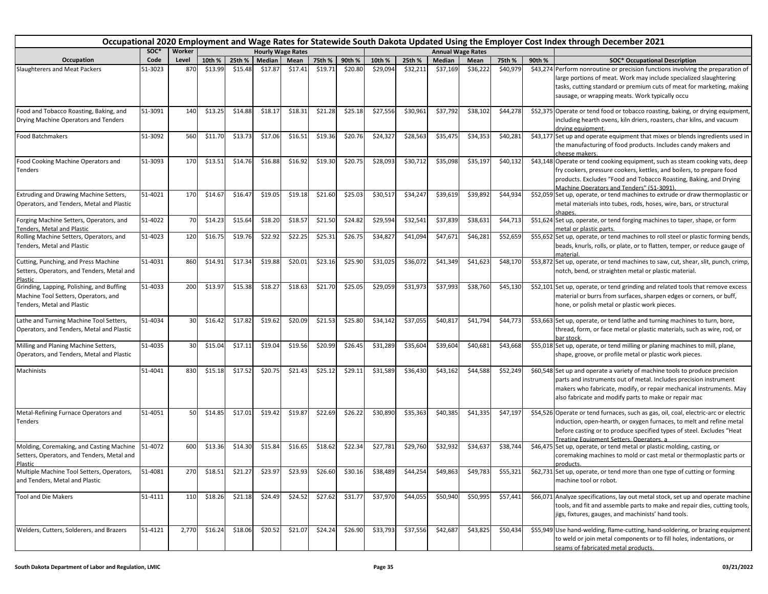| Occupational 2020 Employment and Wage Rates for Statewide South Dakota Updated Using the Employer Cost Index through December 2021 |         |        |         |                 |         |                          |         |         |          |          |          |                          |          |        |                                                                                                                                                                                                                                                                                  |
|------------------------------------------------------------------------------------------------------------------------------------|---------|--------|---------|-----------------|---------|--------------------------|---------|---------|----------|----------|----------|--------------------------|----------|--------|----------------------------------------------------------------------------------------------------------------------------------------------------------------------------------------------------------------------------------------------------------------------------------|
|                                                                                                                                    | SOC*    | Worker |         |                 |         | <b>Hourly Wage Rates</b> |         |         |          |          |          | <b>Annual Wage Rates</b> |          |        |                                                                                                                                                                                                                                                                                  |
| Occupation                                                                                                                         | Code    | Level  | 10th %  | 25th %          | Median  | Mean                     | 75th %  | 90th %  | 10th %   | 25th %   | Median   | Mean                     | 75th %   | 90th % | <b>SOC* Occupational Description</b>                                                                                                                                                                                                                                             |
| Slaughterers and Meat Packers                                                                                                      | 51-3023 | 870    | \$13.99 | \$15.48         | \$17.87 | \$17.41                  | \$19.71 | \$20.80 | \$29,094 | \$32,211 | \$37,169 | \$36,222                 | \$40,979 |        | \$43,274 Perform nonroutine or precision functions involving the preparation of<br>large portions of meat. Work may include specialized slaughtering<br>tasks, cutting standard or premium cuts of meat for marketing, making<br>sausage, or wrapping meats. Work typically occu |
| Food and Tobacco Roasting, Baking, and<br>Drying Machine Operators and Tenders                                                     | 51-3091 | 140    | \$13.25 | \$14.88         | \$18.17 | \$18.31                  | \$21.28 | \$25.18 | \$27,556 | \$30,961 | \$37,792 | \$38,102                 | \$44,278 |        | \$52,375 Operate or tend food or tobacco roasting, baking, or drying equipment,<br>including hearth ovens, kiln driers, roasters, char kilns, and vacuum<br>drying equipment.                                                                                                    |
| <b>Food Batchmakers</b>                                                                                                            | 51-3092 | 560    | \$11.70 | \$13.73         | \$17.06 | \$16.51                  | \$19.36 | \$20.76 | \$24,327 | \$28,563 | \$35,475 | \$34,353                 | \$40,281 |        | \$43,177 Set up and operate equipment that mixes or blends ingredients used in<br>the manufacturing of food products. Includes candy makers and<br>cheese makers.                                                                                                                |
| Food Cooking Machine Operators and<br>Tenders                                                                                      | 51-3093 | 170    | \$13.51 | \$14.76         | \$16.88 | \$16.92                  | \$19.30 | \$20.75 | \$28,093 | \$30,712 | \$35,098 | \$35,197                 | \$40,132 |        | \$43,148 Operate or tend cooking equipment, such as steam cooking vats, deep<br>fry cookers, pressure cookers, kettles, and boilers, to prepare food<br>products. Excludes "Food and Tobacco Roasting, Baking, and Drying<br>Machine Operators and Tenders" (51-3091)            |
| <b>Extruding and Drawing Machine Setters,</b><br>Operators, and Tenders, Metal and Plastic                                         | 51-4021 | 170    | \$14.67 | \$16.47         | \$19.05 | \$19.18                  | \$21.60 | \$25.03 | \$30,517 | \$34,247 | \$39,619 | \$39,892                 | \$44,934 |        | \$52,059 Set up, operate, or tend machines to extrude or draw thermoplastic or<br>metal materials into tubes, rods, hoses, wire, bars, or structural<br>shapes.                                                                                                                  |
| Forging Machine Setters, Operators, and<br>Tenders, Metal and Plastic                                                              | 51-4022 | 70     | \$14.23 | \$15.64         | \$18.20 | \$18.57                  | \$21.50 | \$24.82 | \$29,594 | \$32,541 | \$37,839 | \$38,631                 | \$44,713 |        | \$51,624 Set up, operate, or tend forging machines to taper, shape, or form<br>metal or plastic parts.                                                                                                                                                                           |
| Rolling Machine Setters, Operators, and<br>Tenders, Metal and Plastic                                                              | 51-4023 | 120    | \$16.75 | \$19.76         | \$22.92 | \$22.25                  | \$25.31 | \$26.75 | \$34,827 | \$41,094 | \$47,671 | \$46,281                 | \$52,659 |        | \$55,652 Set up, operate, or tend machines to roll steel or plastic forming bends,<br>beads, knurls, rolls, or plate, or to flatten, temper, or reduce gauge of<br>material.                                                                                                     |
| Cutting, Punching, and Press Machine<br>Setters, Operators, and Tenders, Metal and<br>Plastic                                      | 51-4031 | 860    | \$14.91 | \$17.34         | \$19.88 | \$20.01                  | \$23.16 | \$25.90 | \$31,025 | \$36,072 | \$41,349 | \$41,623                 | \$48,170 |        | \$53,872 Set up, operate, or tend machines to saw, cut, shear, slit, punch, crimp,<br>notch, bend, or straighten metal or plastic material.                                                                                                                                      |
| Grinding, Lapping, Polishing, and Buffing<br>Machine Tool Setters, Operators, and<br>Tenders, Metal and Plastic                    | 51-4033 | 200    | \$13.97 | \$15.38         | \$18.27 | \$18.63                  | \$21.70 | \$25.05 | \$29,059 | \$31,973 | \$37,993 | \$38,760                 | \$45,130 |        | \$52,101 Set up, operate, or tend grinding and related tools that remove excess<br>material or burrs from surfaces, sharpen edges or corners, or buff,<br>hone, or polish metal or plastic work pieces.                                                                          |
| Lathe and Turning Machine Tool Setters,<br>Operators, and Tenders, Metal and Plastic                                               | 51-4034 | 30     | \$16.42 | \$17.82         | \$19.62 | \$20.09                  | \$21.53 | \$25.80 | \$34,142 | \$37,055 | \$40,817 | \$41,794                 | \$44,773 |        | \$53,663 Set up, operate, or tend lathe and turning machines to turn, bore,<br>thread, form, or face metal or plastic materials, such as wire, rod, or<br>bar stock.                                                                                                             |
| Milling and Planing Machine Setters,<br>Operators, and Tenders, Metal and Plastic                                                  | 51-4035 | 30     | \$15.04 | \$17.11         | \$19.04 | \$19.56                  | \$20.99 | \$26.45 | \$31,289 | \$35,604 | \$39,604 | \$40,681                 | \$43,668 |        | \$55,018 Set up, operate, or tend milling or planing machines to mill, plane,<br>shape, groove, or profile metal or plastic work pieces.                                                                                                                                         |
| Machinists                                                                                                                         | 51-4041 | 830    | \$15.18 | \$17.52         | \$20.75 | \$21.43                  | \$25.12 | \$29.11 | \$31,589 | \$36,430 | \$43,162 | \$44,588                 | \$52,249 |        | \$60,548 Set up and operate a variety of machine tools to produce precision<br>parts and instruments out of metal. Includes precision instrument<br>makers who fabricate, modify, or repair mechanical instruments. May<br>also fabricate and modify parts to make or repair mac |
| Metal-Refining Furnace Operators and<br>Tenders                                                                                    | 51-4051 | 50     | \$14.85 | \$17.01         | \$19.42 | \$19.87                  | \$22.69 | \$26.22 | \$30,890 | \$35,363 | \$40,385 | \$41,335                 | \$47,197 |        | \$54,526 Operate or tend furnaces, such as gas, oil, coal, electric-arc or electric<br>induction, open-hearth, or oxygen furnaces, to melt and refine metal<br>before casting or to produce specified types of steel. Excludes "Heat<br>Treating Equipment Setters, Operators, a |
| Molding, Coremaking, and Casting Machine<br>Setters, Operators, and Tenders, Metal and<br>Plastic                                  | 51-4072 | 600    | \$13.36 | \$14.30         | \$15.84 | \$16.65                  | \$18.62 | \$22.34 | \$27,781 | \$29,760 | \$32,932 | \$34,637                 | \$38,744 |        | \$46,475 Set up, operate, or tend metal or plastic molding, casting, or<br>coremaking machines to mold or cast metal or thermoplastic parts or<br>products.                                                                                                                      |
| Multiple Machine Tool Setters, Operators,<br>and Tenders, Metal and Plastic                                                        | 51-4081 | 270    |         | \$18.51 \$21.27 |         | \$23.97 \$23.93 \$26.60  |         | \$30.16 | \$38,489 | \$44,254 | \$49,863 | \$49,783                 | \$55,321 |        | \$62,731 Set up, operate, or tend more than one type of cutting or forming<br>machine tool or robot.                                                                                                                                                                             |
| <b>Tool and Die Makers</b>                                                                                                         | 51-4111 | 110    | \$18.26 | \$21.18         | \$24.49 | \$24.52                  | \$27.62 | \$31.77 | \$37,970 | \$44,055 | \$50,940 | \$50,995                 | \$57,441 |        | \$66,071 Analyze specifications, lay out metal stock, set up and operate machine<br>tools, and fit and assemble parts to make and repair dies, cutting tools,<br>jigs, fixtures, gauges, and machinists' hand tools.                                                             |
| Welders, Cutters, Solderers, and Brazers                                                                                           | 51-4121 | 2,770  | \$16.24 | \$18.06         | \$20.52 | \$21.07                  | \$24.24 | \$26.90 | \$33,793 | \$37,556 | \$42,687 | \$43,825                 | \$50,434 |        | \$55,949 Use hand-welding, flame-cutting, hand-soldering, or brazing equipment<br>to weld or join metal components or to fill holes, indentations, or<br>seams of fabricated metal products.                                                                                     |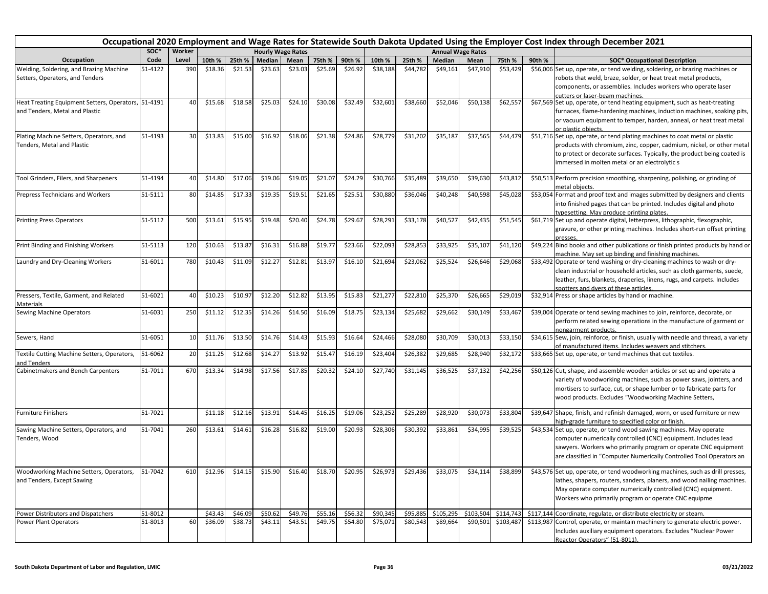| Occupational 2020 Employment and Wage Rates for Statewide South Dakota Updated Using the Employer Cost Index through December 2021<br>SOC*<br><b>Annual Wage Rates</b><br><b>Hourly Wage Rates</b> |         |        |         |         |         |         |         |         |                                                   |          |           |           |                   |        |                                                                                                                                                                                                                                                                                  |
|----------------------------------------------------------------------------------------------------------------------------------------------------------------------------------------------------|---------|--------|---------|---------|---------|---------|---------|---------|---------------------------------------------------|----------|-----------|-----------|-------------------|--------|----------------------------------------------------------------------------------------------------------------------------------------------------------------------------------------------------------------------------------------------------------------------------------|
|                                                                                                                                                                                                    |         | Worker |         |         |         |         |         |         |                                                   |          |           |           |                   |        |                                                                                                                                                                                                                                                                                  |
| Occupation                                                                                                                                                                                         | Code    | Level  | 10th %  | 25th %  | Median  | Mean    | 75th %  | 90th %  | 10th %                                            | 25th %   | Median    | Mean      | 75th %            | 90th % | <b>SOC* Occupational Description</b>                                                                                                                                                                                                                                             |
| Welding, Soldering, and Brazing Machine<br>Setters, Operators, and Tenders                                                                                                                         | 51-4122 | 390    | \$18.36 | \$21.53 | \$23.63 | \$23.03 | \$25.69 | \$26.92 | \$38,188                                          | \$44,782 | \$49,161  | \$47,910  | \$53,429          |        | \$56,006 Set up, operate, or tend welding, soldering, or brazing machines or<br>robots that weld, braze, solder, or heat treat metal products,<br>components, or assemblies. Includes workers who operate laser<br>cutters or laser-beam machines.                               |
| Heat Treating Equipment Setters, Operators, 51-4191<br>and Tenders, Metal and Plastic                                                                                                              |         | 40     | \$15.68 | \$18.58 | \$25.03 | \$24.10 | \$30.08 | \$32.49 | \$32,601                                          | \$38,660 | \$52,046  | \$50,138  | \$62,557          |        | \$67,569 Set up, operate, or tend heating equipment, such as heat-treating<br>furnaces, flame-hardening machines, induction machines, soaking pits,<br>or vacuum equipment to temper, harden, anneal, or heat treat metal<br>or plastic obiects.                                 |
| Plating Machine Setters, Operators, and<br>Tenders, Metal and Plastic                                                                                                                              | 51-4193 | 30     | \$13.83 | \$15.00 | \$16.92 | \$18.06 | \$21.38 | \$24.86 | \$28,779                                          | \$31,202 | \$35,187  | \$37,565  | \$44,479          |        | \$51,716 Set up, operate, or tend plating machines to coat metal or plastic<br>products with chromium, zinc, copper, cadmium, nickel, or other metal<br>to protect or decorate surfaces. Typically, the product being coated is<br>immersed in molten metal or an electrolytic s |
| Tool Grinders, Filers, and Sharpeners                                                                                                                                                              | 51-4194 | 40     | \$14.80 | \$17.06 | \$19.06 | \$19.05 | \$21.07 | \$24.29 | \$30,766                                          | \$35,489 | \$39,650  | \$39,630  | \$43,812          |        | \$50,513 Perform precision smoothing, sharpening, polishing, or grinding of<br>metal objects.                                                                                                                                                                                    |
| Prepress Technicians and Workers                                                                                                                                                                   | 51-5111 | 80     | \$14.85 | \$17.33 | \$19.35 | \$19.51 | \$21.65 | \$25.51 | \$30,880                                          | \$36,046 | \$40,248  | \$40,598  | \$45,028          |        | \$53,054 Format and proof text and images submitted by designers and clients<br>into finished pages that can be printed. Includes digital and photo<br>typesetting. May produce printing plates.                                                                                 |
| <b>Printing Press Operators</b>                                                                                                                                                                    | 51-5112 | 500    | \$13.61 | \$15.95 | \$19.48 | \$20.40 | \$24.78 | \$29.67 | \$28,291                                          | \$33,178 | \$40,52   | \$42,435  | \$51,545          |        | \$61,719 Set up and operate digital, letterpress, lithographic, flexographic,<br>gravure, or other printing machines. Includes short-run offset printing<br>presses.                                                                                                             |
| Print Binding and Finishing Workers                                                                                                                                                                | 51-5113 | 120    | \$10.63 | \$13.87 | \$16.31 | \$16.88 | \$19.77 | \$23.66 | \$22,093                                          | \$28,853 | \$33,925  | \$35,107  | \$41,120          |        | \$49,224 Bind books and other publications or finish printed products by hand or<br>machine. May set up binding and finishing machines.                                                                                                                                          |
| Laundry and Dry-Cleaning Workers                                                                                                                                                                   | 51-6011 | 780    | \$10.43 | \$11.09 | \$12.27 | \$12.81 | \$13.97 | \$16.10 | \$21,694                                          | \$23,062 | \$25,524  | \$26,646  | \$29,068          |        | \$33,492 Operate or tend washing or dry-cleaning machines to wash or dry-<br>clean industrial or household articles, such as cloth garments, suede,<br>leather, furs, blankets, draperies, linens, rugs, and carpets. Includes<br>spotters and dyers of these articles           |
| Pressers, Textile, Garment, and Related<br>Materials                                                                                                                                               | 51-6021 | 40     | \$10.23 | \$10.97 | \$12.20 | \$12.82 | \$13.95 | \$15.83 | \$21,277                                          | \$22,810 | \$25,370  | \$26,665  | \$29,019          |        | \$32,914 Press or shape articles by hand or machine.                                                                                                                                                                                                                             |
| Sewing Machine Operators                                                                                                                                                                           | 51-6031 | 250    | \$11.12 | \$12.35 | \$14.26 | \$14.50 | \$16.09 | \$18.75 | \$23,134                                          | \$25,682 | \$29,662  | \$30,149  | \$33,467          |        | \$39,004 Operate or tend sewing machines to join, reinforce, decorate, or<br>perform related sewing operations in the manufacture of garment or<br>nongarment products.                                                                                                          |
| Sewers, Hand                                                                                                                                                                                       | 51-6051 | 10     | \$11.76 | \$13.50 | \$14.76 | \$14.43 | \$15.93 | \$16.64 | \$24,466                                          | \$28,080 | \$30,709  | \$30,013  | \$33,150          |        | \$34,615 Sew, join, reinforce, or finish, usually with needle and thread, a variety<br>of manufactured items. Includes weavers and stitchers.                                                                                                                                    |
| Textile Cutting Machine Setters, Operators,<br>and Tenders                                                                                                                                         | 51-6062 | 20     | \$11.25 | \$12.68 | \$14.27 | \$13.92 | \$15.47 | \$16.19 | \$23,404                                          | \$26,382 | \$29,685  | \$28,940  | \$32,172          |        | \$33,665 Set up, operate, or tend machines that cut textiles.                                                                                                                                                                                                                    |
| Cabinetmakers and Bench Carpenters                                                                                                                                                                 | 51-7011 | 670    | \$13.34 | \$14.98 | \$17.56 | \$17.85 | \$20.32 | \$24.10 | \$27,740                                          | \$31,145 | \$36,525  | \$37,132  | \$42,256          |        | \$50,126 Cut, shape, and assemble wooden articles or set up and operate a<br>variety of woodworking machines, such as power saws, jointers, and<br>mortisers to surface, cut, or shape lumber or to fabricate parts for<br>wood products. Excludes "Woodworking Machine Setters, |
| <b>Furniture Finishers</b>                                                                                                                                                                         | 51-7021 |        | \$11.18 | \$12.16 | \$13.91 | \$14.45 | \$16.25 | \$19.06 | \$23,252                                          | \$25,289 | \$28,920  | \$30,073  | \$33,804          |        | \$39,647 Shape, finish, and refinish damaged, worn, or used furniture or new<br>high-grade furniture to specified color or finish.                                                                                                                                               |
| Sawing Machine Setters, Operators, and<br>Tenders, Wood                                                                                                                                            | 51-7041 | 260    | \$13.61 | \$14.61 | \$16.28 | \$16.82 | \$19.00 | \$20.93 | \$28,306                                          | \$30,392 | \$33,861  | \$34,995  | \$39,525          |        | \$43,534 Set up, operate, or tend wood sawing machines. May operate<br>computer numerically controlled (CNC) equipment. Includes lead<br>sawyers. Workers who primarily program or operate CNC equipment<br>are classified in "Computer Numerically Controlled Tool Operators an |
| Woodworking Machine Setters, Operators, 51-7042<br>and Tenders, Except Sawing                                                                                                                      |         | 610    | \$12.96 | \$14.15 |         |         |         |         | \$15.90 \$16.40 \$18.70 \$20.95 \$26,973 \$29,436 |          | \$33,075  |           | \$34,114 \$38,899 |        | \$43,576 Set up, operate, or tend woodworking machines, such as drill presses,<br>lathes, shapers, routers, sanders, planers, and wood nailing machines.<br>May operate computer numerically controlled (CNC) equipment.<br>Workers who primarily program or operate CNC equipme |
| Power Distributors and Dispatchers                                                                                                                                                                 | 51-8012 |        | \$43.43 | \$46.09 | \$50.62 | \$49.76 | \$55.16 | \$56.32 | \$90,345                                          | \$95,885 | \$105,295 | \$103,504 | \$114,743         |        | \$117,144 Coordinate, regulate, or distribute electricity or steam.                                                                                                                                                                                                              |
| Power Plant Operators                                                                                                                                                                              | 51-8013 | 60     | \$36.09 | \$38.73 | \$43.11 | \$43.51 | \$49.75 | \$54.80 | \$75,071                                          | \$80,543 | \$89,664  | \$90,501  | \$103,487         |        | \$113,987 Control, operate, or maintain machinery to generate electric power.<br>Includes auxiliary equipment operators. Excludes "Nuclear Power<br>Reactor Operators" (51-8011).                                                                                                |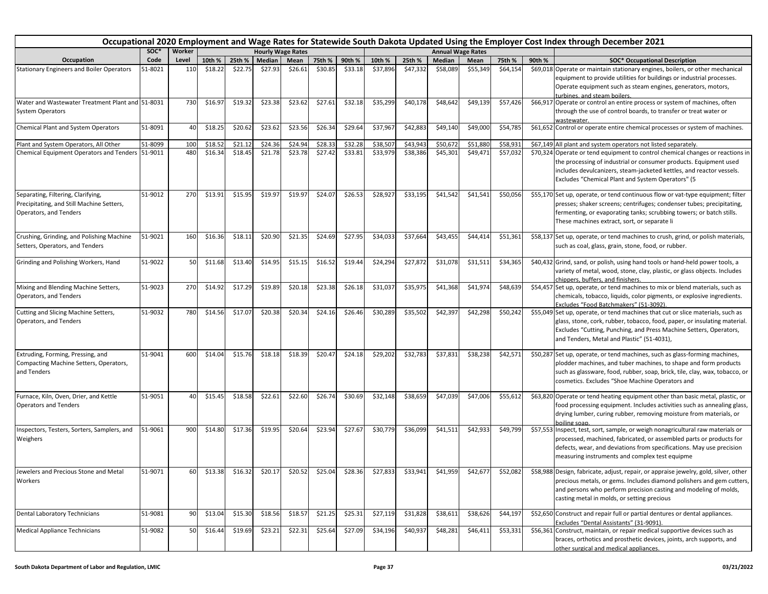| Occupational 2020 Employment and Wage Rates for Statewide South Dakota Updated Using the Employer Cost Index through December 2021 |         |        |         |                   |         |                          |                 |         |          |          |          |                          |          |        |                                                                                                                                                                                                                                                                                  |
|------------------------------------------------------------------------------------------------------------------------------------|---------|--------|---------|-------------------|---------|--------------------------|-----------------|---------|----------|----------|----------|--------------------------|----------|--------|----------------------------------------------------------------------------------------------------------------------------------------------------------------------------------------------------------------------------------------------------------------------------------|
|                                                                                                                                    | SOC*    | Worker |         |                   |         | <b>Hourly Wage Rates</b> |                 |         |          |          |          | <b>Annual Wage Rates</b> |          |        |                                                                                                                                                                                                                                                                                  |
| Occupation                                                                                                                         | Code    | Level  | 10th %  | 25th %            | Median  | Mean                     | 75th %          | 90th %  | 10th %   | 25th %   | Median   | Mean                     | 75th %   | 90th % | <b>SOC* Occupational Description</b>                                                                                                                                                                                                                                             |
| <b>Stationary Engineers and Boiler Operators</b>                                                                                   | 51-8021 | 110    | \$18.22 | \$22.75           | \$27.93 | \$26.61                  | \$30.85         | \$33.18 | \$37,896 | \$47,332 | \$58,089 | \$55,349                 | \$64,154 |        | \$69,018 Operate or maintain stationary engines, boilers, or other mechanical<br>equipment to provide utilities for buildings or industrial processes.<br>Operate equipment such as steam engines, generators, motors,<br>turbines, and steam boilers.                           |
| Water and Wastewater Treatment Plant and 51-8031<br><b>System Operators</b>                                                        |         | 730    | \$16.97 | \$19.32           | \$23.38 | \$23.62                  | \$27.61         | \$32.18 | \$35,299 | \$40,178 | \$48,642 | \$49,139                 | \$57,426 |        | \$66,917 Operate or control an entire process or system of machines, often<br>through the use of control boards, to transfer or treat water or<br>wastewater.                                                                                                                    |
| <b>Chemical Plant and System Operators</b>                                                                                         | 51-8091 | 40     | \$18.25 | \$20.62           | \$23.62 | \$23.56                  | \$26.34         | \$29.64 | \$37,967 | \$42,883 | \$49,140 | \$49,000                 | \$54,785 |        | \$61,652 Control or operate entire chemical processes or system of machines.                                                                                                                                                                                                     |
| Plant and System Operators, All Other                                                                                              | 51-8099 | 100    | \$18.5  | \$21.12           | \$24.36 | \$24.94                  | \$28.33         | \$32.28 | \$38,507 | \$43,943 | \$50,67  | \$51,880                 | \$58,93  |        | \$67,149 All plant and system operators not listed separately.                                                                                                                                                                                                                   |
| Chemical Equipment Operators and Tenders 51-9011                                                                                   |         | 480    | \$16.34 | \$18.45           | \$21.78 | \$23.78                  | \$27.42         | \$33.81 | \$33,979 | \$38,386 | \$45,301 | \$49,471                 | \$57,032 |        | \$70,324 Operate or tend equipment to control chemical changes or reactions in<br>the processing of industrial or consumer products. Equipment used<br>includes devulcanizers, steam-jacketed kettles, and reactor vessels.<br>Excludes "Chemical Plant and System Operators" (5 |
| Separating, Filtering, Clarifying,<br>Precipitating, and Still Machine Setters,<br>Operators, and Tenders                          | 51-9012 | 270    | \$13.91 | \$15.95           | \$19.97 | \$19.97                  | \$24.07         | \$26.53 | \$28,927 | \$33,195 | \$41,542 | \$41,541                 | \$50,056 |        | \$55,170 Set up, operate, or tend continuous flow or vat-type equipment; filter<br>presses; shaker screens; centrifuges; condenser tubes; precipitating,<br>fermenting, or evaporating tanks; scrubbing towers; or batch stills.<br>These machines extract, sort, or separate li |
| Crushing, Grinding, and Polishing Machine<br>Setters, Operators, and Tenders                                                       | 51-9021 | 160    | \$16.36 | \$18.11           | \$20.90 | \$21.35                  | \$24.69         | \$27.95 | \$34,033 | \$37,664 | \$43,455 | \$44,414                 | \$51,361 |        | \$58,137 Set up, operate, or tend machines to crush, grind, or polish materials,<br>such as coal, glass, grain, stone, food, or rubber.                                                                                                                                          |
| Grinding and Polishing Workers, Hand                                                                                               | 51-9022 | 50     | \$11.68 | \$13.40           | \$14.95 | \$15.15                  | \$16.52         | \$19.44 | \$24,294 | \$27,872 | \$31,078 | \$31,511                 | \$34,365 |        | \$40,432 Grind, sand, or polish, using hand tools or hand-held power tools, a<br>variety of metal, wood, stone, clay, plastic, or glass objects. Includes<br>chippers, buffers, and finishers.                                                                                   |
| Mixing and Blending Machine Setters,<br>Operators, and Tenders                                                                     | 51-9023 | 270    | \$14.92 | \$17.29           | \$19.89 | \$20.18                  | \$23.38         | \$26.18 | \$31,037 | \$35,975 | \$41,368 | \$41,97                  | \$48,639 |        | \$54,457 Set up, operate, or tend machines to mix or blend materials, such as<br>chemicals, tobacco, liquids, color pigments, or explosive ingredients.<br>Excludes "Food Batchmakers" (51-3092).                                                                                |
| Cutting and Slicing Machine Setters,<br>Operators, and Tenders                                                                     | 51-9032 | 780    | \$14.56 | \$17.07           | \$20.38 | \$20.34                  | \$24.16         | \$26.46 | \$30,289 | \$35,502 | \$42,397 | \$42,298                 | \$50,242 |        | \$55,049 Set up, operate, or tend machines that cut or slice materials, such as<br>glass, stone, cork, rubber, tobacco, food, paper, or insulating material.<br>Excludes "Cutting, Punching, and Press Machine Setters, Operators,<br>and Tenders, Metal and Plastic" (51-4031), |
| Extruding, Forming, Pressing, and<br>Compacting Machine Setters, Operators,<br>and Tenders                                         | 51-9041 | 600    | \$14.04 | \$15.76           | \$18.18 | \$18.39                  | \$20.47         | \$24.18 | \$29,202 | \$32,783 | \$37,831 | \$38,238                 | \$42,571 |        | \$50,287 Set up, operate, or tend machines, such as glass-forming machines,<br>plodder machines, and tuber machines, to shape and form products<br>such as glassware, food, rubber, soap, brick, tile, clay, wax, tobacco, or<br>cosmetics. Excludes "Shoe Machine Operators and |
| Furnace, Kiln, Oven, Drier, and Kettle<br><b>Operators and Tenders</b>                                                             | 51-9051 | 40     | \$15.45 | \$18.58           | \$22.61 | \$22.60                  | \$26.74         | \$30.69 | \$32,148 | \$38,659 | \$47,039 | \$47,006                 | \$55,612 |        | \$63,820 Operate or tend heating equipment other than basic metal, plastic, or<br>food processing equipment. Includes activities such as annealing glass,<br>drying lumber, curing rubber, removing moisture from materials, or<br>boiling soan.                                 |
| Inspectors, Testers, Sorters, Samplers, and<br>Weighers                                                                            | 51-9061 | 900    | \$14.80 | \$17.36           | \$19.95 | \$20.64                  | \$23.94         | \$27.67 | \$30,779 | \$36,099 | \$41,511 | \$42,933                 | \$49,799 |        | \$57,553 Inspect, test, sort, sample, or weigh nonagricultural raw materials or<br>processed, machined, fabricated, or assembled parts or products for<br>defects, wear, and deviations from specifications. May use precision<br>measuring instruments and complex test equipme |
| Jewelers and Precious Stone and Metal<br>Workers                                                                                   | 51-9071 | 60     |         | $$13.38$ $$16.32$ | \$20.17 |                          | \$20.52 \$25.04 | \$28.36 | \$27,833 | \$33,941 | \$41,959 | \$42,677                 | \$52,082 |        | \$58,988 Design, fabricate, adjust, repair, or appraise jewelry, gold, silver, other<br>precious metals, or gems. Includes diamond polishers and gem cutters,<br>and persons who perform precision casting and modeling of molds,<br>casting metal in molds, or setting precious |
| Dental Laboratory Technicians                                                                                                      | 51-9081 | 90     | \$13.04 | \$15.30           | \$18.56 | \$18.57                  | \$21.25         | \$25.31 | \$27,119 | \$31,828 | \$38,611 | \$38,626                 | \$44,197 |        | \$52,650 Construct and repair full or partial dentures or dental appliances.<br>Excludes "Dental Assistants" (31-9091).                                                                                                                                                          |
| Medical Appliance Technicians                                                                                                      | 51-9082 | 50     | \$16.44 | \$19.69           | \$23.21 | \$22.31                  | \$25.64         | \$27.09 | \$34,196 | \$40,937 | \$48,281 | $\overline{$}46,411$     | \$53,331 |        | \$56,361 Construct, maintain, or repair medical supportive devices such as<br>braces, orthotics and prosthetic devices, joints, arch supports, and<br>other surgical and medical appliances.                                                                                     |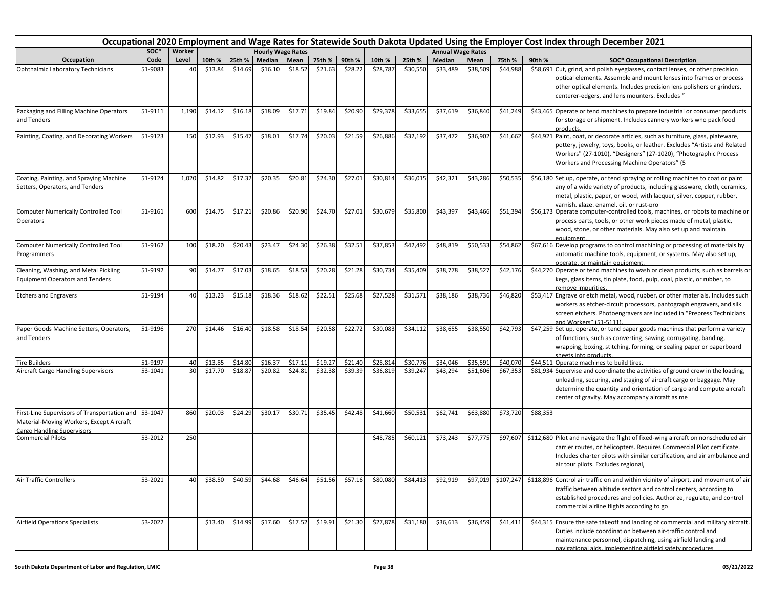|                                                                                                                                       |         |        | Occupational 2020 Employment and Wage Rates for Statewide South Dakota Updated Using the Employer Cost Index through December 2021 |         |         |                          |         |         |          |          |          |                          |           |          |                                                                                                                                                                                                                                                                                   |  |
|---------------------------------------------------------------------------------------------------------------------------------------|---------|--------|------------------------------------------------------------------------------------------------------------------------------------|---------|---------|--------------------------|---------|---------|----------|----------|----------|--------------------------|-----------|----------|-----------------------------------------------------------------------------------------------------------------------------------------------------------------------------------------------------------------------------------------------------------------------------------|--|
|                                                                                                                                       | SOC*    | Worker |                                                                                                                                    |         |         | <b>Hourly Wage Rates</b> |         |         |          |          |          | <b>Annual Wage Rates</b> |           |          |                                                                                                                                                                                                                                                                                   |  |
| Occupation                                                                                                                            | Code    | Level  | 10th %                                                                                                                             | 25th %  | Median  | Mean                     | 75th %  | 90th %  | 10th %   | 25th %   | Median   | Mean                     | 75th %    | 90th %   | <b>SOC* Occupational Description</b>                                                                                                                                                                                                                                              |  |
| Ophthalmic Laboratory Technicians                                                                                                     | 51-9083 | 4(     | \$13.84                                                                                                                            | \$14.69 | \$16.10 | \$18.52                  | \$21.63 | \$28.22 | \$28,787 | \$30,550 | \$33,489 | \$38,509                 | \$44,988  |          | \$58,691 Cut, grind, and polish eyeglasses, contact lenses, or other precision<br>optical elements. Assemble and mount lenses into frames or process<br>other optical elements. Includes precision lens polishers or grinders,<br>centerer-edgers, and lens mounters. Excludes "  |  |
| Packaging and Filling Machine Operators<br>and Tenders                                                                                | 51-9111 | 1,190  | \$14.12                                                                                                                            | \$16.18 | \$18.09 | \$17.71                  | \$19.84 | \$20.90 | \$29,378 | \$33,655 | \$37,619 | \$36,840                 | \$41,249  |          | \$43,465 Operate or tend machines to prepare industrial or consumer products<br>for storage or shipment. Includes cannery workers who pack food<br>products.                                                                                                                      |  |
| Painting, Coating, and Decorating Workers                                                                                             | 51-9123 | 150    | \$12.93                                                                                                                            | \$15.47 | \$18.01 | \$17.74                  | \$20.03 | \$21.59 | \$26,886 | \$32,192 | \$37,472 | \$36,902                 | \$41,662  |          | \$44,921 Paint, coat, or decorate articles, such as furniture, glass, plateware,<br>pottery, jewelry, toys, books, or leather. Excludes "Artists and Related<br>Workers" (27-1010), "Designers" (27-1020), "Photographic Process<br>Workers and Processing Machine Operators" (5  |  |
| Coating, Painting, and Spraying Machine<br>Setters, Operators, and Tenders                                                            | 51-9124 | 1,020  | \$14.82                                                                                                                            | \$17.32 | \$20.35 | \$20.81                  | \$24.30 | \$27.01 | \$30,814 | \$36,015 | \$42,321 | \$43,286                 | \$50,535  |          | \$56,180 Set up, operate, or tend spraying or rolling machines to coat or paint<br>any of a wide variety of products, including glassware, cloth, ceramics,<br>metal, plastic, paper, or wood, with lacquer, silver, copper, rubber,<br>varnish, glaze, enamel, oil, or rust-pro  |  |
| Computer Numerically Controlled Tool<br>Operators                                                                                     | 51-9161 | 600    | \$14.75                                                                                                                            | \$17.21 | \$20.86 | \$20.90                  | \$24.70 | \$27.01 | \$30,679 | \$35,800 | \$43,397 | \$43,466                 | \$51,394  |          | \$56,173 Operate computer-controlled tools, machines, or robots to machine or<br>process parts, tools, or other work pieces made of metal, plastic,<br>wood, stone, or other materials. May also set up and maintain<br>equipment.                                                |  |
| <b>Computer Numerically Controlled Tool</b><br>Programmers                                                                            | 51-9162 | 100    | \$18.20                                                                                                                            | \$20.43 | \$23.47 | \$24.30                  | \$26.38 | \$32.51 | \$37,853 | \$42,492 | \$48,819 | \$50,533                 | \$54,862  |          | \$67,616 Develop programs to control machining or processing of materials by<br>automatic machine tools, equipment, or systems. May also set up,<br>operate, or maintain equipment.                                                                                               |  |
| Cleaning, Washing, and Metal Pickling<br><b>Equipment Operators and Tenders</b>                                                       | 51-9192 | 90     | \$14.77                                                                                                                            | \$17.03 | \$18.65 | \$18.53                  | \$20.28 | \$21.28 | \$30,734 | \$35,409 | \$38,778 | \$38,527                 | \$42,176  |          | \$44,270 Operate or tend machines to wash or clean products, such as barrels or<br>kegs, glass items, tin plate, food, pulp, coal, plastic, or rubber, to<br>remove impurities.                                                                                                   |  |
| <b>Etchers and Engravers</b>                                                                                                          | 51-9194 | 40     | \$13.23                                                                                                                            | \$15.18 | \$18.36 | \$18.62                  | \$22.51 | \$25.68 | \$27,528 | \$31,571 | \$38,186 | \$38,736                 | \$46,820  |          | \$53,417 Engrave or etch metal, wood, rubber, or other materials. Includes such<br>workers as etcher-circuit processors, pantograph engravers, and silk<br>screen etchers. Photoengravers are included in "Prepress Technicians<br>and Workers" (51-5111).                        |  |
| Paper Goods Machine Setters, Operators,<br>and Tenders                                                                                | 51-9196 | 270    | \$14.46                                                                                                                            | \$16.40 | \$18.58 | \$18.54                  | \$20.58 | \$22.72 | \$30,083 | \$34,112 | \$38,655 | \$38,550                 | \$42,793  |          | \$47,259 Set up, operate, or tend paper goods machines that perform a variety<br>of functions, such as converting, sawing, corrugating, banding,<br>wrapping, boxing, stitching, forming, or sealing paper or paperboard<br>sheets into products.                                 |  |
| <b>Tire Builders</b>                                                                                                                  | 51-9197 | 40     | \$13.85                                                                                                                            | \$14.80 | \$16.37 | \$17.11                  | \$19.27 | \$21.40 | \$28,814 | \$30,776 | \$34,04  | \$35,591                 | \$40,070  |          | \$44,511 Operate machines to build tires.                                                                                                                                                                                                                                         |  |
| Aircraft Cargo Handling Supervisors                                                                                                   | 53-1041 | 30     | \$17.70                                                                                                                            | \$18.87 | \$20.82 | \$24.81                  | \$32.38 | \$39.39 | \$36,819 | \$39,247 | \$43,294 | \$51,606                 | \$67,353  |          | \$81,934 Supervise and coordinate the activities of ground crew in the loading,<br>unloading, securing, and staging of aircraft cargo or baggage. May<br>determine the quantity and orientation of cargo and compute aircraft<br>center of gravity. May accompany aircraft as me  |  |
| First-Line Supervisors of Transportation and 53-1047<br>Material-Moving Workers, Except Aircraft<br><b>Cargo Handling Supervisors</b> |         | 860    | \$20.03                                                                                                                            | \$24.29 | \$30.17 | \$30.71                  | \$35.45 | \$42.48 | \$41,660 | \$50,531 | \$62,741 | \$63,880                 | \$73,720  | \$88,353 |                                                                                                                                                                                                                                                                                   |  |
| <b>Commercial Pilots</b>                                                                                                              | 53-2012 | 250    |                                                                                                                                    |         |         |                          |         |         | \$48,785 | \$60,121 | \$73,243 | \$77,775                 | \$97,607  |          | \$112,680 Pilot and navigate the flight of fixed-wing aircraft on nonscheduled air<br>carrier routes, or helicopters. Requires Commercial Pilot certificate.<br>Includes charter pilots with similar certification, and air ambulance and<br>air tour pilots. Excludes regional,  |  |
| <b>Air Traffic Controllers</b>                                                                                                        | 53-2021 | 40     | \$38.50                                                                                                                            | \$40.59 | \$44.68 | \$46.64                  | \$51.56 | \$57.16 | \$80,080 | \$84,413 | \$92,919 | \$97,019                 | \$107,247 |          | \$118,896 Control air traffic on and within vicinity of airport, and movement of air<br>traffic between altitude sectors and control centers, according to<br>established procedures and policies. Authorize, regulate, and control<br>commercial airline flights according to go |  |
| <b>Airfield Operations Specialists</b>                                                                                                | 53-2022 |        | \$13.40                                                                                                                            | \$14.99 | \$17.60 | \$17.52                  | \$19.91 | \$21.30 | \$27,878 | \$31,180 | \$36,613 | \$36,459                 | \$41,411  |          | \$44,315 Ensure the safe takeoff and landing of commercial and military aircraft.<br>Duties include coordination between air-traffic control and<br>maintenance personnel, dispatching, using airfield landing and<br>navigational aids, implementing airfield safety procedures  |  |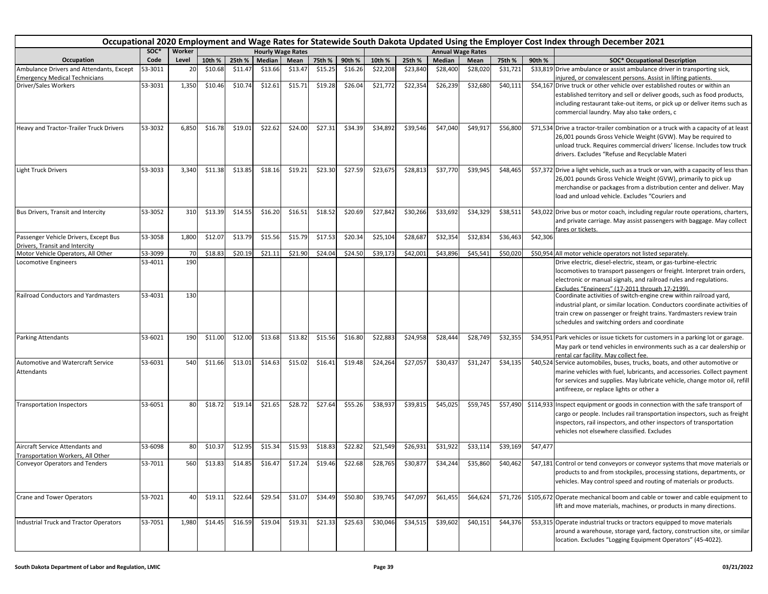|                                                                                  |         |        |         | Occupational 2020 Employment and Wage Rates for Statewide South Dakota Updated Using the Employer Cost Index through December 2021 |         |                          |         |         |          |          |          |                          |          |          |                                                                                                                                                                                                                                                                                  |
|----------------------------------------------------------------------------------|---------|--------|---------|------------------------------------------------------------------------------------------------------------------------------------|---------|--------------------------|---------|---------|----------|----------|----------|--------------------------|----------|----------|----------------------------------------------------------------------------------------------------------------------------------------------------------------------------------------------------------------------------------------------------------------------------------|
|                                                                                  | SOC*    | Worker |         |                                                                                                                                    |         | <b>Hourly Wage Rates</b> |         |         |          |          |          | <b>Annual Wage Rates</b> |          |          |                                                                                                                                                                                                                                                                                  |
| Occupation                                                                       | Code    | Level  | 10th %  | 25th %                                                                                                                             | Median  | Mean                     | 75th %  | 90th %  | 10th %   | 25th %   | Median   | Mean                     | 75th %   | 90th %   | <b>SOC* Occupational Description</b>                                                                                                                                                                                                                                             |
| Ambulance Drivers and Attendants, Except<br><b>Emergency Medical Technicians</b> | 53-3011 | 20     | \$10.68 | \$11.47                                                                                                                            | \$13.66 | \$13.47                  | \$15.25 | \$16.26 | \$22,208 | \$23,840 | \$28,400 | \$28,020                 | \$31,721 |          | \$33,819 Drive ambulance or assist ambulance driver in transporting sick,<br>injured, or convalescent persons. Assist in lifting patients.                                                                                                                                       |
| Driver/Sales Workers                                                             | 53-3031 | 1,350  | \$10.46 | \$10.74                                                                                                                            | \$12.61 | \$15.71                  | \$19.28 | \$26.04 | \$21,772 | \$22,354 | \$26,239 | \$32,680                 | \$40,111 |          | \$54,167 Drive truck or other vehicle over established routes or within an<br>established territory and sell or deliver goods, such as food products,<br>including restaurant take-out items, or pick up or deliver items such as<br>commercial laundry. May also take orders, c |
| Heavy and Tractor-Trailer Truck Drivers                                          | 53-3032 | 6,850  | \$16.78 | \$19.01                                                                                                                            | \$22.62 | \$24.00                  | \$27.31 | \$34.39 | \$34,892 | \$39,546 | \$47,040 | \$49,917                 | \$56,800 |          | \$71,534 Drive a tractor-trailer combination or a truck with a capacity of at least<br>26,001 pounds Gross Vehicle Weight (GVW). May be required to<br>unload truck. Requires commercial drivers' license. Includes tow truck<br>drivers. Excludes "Refuse and Recyclable Materi |
| <b>Light Truck Drivers</b>                                                       | 53-3033 | 3,340  | \$11.38 | \$13.85                                                                                                                            | \$18.16 | \$19.21                  | \$23.30 | \$27.59 | \$23,675 | \$28,813 | \$37,770 | \$39,945                 | \$48,465 |          | \$57,372 Drive a light vehicle, such as a truck or van, with a capacity of less than<br>26,001 pounds Gross Vehicle Weight (GVW), primarily to pick up<br>merchandise or packages from a distribution center and deliver. May<br>load and unload vehicle. Excludes "Couriers and |
| Bus Drivers, Transit and Intercity                                               | 53-3052 | 310    | \$13.39 | \$14.55                                                                                                                            | \$16.20 | \$16.51                  | \$18.52 | \$20.69 | \$27,842 | \$30,266 | \$33,692 | \$34,329                 | \$38,511 |          | \$43,022 Drive bus or motor coach, including regular route operations, charters,<br>and private carriage. May assist passengers with baggage. May collect<br>fares or tickets.                                                                                                   |
| Passenger Vehicle Drivers, Except Bus<br>Drivers, Transit and Intercity          | 53-3058 | 1,800  | \$12.07 | \$13.79                                                                                                                            | \$15.56 | \$15.79                  | \$17.53 | \$20.34 | \$25,104 | \$28,687 | \$32,354 | \$32,834                 | \$36,463 | \$42,306 |                                                                                                                                                                                                                                                                                  |
| Motor Vehicle Operators, All Other                                               | 53-3099 | 70     | \$18.83 | \$20.19                                                                                                                            | \$21.11 | \$21.90                  | \$24.04 | \$24.50 | \$39,173 | \$42,001 | \$43,896 | \$45,541                 | \$50,020 |          | \$50,954 All motor vehicle operators not listed separately.                                                                                                                                                                                                                      |
| Locomotive Engineers                                                             | 53-4011 | 190    |         |                                                                                                                                    |         |                          |         |         |          |          |          |                          |          |          | Drive electric, diesel-electric, steam, or gas-turbine-electric                                                                                                                                                                                                                  |
|                                                                                  |         |        |         |                                                                                                                                    |         |                          |         |         |          |          |          |                          |          |          | locomotives to transport passengers or freight. Interpret train orders,<br>electronic or manual signals, and railroad rules and regulations.<br>Excludes "Engineers" (17-2011 through 17-2199)                                                                                   |
| <b>Railroad Conductors and Yardmasters</b>                                       | 53-4031 | 130    |         |                                                                                                                                    |         |                          |         |         |          |          |          |                          |          |          | Coordinate activities of switch-engine crew within railroad yard,<br>industrial plant, or similar location. Conductors coordinate activities of<br>train crew on passenger or freight trains. Yardmasters review train<br>schedules and switching orders and coordinate          |
| <b>Parking Attendants</b>                                                        | 53-6021 | 190    | \$11.00 | \$12.00                                                                                                                            | \$13.68 | \$13.82                  | \$15.56 | \$16.80 | \$22,883 | \$24,958 | \$28,444 | \$28,749                 | \$32,355 |          | \$34,951 Park vehicles or issue tickets for customers in a parking lot or garage.<br>May park or tend vehicles in environments such as a car dealership or<br>rental car facility. May collect fee.                                                                              |
| Automotive and Watercraft Service<br>Attendants                                  | 53-6031 | 540    | \$11.66 | \$13.01                                                                                                                            | \$14.63 | \$15.02                  | \$16.41 | \$19.48 | \$24,264 | \$27,057 | \$30,437 | \$31,247                 | \$34,135 |          | \$40,524 Service automobiles, buses, trucks, boats, and other automotive or<br>marine vehicles with fuel, lubricants, and accessories. Collect payment<br>for services and supplies. May lubricate vehicle, change motor oil, refill<br>antifreeze, or replace lights or other a |
| <b>Transportation Inspectors</b>                                                 | 53-6051 | 80     | \$18.72 | \$19.14                                                                                                                            | \$21.65 | \$28.72                  | \$27.64 | \$55.26 | \$38,937 | \$39,815 | \$45,025 | \$59,745                 | \$57,490 |          | \$114,933 Inspect equipment or goods in connection with the safe transport of<br>cargo or people. Includes rail transportation inspectors, such as freight<br>inspectors, rail inspectors, and other inspectors of transportation<br>vehicles not elsewhere classified. Excludes |
| Aircraft Service Attendants and<br>Transportation Workers, All Other             | 53-6098 | 80     | \$10.37 | \$12.95                                                                                                                            | \$15.34 | \$15.93                  | \$18.83 | \$22.82 | \$21,549 | \$26,931 | \$31,922 | \$33,114                 | \$39,169 | \$47,477 |                                                                                                                                                                                                                                                                                  |
| <b>Conveyor Operators and Tenders</b>                                            | 53-7011 | 560    | \$13.83 | \$14.85                                                                                                                            | \$16.47 | \$17.24                  | \$19.46 | \$22.68 | \$28,765 | \$30,877 | \$34,244 | \$35,860                 | \$40,462 |          | \$47,181 Control or tend conveyors or conveyor systems that move materials or<br>products to and from stockpiles, processing stations, departments, or<br>vehicles. May control speed and routing of materials or products.                                                      |
| Crane and Tower Operators                                                        | 53-7021 | 40     | \$19.11 | \$22.64                                                                                                                            | \$29.54 | \$31.07                  | \$34.49 | \$50.80 | \$39,745 | \$47,097 | \$61,455 | \$64,624                 | \$71,726 |          | \$105,672 Operate mechanical boom and cable or tower and cable equipment to<br>lift and move materials, machines, or products in many directions.                                                                                                                                |
| Industrial Truck and Tractor Operators                                           | 53-7051 | 1,980  | \$14.45 | \$16.59                                                                                                                            | \$19.04 | \$19.31                  | \$21.33 | \$25.63 | \$30,046 | \$34,515 | \$39,602 | \$40,151                 | \$44,376 |          | \$53,315 Operate industrial trucks or tractors equipped to move materials<br>around a warehouse, storage yard, factory, construction site, or similar<br>location. Excludes "Logging Equipment Operators" (45-4022).                                                             |